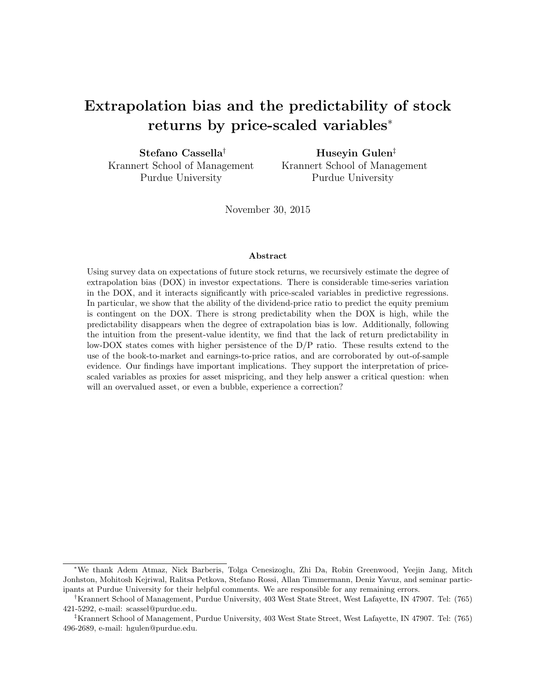### <span id="page-0-0"></span>Extrapolation bias and the predictability of stock returns by price-scaled variables<sup>∗</sup>

Stefano Cassella† Krannert School of Management Purdue University

Huseyin Gulen‡ Krannert School of Management Purdue University

November 30, 2015

### Abstract

Using survey data on expectations of future stock returns, we recursively estimate the degree of extrapolation bias (DOX) in investor expectations. There is considerable time-series variation in the DOX, and it interacts significantly with price-scaled variables in predictive regressions. In particular, we show that the ability of the dividend-price ratio to predict the equity premium is contingent on the DOX. There is strong predictability when the DOX is high, while the predictability disappears when the degree of extrapolation bias is low. Additionally, following the intuition from the present-value identity, we find that the lack of return predictability in low-DOX states comes with higher persistence of the D/P ratio. These results extend to the use of the book-to-market and earnings-to-price ratios, and are corroborated by out-of-sample evidence. Our findings have important implications. They support the interpretation of pricescaled variables as proxies for asset mispricing, and they help answer a critical question: when will an overvalued asset, or even a bubble, experience a correction?

<sup>∗</sup>We thank Adem Atmaz, Nick Barberis, Tolga Cenesizoglu, Zhi Da, Robin Greenwood, Yeejin Jang, Mitch Jonhston, Mohitosh Kejriwal, Ralitsa Petkova, Stefano Rossi, Allan Timmermann, Deniz Yavuz, and seminar participants at Purdue University for their helpful comments. We are responsible for any remaining errors.

<sup>†</sup>Krannert School of Management, Purdue University, 403 West State Street, West Lafayette, IN 47907. Tel: (765) 421-5292, e-mail: scassel@purdue.edu.

<sup>‡</sup>Krannert School of Management, Purdue University, 403 West State Street, West Lafayette, IN 47907. Tel: (765) 496-2689, e-mail: hgulen@purdue.edu.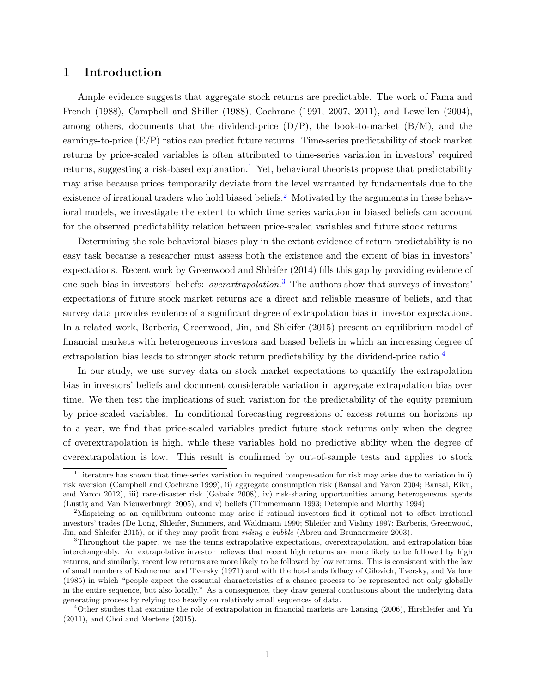### 1 Introduction

Ample evidence suggests that aggregate stock returns are predictable. The work of Fama and French (1988), Campbell and Shiller (1988), Cochrane (1991, 2007, 2011), and Lewellen (2004), among others, documents that the dividend-price  $(D/P)$ , the book-to-market  $(B/M)$ , and the earnings-to-price (E/P) ratios can predict future returns. Time-series predictability of stock market returns by price-scaled variables is often attributed to time-series variation in investors' required returns, suggesting a risk-based explanation.<sup>[1](#page-1-0)</sup> Yet, behavioral theorists propose that predictability may arise because prices temporarily deviate from the level warranted by fundamentals due to the existence of irrational traders who hold biased beliefs.<sup>[2](#page-1-1)</sup> Motivated by the arguments in these behavioral models, we investigate the extent to which time series variation in biased beliefs can account for the observed predictability relation between price-scaled variables and future stock returns.

Determining the role behavioral biases play in the extant evidence of return predictability is no easy task because a researcher must assess both the existence and the extent of bias in investors' expectations. Recent work by Greenwood and Shleifer (2014) fills this gap by providing evidence of one such bias in investors' beliefs: *overextrapolation*.<sup>[3](#page-1-2)</sup> The authors show that surveys of investors' expectations of future stock market returns are a direct and reliable measure of beliefs, and that survey data provides evidence of a significant degree of extrapolation bias in investor expectations. In a related work, Barberis, Greenwood, Jin, and Shleifer (2015) present an equilibrium model of financial markets with heterogeneous investors and biased beliefs in which an increasing degree of extrapolation bias leads to stronger stock return predictability by the dividend-price ratio.<sup>[4](#page-1-3)</sup>

In our study, we use survey data on stock market expectations to quantify the extrapolation bias in investors' beliefs and document considerable variation in aggregate extrapolation bias over time. We then test the implications of such variation for the predictability of the equity premium by price-scaled variables. In conditional forecasting regressions of excess returns on horizons up to a year, we find that price-scaled variables predict future stock returns only when the degree of overextrapolation is high, while these variables hold no predictive ability when the degree of overextrapolation is low. This result is confirmed by out-of-sample tests and applies to stock

<span id="page-1-0"></span><sup>&</sup>lt;sup>1</sup>Literature has shown that time-series variation in required compensation for risk may arise due to variation in i) risk aversion (Campbell and Cochrane 1999), ii) aggregate consumption risk (Bansal and Yaron 2004; Bansal, Kiku, and Yaron 2012), iii) rare-disaster risk (Gabaix 2008), iv) risk-sharing opportunities among heterogeneous agents (Lustig and Van Nieuwerburgh 2005), and v) beliefs (Timmermann 1993; Detemple and Murthy 1994).

<span id="page-1-1"></span><sup>&</sup>lt;sup>2</sup>Mispricing as an equilibrium outcome may arise if rational investors find it optimal not to offset irrational investors' trades (De Long, Shleifer, Summers, and Waldmann 1990; Shleifer and Vishny 1997; Barberis, Greenwood, Jin, and Shleifer 2015), or if they may profit from *riding a bubble* (Abreu and Brunnermeier 2003).

<span id="page-1-2"></span><sup>&</sup>lt;sup>3</sup>Throughout the paper, we use the terms extrapolative expectations, overextrapolation, and extrapolation bias interchangeably. An extrapolative investor believes that recent high returns are more likely to be followed by high returns, and similarly, recent low returns are more likely to be followed by low returns. This is consistent with the law of small numbers of Kahneman and Tversky (1971) and with the hot-hands fallacy of Gilovich, Tversky, and Vallone (1985) in which "people expect the essential characteristics of a chance process to be represented not only globally in the entire sequence, but also locally." As a consequence, they draw general conclusions about the underlying data generating process by relying too heavily on relatively small sequences of data.

<span id="page-1-3"></span><sup>4</sup>Other studies that examine the role of extrapolation in financial markets are Lansing (2006), Hirshleifer and Yu (2011), and Choi and Mertens (2015).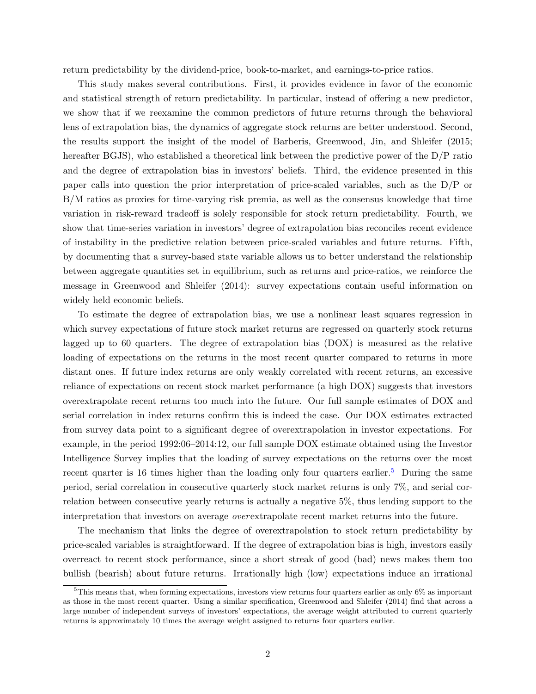return predictability by the dividend-price, book-to-market, and earnings-to-price ratios.

This study makes several contributions. First, it provides evidence in favor of the economic and statistical strength of return predictability. In particular, instead of offering a new predictor, we show that if we reexamine the common predictors of future returns through the behavioral lens of extrapolation bias, the dynamics of aggregate stock returns are better understood. Second, the results support the insight of the model of Barberis, Greenwood, Jin, and Shleifer (2015; hereafter BGJS), who established a theoretical link between the predictive power of the D/P ratio and the degree of extrapolation bias in investors' beliefs. Third, the evidence presented in this paper calls into question the prior interpretation of price-scaled variables, such as the D/P or B/M ratios as proxies for time-varying risk premia, as well as the consensus knowledge that time variation in risk-reward tradeoff is solely responsible for stock return predictability. Fourth, we show that time-series variation in investors' degree of extrapolation bias reconciles recent evidence of instability in the predictive relation between price-scaled variables and future returns. Fifth, by documenting that a survey-based state variable allows us to better understand the relationship between aggregate quantities set in equilibrium, such as returns and price-ratios, we reinforce the message in Greenwood and Shleifer (2014): survey expectations contain useful information on widely held economic beliefs.

To estimate the degree of extrapolation bias, we use a nonlinear least squares regression in which survey expectations of future stock market returns are regressed on quarterly stock returns lagged up to 60 quarters. The degree of extrapolation bias (DOX) is measured as the relative loading of expectations on the returns in the most recent quarter compared to returns in more distant ones. If future index returns are only weakly correlated with recent returns, an excessive reliance of expectations on recent stock market performance (a high DOX) suggests that investors overextrapolate recent returns too much into the future. Our full sample estimates of DOX and serial correlation in index returns confirm this is indeed the case. Our DOX estimates extracted from survey data point to a significant degree of overextrapolation in investor expectations. For example, in the period 1992:06–2014:12, our full sample DOX estimate obtained using the Investor Intelligence Survey implies that the loading of survey expectations on the returns over the most recent quarter is 16 times higher than the loading only four quarters earlier.<sup>[5](#page-2-0)</sup> During the same period, serial correlation in consecutive quarterly stock market returns is only 7%, and serial correlation between consecutive yearly returns is actually a negative 5%, thus lending support to the interpretation that investors on average overextrapolate recent market returns into the future.

The mechanism that links the degree of overextrapolation to stock return predictability by price-scaled variables is straightforward. If the degree of extrapolation bias is high, investors easily overreact to recent stock performance, since a short streak of good (bad) news makes them too bullish (bearish) about future returns. Irrationally high (low) expectations induce an irrational

<span id="page-2-0"></span> $5$ This means that, when forming expectations, investors view returns four quarters earlier as only  $6\%$  as important as those in the most recent quarter. Using a similar specification, Greenwood and Shleifer (2014) find that across a large number of independent surveys of investors' expectations, the average weight attributed to current quarterly returns is approximately 10 times the average weight assigned to returns four quarters earlier.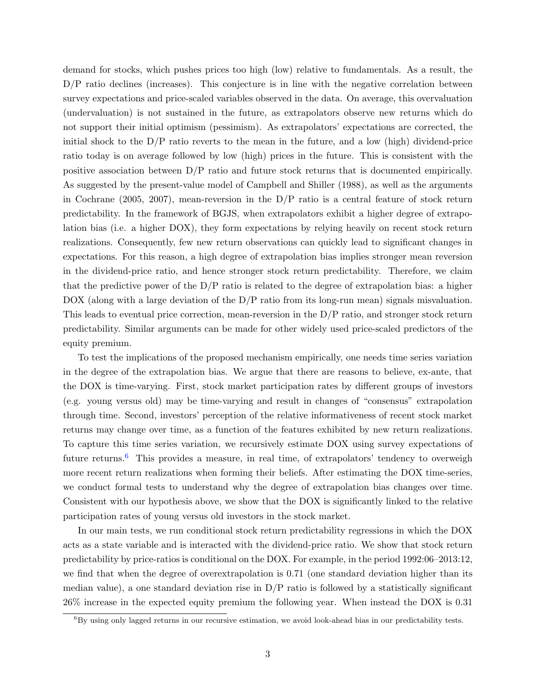demand for stocks, which pushes prices too high (low) relative to fundamentals. As a result, the D/P ratio declines (increases). This conjecture is in line with the negative correlation between survey expectations and price-scaled variables observed in the data. On average, this overvaluation (undervaluation) is not sustained in the future, as extrapolators observe new returns which do not support their initial optimism (pessimism). As extrapolators' expectations are corrected, the initial shock to the D/P ratio reverts to the mean in the future, and a low (high) dividend-price ratio today is on average followed by low (high) prices in the future. This is consistent with the positive association between D/P ratio and future stock returns that is documented empirically. As suggested by the present-value model of Campbell and Shiller (1988), as well as the arguments in Cochrane (2005, 2007), mean-reversion in the D/P ratio is a central feature of stock return predictability. In the framework of BGJS, when extrapolators exhibit a higher degree of extrapolation bias (i.e. a higher DOX), they form expectations by relying heavily on recent stock return realizations. Consequently, few new return observations can quickly lead to significant changes in expectations. For this reason, a high degree of extrapolation bias implies stronger mean reversion in the dividend-price ratio, and hence stronger stock return predictability. Therefore, we claim that the predictive power of the  $D/P$  ratio is related to the degree of extrapolation bias: a higher DOX (along with a large deviation of the D/P ratio from its long-run mean) signals misvaluation. This leads to eventual price correction, mean-reversion in the D/P ratio, and stronger stock return predictability. Similar arguments can be made for other widely used price-scaled predictors of the equity premium.

To test the implications of the proposed mechanism empirically, one needs time series variation in the degree of the extrapolation bias. We argue that there are reasons to believe, ex-ante, that the DOX is time-varying. First, stock market participation rates by different groups of investors (e.g. young versus old) may be time-varying and result in changes of "consensus" extrapolation through time. Second, investors' perception of the relative informativeness of recent stock market returns may change over time, as a function of the features exhibited by new return realizations. To capture this time series variation, we recursively estimate DOX using survey expectations of future returns.<sup>[6](#page-3-0)</sup> This provides a measure, in real time, of extrapolators' tendency to overweigh more recent return realizations when forming their beliefs. After estimating the DOX time-series, we conduct formal tests to understand why the degree of extrapolation bias changes over time. Consistent with our hypothesis above, we show that the DOX is significantly linked to the relative participation rates of young versus old investors in the stock market.

In our main tests, we run conditional stock return predictability regressions in which the DOX acts as a state variable and is interacted with the dividend-price ratio. We show that stock return predictability by price-ratios is conditional on the DOX. For example, in the period 1992:06–2013:12, we find that when the degree of overextrapolation is 0.71 (one standard deviation higher than its median value), a one standard deviation rise in  $D/P$  ratio is followed by a statistically significant 26% increase in the expected equity premium the following year. When instead the DOX is 0.31

<span id="page-3-0"></span> ${}^{6}$ By using only lagged returns in our recursive estimation, we avoid look-ahead bias in our predictability tests.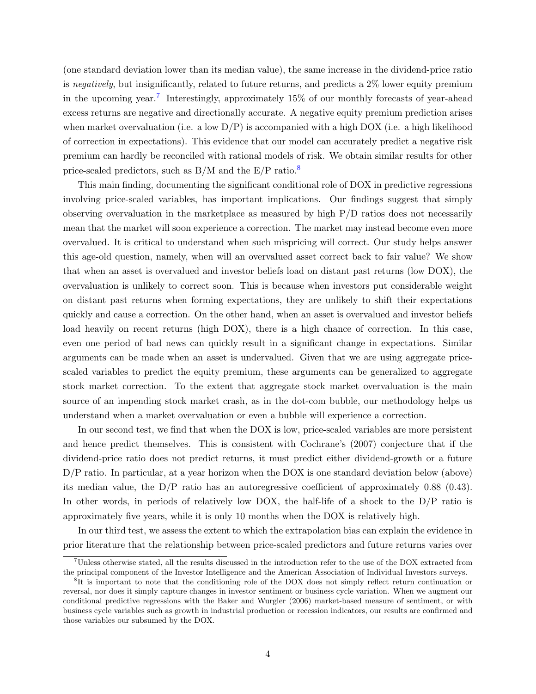(one standard deviation lower than its median value), the same increase in the dividend-price ratio is negatively, but insignificantly, related to future returns, and predicts a  $2\%$  lower equity premium in the upcoming year.<sup>[7](#page-4-0)</sup> Interestingly, approximately 15% of our monthly forecasts of year-ahead excess returns are negative and directionally accurate. A negative equity premium prediction arises when market overvaluation (i.e. a low  $D/P$ ) is accompanied with a high DOX (i.e. a high likelihood of correction in expectations). This evidence that our model can accurately predict a negative risk premium can hardly be reconciled with rational models of risk. We obtain similar results for other price-scaled predictors, such as  $B/M$  and the  $E/P$  ratio.<sup>[8](#page-4-1)</sup>

This main finding, documenting the significant conditional role of DOX in predictive regressions involving price-scaled variables, has important implications. Our findings suggest that simply observing overvaluation in the marketplace as measured by high  $P/D$  ratios does not necessarily mean that the market will soon experience a correction. The market may instead become even more overvalued. It is critical to understand when such mispricing will correct. Our study helps answer this age-old question, namely, when will an overvalued asset correct back to fair value? We show that when an asset is overvalued and investor beliefs load on distant past returns (low DOX), the overvaluation is unlikely to correct soon. This is because when investors put considerable weight on distant past returns when forming expectations, they are unlikely to shift their expectations quickly and cause a correction. On the other hand, when an asset is overvalued and investor beliefs load heavily on recent returns (high DOX), there is a high chance of correction. In this case, even one period of bad news can quickly result in a significant change in expectations. Similar arguments can be made when an asset is undervalued. Given that we are using aggregate pricescaled variables to predict the equity premium, these arguments can be generalized to aggregate stock market correction. To the extent that aggregate stock market overvaluation is the main source of an impending stock market crash, as in the dot-com bubble, our methodology helps us understand when a market overvaluation or even a bubble will experience a correction.

In our second test, we find that when the DOX is low, price-scaled variables are more persistent and hence predict themselves. This is consistent with Cochrane's (2007) conjecture that if the dividend-price ratio does not predict returns, it must predict either dividend-growth or a future D/P ratio. In particular, at a year horizon when the DOX is one standard deviation below (above) its median value, the  $D/P$  ratio has an autoregressive coefficient of approximately 0.88 (0.43). In other words, in periods of relatively low DOX, the half-life of a shock to the D/P ratio is approximately five years, while it is only 10 months when the DOX is relatively high.

In our third test, we assess the extent to which the extrapolation bias can explain the evidence in prior literature that the relationship between price-scaled predictors and future returns varies over

<span id="page-4-0"></span><sup>7</sup>Unless otherwise stated, all the results discussed in the introduction refer to the use of the DOX extracted from the principal component of the Investor Intelligence and the American Association of Individual Investors surveys.

<span id="page-4-1"></span><sup>&</sup>lt;sup>8</sup>It is important to note that the conditioning role of the DOX does not simply reflect return continuation or reversal, nor does it simply capture changes in investor sentiment or business cycle variation. When we augment our conditional predictive regressions with the Baker and Wurgler (2006) market-based measure of sentiment, or with business cycle variables such as growth in industrial production or recession indicators, our results are confirmed and those variables our subsumed by the DOX.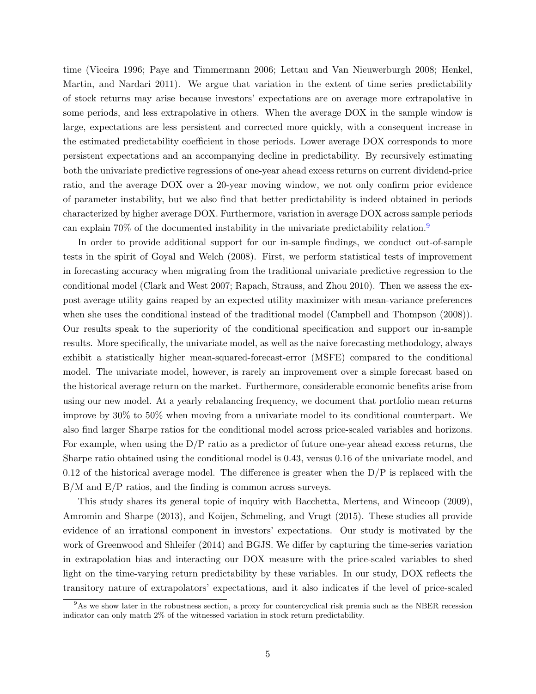time (Viceira 1996; Paye and Timmermann 2006; Lettau and Van Nieuwerburgh 2008; Henkel, Martin, and Nardari 2011). We argue that variation in the extent of time series predictability of stock returns may arise because investors' expectations are on average more extrapolative in some periods, and less extrapolative in others. When the average DOX in the sample window is large, expectations are less persistent and corrected more quickly, with a consequent increase in the estimated predictability coefficient in those periods. Lower average DOX corresponds to more persistent expectations and an accompanying decline in predictability. By recursively estimating both the univariate predictive regressions of one-year ahead excess returns on current dividend-price ratio, and the average DOX over a 20-year moving window, we not only confirm prior evidence of parameter instability, but we also find that better predictability is indeed obtained in periods characterized by higher average DOX. Furthermore, variation in average DOX across sample periods can explain  $70\%$  of the documented instability in the univariate predictability relation.<sup>[9](#page-5-0)</sup>

In order to provide additional support for our in-sample findings, we conduct out-of-sample tests in the spirit of Goyal and Welch (2008). First, we perform statistical tests of improvement in forecasting accuracy when migrating from the traditional univariate predictive regression to the conditional model (Clark and West 2007; Rapach, Strauss, and Zhou 2010). Then we assess the expost average utility gains reaped by an expected utility maximizer with mean-variance preferences when she uses the conditional instead of the traditional model (Campbell and Thompson  $(2008)$ ). Our results speak to the superiority of the conditional specification and support our in-sample results. More specifically, the univariate model, as well as the naive forecasting methodology, always exhibit a statistically higher mean-squared-forecast-error (MSFE) compared to the conditional model. The univariate model, however, is rarely an improvement over a simple forecast based on the historical average return on the market. Furthermore, considerable economic benefits arise from using our new model. At a yearly rebalancing frequency, we document that portfolio mean returns improve by 30% to 50% when moving from a univariate model to its conditional counterpart. We also find larger Sharpe ratios for the conditional model across price-scaled variables and horizons. For example, when using the  $D/P$  ratio as a predictor of future one-year ahead excess returns, the Sharpe ratio obtained using the conditional model is 0.43, versus 0.16 of the univariate model, and  $0.12$  of the historical average model. The difference is greater when the  $D/P$  is replaced with the B/M and E/P ratios, and the finding is common across surveys.

This study shares its general topic of inquiry with Bacchetta, Mertens, and Wincoop (2009), Amromin and Sharpe (2013), and Koijen, Schmeling, and Vrugt (2015). These studies all provide evidence of an irrational component in investors' expectations. Our study is motivated by the work of Greenwood and Shleifer (2014) and BGJS. We differ by capturing the time-series variation in extrapolation bias and interacting our DOX measure with the price-scaled variables to shed light on the time-varying return predictability by these variables. In our study, DOX reflects the transitory nature of extrapolators' expectations, and it also indicates if the level of price-scaled

<span id="page-5-0"></span><sup>&</sup>lt;sup>9</sup>As we show later in the robustness section, a proxy for countercyclical risk premia such as the NBER recession indicator can only match 2% of the witnessed variation in stock return predictability.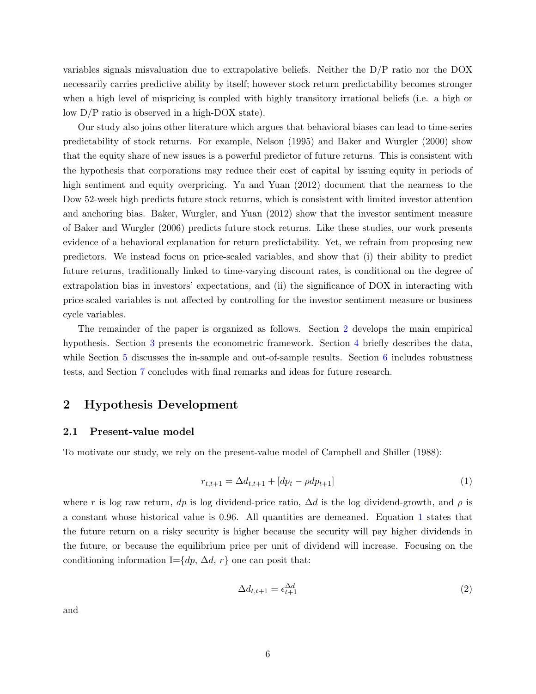variables signals misvaluation due to extrapolative beliefs. Neither the D/P ratio nor the DOX necessarily carries predictive ability by itself; however stock return predictability becomes stronger when a high level of mispricing is coupled with highly transitory irrational beliefs (i.e. a high or low D/P ratio is observed in a high-DOX state).

Our study also joins other literature which argues that behavioral biases can lead to time-series predictability of stock returns. For example, Nelson (1995) and Baker and Wurgler (2000) show that the equity share of new issues is a powerful predictor of future returns. This is consistent with the hypothesis that corporations may reduce their cost of capital by issuing equity in periods of high sentiment and equity overpricing. Yu and Yuan (2012) document that the nearness to the Dow 52-week high predicts future stock returns, which is consistent with limited investor attention and anchoring bias. Baker, Wurgler, and Yuan (2012) show that the investor sentiment measure of Baker and Wurgler (2006) predicts future stock returns. Like these studies, our work presents evidence of a behavioral explanation for return predictability. Yet, we refrain from proposing new predictors. We instead focus on price-scaled variables, and show that (i) their ability to predict future returns, traditionally linked to time-varying discount rates, is conditional on the degree of extrapolation bias in investors' expectations, and (ii) the significance of DOX in interacting with price-scaled variables is not affected by controlling for the investor sentiment measure or business cycle variables.

The remainder of the paper is organized as follows. Section [2](#page-6-0) develops the main empirical hypothesis. Section [3](#page-9-0) presents the econometric framework. Section [4](#page-10-0) briefly describes the data, while Section [5](#page-12-0) discusses the in-sample and out-of-sample results. Section [6](#page-22-0) includes robustness tests, and Section [7](#page-26-0) concludes with final remarks and ideas for future research.

### <span id="page-6-0"></span>2 Hypothesis Development

### 2.1 Present-value model

To motivate our study, we rely on the present-value model of Campbell and Shiller (1988):

<span id="page-6-1"></span>
$$
r_{t,t+1} = \Delta d_{t,t+1} + [dp_t - \rho dp_{t+1}] \tag{1}
$$

where r is log raw return, dp is log dividend-price ratio,  $\Delta d$  is the log dividend-growth, and  $\rho$  is a constant whose historical value is 0.96. All quantities are demeaned. Equation [1](#page-6-1) states that the future return on a risky security is higher because the security will pay higher dividends in the future, or because the equilibrium price per unit of dividend will increase. Focusing on the conditioning information I= $\{dp, \Delta d, r\}$  one can posit that:

<span id="page-6-2"></span>
$$
\Delta d_{t,t+1} = \epsilon_{t+1}^{\Delta d} \tag{2}
$$

and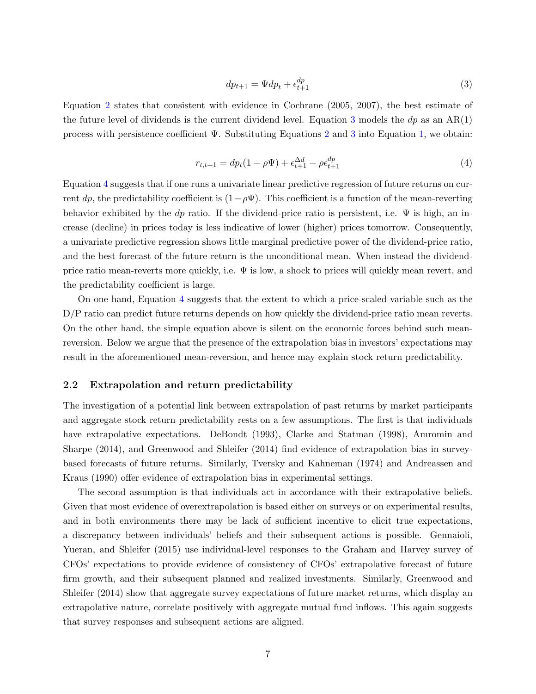<span id="page-7-0"></span>
$$
dp_{t+1} = \Psi dp_t + \epsilon_{t+1}^{dp} \tag{3}
$$

Equation [2](#page-6-2) states that consistent with evidence in Cochrane (2005, 2007), the best estimate of the future level of dividends is the current dividend level. Equation [3](#page-7-0) models the  $dp$  as an AR(1) process with persistence coefficient  $\Psi$ . Substituting Equations [2](#page-6-2) and [3](#page-7-0) into Equation [1,](#page-6-1) we obtain:

<span id="page-7-1"></span>
$$
r_{t,t+1} = dp_t (1 - \rho \Psi) + \epsilon_{t+1}^{\Delta d} - \rho \epsilon_{t+1}^{dp}
$$
\n(4)

Equation [4](#page-7-1) suggests that if one runs a univariate linear predictive regression of future returns on current dp, the predictability coefficient is  $(1-\rho\Psi)$ . This coefficient is a function of the mean-reverting behavior exhibited by the dp ratio. If the dividend-price ratio is persistent, i.e.  $\Psi$  is high, an increase (decline) in prices today is less indicative of lower (higher) prices tomorrow. Consequently, a univariate predictive regression shows little marginal predictive power of the dividend-price ratio, and the best forecast of the future return is the unconditional mean. When instead the dividendprice ratio mean-reverts more quickly, i.e.  $\Psi$  is low, a shock to prices will quickly mean revert, and the predictability coefficient is large.

On one hand, Equation [4](#page-7-1) suggests that the extent to which a price-scaled variable such as the D/P ratio can predict future returns depends on how quickly the dividend-price ratio mean reverts. On the other hand, the simple equation above is silent on the economic forces behind such meanreversion. Below we argue that the presence of the extrapolation bias in investors' expectations may result in the aforementioned mean-reversion, and hence may explain stock return predictability.

### 2.2 Extrapolation and return predictability

The investigation of a potential link between extrapolation of past returns by market participants and aggregate stock return predictability rests on a few assumptions. The first is that individuals have extrapolative expectations. DeBondt (1993), Clarke and Statman (1998), Amromin and Sharpe (2014), and Greenwood and Shleifer (2014) find evidence of extrapolation bias in surveybased forecasts of future returns. Similarly, Tversky and Kahneman (1974) and Andreassen and Kraus (1990) offer evidence of extrapolation bias in experimental settings.

The second assumption is that individuals act in accordance with their extrapolative beliefs. Given that most evidence of overextrapolation is based either on surveys or on experimental results, and in both environments there may be lack of sufficient incentive to elicit true expectations, a discrepancy between individuals' beliefs and their subsequent actions is possible. Gennaioli, Yueran, and Shleifer (2015) use individual-level responses to the Graham and Harvey survey of CFOs' expectations to provide evidence of consistency of CFOs' extrapolative forecast of future firm growth, and their subsequent planned and realized investments. Similarly, Greenwood and Shleifer (2014) show that aggregate survey expectations of future market returns, which display an extrapolative nature, correlate positively with aggregate mutual fund inflows. This again suggests that survey responses and subsequent actions are aligned.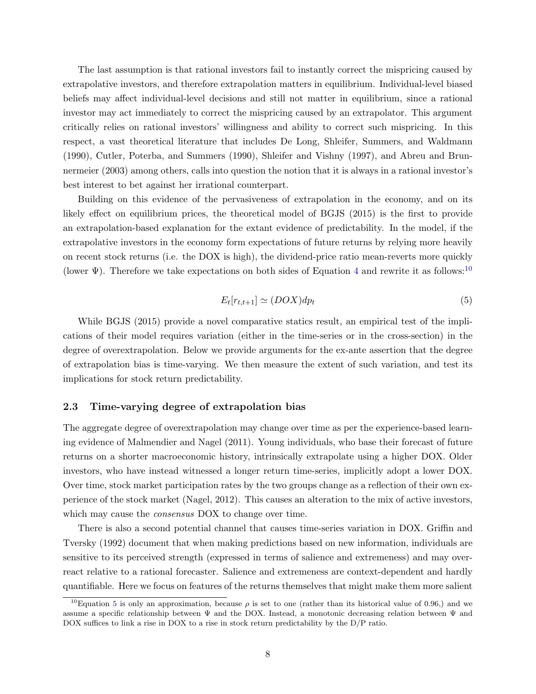The last assumption is that rational investors fail to instantly correct the mispricing caused by extrapolative investors, and therefore extrapolation matters in equilibrium. Individual-level biased beliefs may affect individual-level decisions and still not matter in equilibrium, since a rational investor may act immediately to correct the mispricing caused by an extrapolator. This argument critically relies on rational investors' willingness and ability to correct such mispricing. In this respect, a vast theoretical literature that includes De Long, Shleifer, Summers, and Waldmann (1990), Cutler, Poterba, and Summers (1990), Shleifer and Vishny (1997), and Abreu and Brunnermeier (2003) among others, calls into question the notion that it is always in a rational investor's best interest to bet against her irrational counterpart.

Building on this evidence of the pervasiveness of extrapolation in the economy, and on its likely effect on equilibrium prices, the theoretical model of BGJS (2015) is the first to provide an extrapolation-based explanation for the extant evidence of predictability. In the model, if the extrapolative investors in the economy form expectations of future returns by relying more heavily on recent stock returns (i.e. the DOX is high), the dividend-price ratio mean-reverts more quickly (lower  $\Psi$ ). Therefore we take expectations on both sides of Equation [4](#page-7-1) and rewrite it as follows:<sup>[10](#page-8-0)</sup>

<span id="page-8-1"></span>
$$
E_t[r_{t,t+1}] \simeq (DOX)dp_t \tag{5}
$$

While BGJS (2015) provide a novel comparative statics result, an empirical test of the implications of their model requires variation (either in the time-series or in the cross-section) in the degree of overextrapolation. Below we provide arguments for the ex-ante assertion that the degree of extrapolation bias is time-varying. We then measure the extent of such variation, and test its implications for stock return predictability.

### 2.3 Time-varying degree of extrapolation bias

The aggregate degree of overextrapolation may change over time as per the experience-based learning evidence of Malmendier and Nagel (2011). Young individuals, who base their forecast of future returns on a shorter macroeconomic history, intrinsically extrapolate using a higher DOX. Older investors, who have instead witnessed a longer return time-series, implicitly adopt a lower DOX. Over time, stock market participation rates by the two groups change as a reflection of their own experience of the stock market (Nagel, 2012). This causes an alteration to the mix of active investors, which may cause the *consensus* DOX to change over time.

There is also a second potential channel that causes time-series variation in DOX. Griffin and Tversky (1992) document that when making predictions based on new information, individuals are sensitive to its perceived strength (expressed in terms of salience and extremeness) and may overreact relative to a rational forecaster. Salience and extremeness are context-dependent and hardly quantifiable. Here we focus on features of the returns themselves that might make them more salient

<span id="page-8-0"></span><sup>&</sup>lt;sup>10</sup>Equation [5](#page-8-1) is only an approximation, because  $\rho$  is set to one (rather than its historical value of 0.96,) and we assume a specific relationship between  $\Psi$  and the DOX. Instead, a monotonic decreasing relation between  $\Psi$  and DOX suffices to link a rise in DOX to a rise in stock return predictability by the D/P ratio.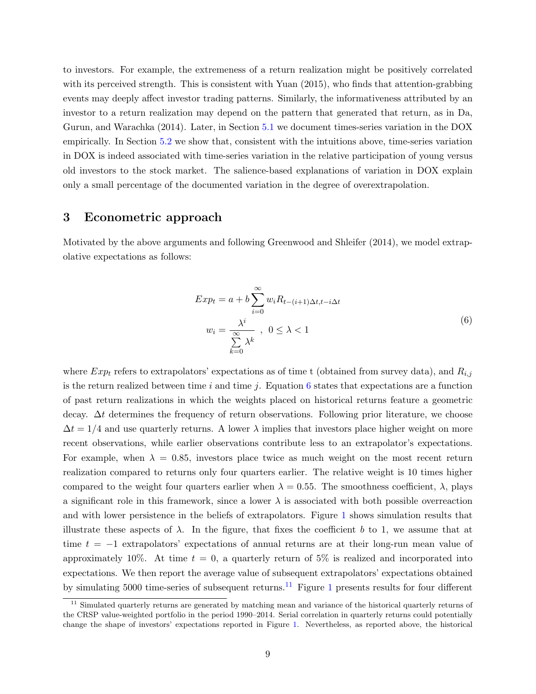to investors. For example, the extremeness of a return realization might be positively correlated with its perceived strength. This is consistent with Yuan  $(2015)$ , who finds that attention-grabbing events may deeply affect investor trading patterns. Similarly, the informativeness attributed by an investor to a return realization may depend on the pattern that generated that return, as in Da, Gurun, and Warachka (2014). Later, in Section [5](#page-12-1).1 we document times-series variation in the DOX empirically. In Section [5](#page-13-0).2 we show that, consistent with the intuitions above, time-series variation in DOX is indeed associated with time-series variation in the relative participation of young versus old investors to the stock market. The salience-based explanations of variation in DOX explain only a small percentage of the documented variation in the degree of overextrapolation.

### <span id="page-9-0"></span>3 Econometric approach

Motivated by the above arguments and following Greenwood and Shleifer (2014), we model extrapolative expectations as follows:

$$
Exp_t = a + b \sum_{i=0}^{\infty} w_i R_{t-(i+1)\Delta t, t-i\Delta t}
$$
  

$$
w_i = \frac{\lambda^i}{\sum_{k=0}^{\infty} \lambda^k}, \quad 0 \le \lambda < 1
$$
 (6)

<span id="page-9-1"></span>where  $Exp_t$  refers to extrapolators' expectations as of time t (obtained from survey data), and  $R_{i,j}$ is the return realized between time i and time j. Equation [6](#page-9-1) states that expectations are a function of past return realizations in which the weights placed on historical returns feature a geometric decay. ∆t determines the frequency of return observations. Following prior literature, we choose  $\Delta t = 1/4$  and use quarterly returns. A lower  $\lambda$  implies that investors place higher weight on more recent observations, while earlier observations contribute less to an extrapolator's expectations. For example, when  $\lambda = 0.85$ , investors place twice as much weight on the most recent return realization compared to returns only four quarters earlier. The relative weight is 10 times higher compared to the weight four quarters earlier when  $\lambda = 0.55$ . The smoothness coefficient,  $\lambda$ , plays a significant role in this framework, since a lower  $\lambda$  is associated with both possible overreaction and with lower persistence in the beliefs of extrapolators. Figure [1](#page-33-0) shows simulation results that illustrate these aspects of  $\lambda$ . In the figure, that fixes the coefficient b to 1, we assume that at time  $t = -1$  extrapolators' expectations of annual returns are at their long-run mean value of approximately 10%. At time  $t = 0$ , a quarterly return of 5% is realized and incorporated into expectations. We then report the average value of subsequent extrapolators' expectations obtained by simulating 5000 time-series of subsequent returns.<sup>[11](#page-9-2)</sup> Figure [1](#page-33-0) presents results for four different

<span id="page-9-2"></span><sup>&</sup>lt;sup>11</sup> Simulated quarterly returns are generated by matching mean and variance of the historical quarterly returns of the CRSP value-weighted portfolio in the period 1990–2014. Serial correlation in quarterly returns could potentially change the shape of investors' expectations reported in Figure [1.](#page-33-0) Nevertheless, as reported above, the historical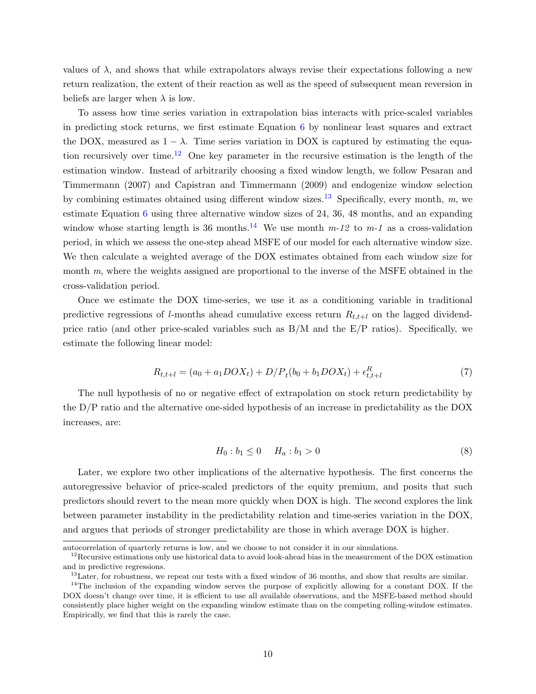values of  $\lambda$ , and shows that while extrapolators always revise their expectations following a new return realization, the extent of their reaction as well as the speed of subsequent mean reversion in beliefs are larger when  $\lambda$  is low.

To assess how time series variation in extrapolation bias interacts with price-scaled variables in predicting stock returns, we first estimate Equation [6](#page-9-1) by nonlinear least squares and extract the DOX, measured as  $1 - \lambda$ . Time series variation in DOX is captured by estimating the equa-tion recursively over time.<sup>[12](#page-10-1)</sup> One key parameter in the recursive estimation is the length of the estimation window. Instead of arbitrarily choosing a fixed window length, we follow Pesaran and Timmermann (2007) and Capistran and Timmermann (2009) and endogenize window selection by combining estimates obtained using different window sizes.<sup>[13](#page-10-2)</sup> Specifically, every month,  $m$ , we estimate Equation [6](#page-9-1) using three alternative window sizes of 24, 36, 48 months, and an expanding window whose starting length is 36 months.<sup>[14](#page-10-3)</sup> We use month  $m-12$  to  $m-1$  as a cross-validation period, in which we assess the one-step ahead MSFE of our model for each alternative window size. We then calculate a weighted average of the DOX estimates obtained from each window size for month m, where the weights assigned are proportional to the inverse of the MSFE obtained in the cross-validation period.

Once we estimate the DOX time-series, we use it as a conditioning variable in traditional predictive regressions of *l*-months ahead cumulative excess return  $R_{t,t+l}$  on the lagged dividendprice ratio (and other price-scaled variables such as  $B/M$  and the  $E/P$  ratios). Specifically, we estimate the following linear model:

<span id="page-10-4"></span>
$$
R_{t,t+l} = (a_0 + a_1 DOX_t) + D/P_t(b_0 + b_1 DOX_t) + \epsilon_{t,t+l}^R
$$
\n(7)

The null hypothesis of no or negative effect of extrapolation on stock return predictability by the D/P ratio and the alternative one-sided hypothesis of an increase in predictability as the DOX increases, are:

$$
H_0: b_1 \le 0 \t H_a: b_1 > 0 \t\t(8)
$$

Later, we explore two other implications of the alternative hypothesis. The first concerns the autoregressive behavior of price-scaled predictors of the equity premium, and posits that such predictors should revert to the mean more quickly when DOX is high. The second explores the link between parameter instability in the predictability relation and time-series variation in the DOX, and argues that periods of stronger predictability are those in which average DOX is higher.

<span id="page-10-0"></span>autocorrelation of quarterly returns is low, and we choose to not consider it in our simulations.

<span id="page-10-1"></span> $12$ Recursive estimations only use historical data to avoid look-ahead bias in the measurement of the DOX estimation and in predictive regressions.

<span id="page-10-3"></span><span id="page-10-2"></span><sup>&</sup>lt;sup>13</sup>Later, for robustness, we repeat our tests with a fixed window of 36 months, and show that results are similar. <sup>14</sup>The inclusion of the expanding window serves the purpose of explicitly allowing for a constant DOX. If the DOX doesn't change over time, it is efficient to use all available observations, and the MSFE-based method should consistently place higher weight on the expanding window estimate than on the competing rolling-window estimates. Empirically, we find that this is rarely the case.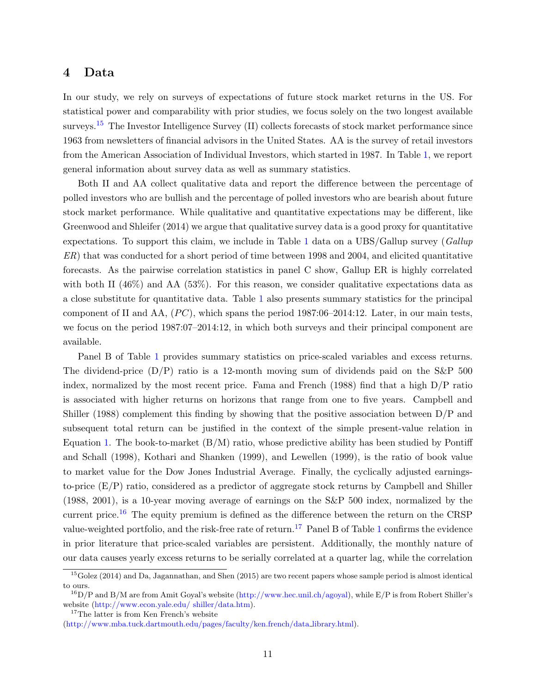### 4 Data

In our study, we rely on surveys of expectations of future stock market returns in the US. For statistical power and comparability with prior studies, we focus solely on the two longest available surveys.<sup>[15](#page-11-0)</sup> The Investor Intelligence Survey (II) collects forecasts of stock market performance since 1963 from newsletters of financial advisors in the United States. AA is the survey of retail investors from the American Association of Individual Investors, which started in 1987. In Table [1,](#page-38-0) we report general information about survey data as well as summary statistics.

Both II and AA collect qualitative data and report the difference between the percentage of polled investors who are bullish and the percentage of polled investors who are bearish about future stock market performance. While qualitative and quantitative expectations may be different, like Greenwood and Shleifer (2014) we argue that qualitative survey data is a good proxy for quantitative expectations. To support this claim, we include in Table [1](#page-38-0) data on a UBS/Gallup survey ( $Gallup$ ER) that was conducted for a short period of time between 1998 and 2004, and elicited quantitative forecasts. As the pairwise correlation statistics in panel C show, Gallup ER is highly correlated with both II  $(46\%)$  and AA  $(53\%)$ . For this reason, we consider qualitative expectations data as a close substitute for quantitative data. Table [1](#page-38-0) also presents summary statistics for the principal component of II and AA,  $(PC)$ , which spans the period 1987:06–2014:12. Later, in our main tests, we focus on the period 1987:07–2014:12, in which both surveys and their principal component are available.

Panel B of Table [1](#page-38-0) provides summary statistics on price-scaled variables and excess returns. The dividend-price  $(D/P)$  ratio is a 12-month moving sum of dividends paid on the S&P 500 index, normalized by the most recent price. Fama and French (1988) find that a high D/P ratio is associated with higher returns on horizons that range from one to five years. Campbell and Shiller (1988) complement this finding by showing that the positive association between  $D/P$  and subsequent total return can be justified in the context of the simple present-value relation in Equation [1.](#page-6-1) The book-to-market  $(B/M)$  ratio, whose predictive ability has been studied by Pontiff and Schall (1998), Kothari and Shanken (1999), and Lewellen (1999), is the ratio of book value to market value for the Dow Jones Industrial Average. Finally, the cyclically adjusted earningsto-price (E/P) ratio, considered as a predictor of aggregate stock returns by Campbell and Shiller (1988, 2001), is a 10-year moving average of earnings on the S&P 500 index, normalized by the current price.<sup>[16](#page-11-1)</sup> The equity premium is defined as the difference between the return on the CRSP value-weighted portfolio, and the risk-free rate of return.<sup>[17](#page-11-2)</sup> Panel B of Table [1](#page-38-0) confirms the evidence in prior literature that price-scaled variables are persistent. Additionally, the monthly nature of our data causes yearly excess returns to be serially correlated at a quarter lag, while the correlation

<span id="page-11-0"></span><sup>&</sup>lt;sup>15</sup>Golez (2014) and Da, Jagannathan, and Shen (2015) are two recent papers whose sample period is almost identical to ours.

<span id="page-11-1"></span> $^{16}D/P$  and B/M are from Amit Goyal's website [\(http://www.hec.unil.ch/agoyal\)](#page-0-0), while E/P is from Robert Shiller's website [\(http://www.econ.yale.edu/ shiller/data.htm\)](#page-0-0).

<span id="page-11-2"></span><sup>&</sup>lt;sup>17</sup>The latter is from Ken French's website

[<sup>\(</sup>http://www.mba.tuck.dartmouth.edu/pages/faculty/ken.french/data](#page-0-0) library.html).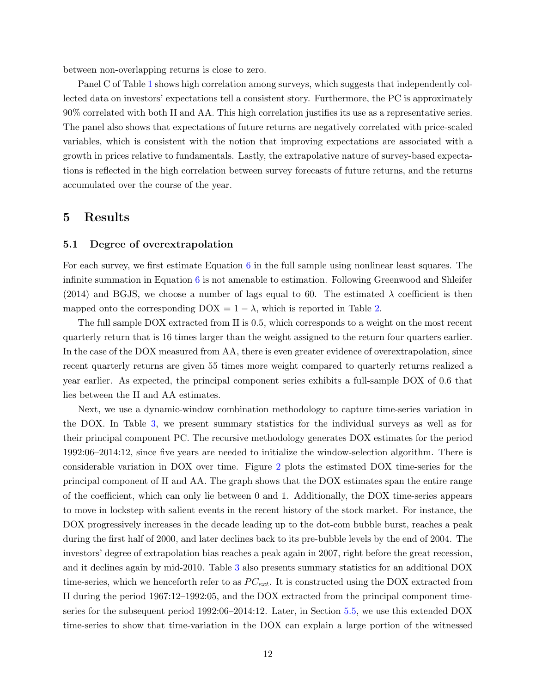between non-overlapping returns is close to zero.

Panel C of Table [1](#page-38-0) shows high correlation among surveys, which suggests that independently collected data on investors' expectations tell a consistent story. Furthermore, the PC is approximately 90% correlated with both II and AA. This high correlation justifies its use as a representative series. The panel also shows that expectations of future returns are negatively correlated with price-scaled variables, which is consistent with the notion that improving expectations are associated with a growth in prices relative to fundamentals. Lastly, the extrapolative nature of survey-based expectations is reflected in the high correlation between survey forecasts of future returns, and the returns accumulated over the course of the year.

### <span id="page-12-0"></span>5 Results

### <span id="page-12-1"></span>5.1 Degree of overextrapolation

For each survey, we first estimate Equation [6](#page-9-1) in the full sample using nonlinear least squares. The infinite summation in Equation [6](#page-9-1) is not amenable to estimation. Following Greenwood and Shleifer (2014) and BGJS, we choose a number of lags equal to 60. The estimated  $\lambda$  coefficient is then mapped onto the corresponding  $DOX = 1 - \lambda$ , which is reported in Table [2.](#page-39-0)

The full sample DOX extracted from II is 0.5, which corresponds to a weight on the most recent quarterly return that is 16 times larger than the weight assigned to the return four quarters earlier. In the case of the DOX measured from AA, there is even greater evidence of overextrapolation, since recent quarterly returns are given 55 times more weight compared to quarterly returns realized a year earlier. As expected, the principal component series exhibits a full-sample DOX of 0.6 that lies between the II and AA estimates.

Next, we use a dynamic-window combination methodology to capture time-series variation in the DOX. In Table [3,](#page-40-0) we present summary statistics for the individual surveys as well as for their principal component PC. The recursive methodology generates DOX estimates for the period 1992:06–2014:12, since five years are needed to initialize the window-selection algorithm. There is considerable variation in DOX over time. Figure [2](#page-34-0) plots the estimated DOX time-series for the principal component of II and AA. The graph shows that the DOX estimates span the entire range of the coefficient, which can only lie between 0 and 1. Additionally, the DOX time-series appears to move in lockstep with salient events in the recent history of the stock market. For instance, the DOX progressively increases in the decade leading up to the dot-com bubble burst, reaches a peak during the first half of 2000, and later declines back to its pre-bubble levels by the end of 2004. The investors' degree of extrapolation bias reaches a peak again in 2007, right before the great recession, and it declines again by mid-2010. Table [3](#page-40-0) also presents summary statistics for an additional DOX time-series, which we henceforth refer to as  $PC_{ext}$ . It is constructed using the DOX extracted from II during the period 1967:12–1992:05, and the DOX extracted from the principal component timeseries for the subsequent period 1992:06–2014:12. Later, in Section [5.5,](#page-17-0) we use this extended DOX time-series to show that time-variation in the DOX can explain a large portion of the witnessed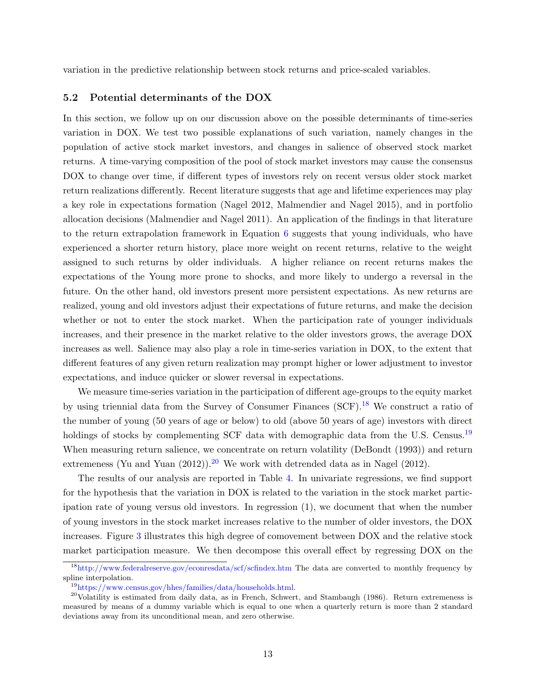<span id="page-13-0"></span>variation in the predictive relationship between stock returns and price-scaled variables.

### 5.2 Potential determinants of the DOX

In this section, we follow up on our discussion above on the possible determinants of time-series variation in DOX. We test two possible explanations of such variation, namely changes in the population of active stock market investors, and changes in salience of observed stock market returns. A time-varying composition of the pool of stock market investors may cause the consensus DOX to change over time, if different types of investors rely on recent versus older stock market return realizations differently. Recent literature suggests that age and lifetime experiences may play a key role in expectations formation (Nagel 2012, Malmendier and Nagel 2015), and in portfolio allocation decisions (Malmendier and Nagel 2011). An application of the findings in that literature to the return extrapolation framework in Equation [6](#page-9-1) suggests that young individuals, who have experienced a shorter return history, place more weight on recent returns, relative to the weight assigned to such returns by older individuals. A higher reliance on recent returns makes the expectations of the Young more prone to shocks, and more likely to undergo a reversal in the future. On the other hand, old investors present more persistent expectations. As new returns are realized, young and old investors adjust their expectations of future returns, and make the decision whether or not to enter the stock market. When the participation rate of younger individuals increases, and their presence in the market relative to the older investors grows, the average DOX increases as well. Salience may also play a role in time-series variation in DOX, to the extent that different features of any given return realization may prompt higher or lower adjustment to investor expectations, and induce quicker or slower reversal in expectations.

We measure time-series variation in the participation of different age-groups to the equity market by using triennial data from the Survey of Consumer Finances (SCF).[18](#page-13-1) We construct a ratio of the number of young (50 years of age or below) to old (above 50 years of age) investors with direct holdings of stocks by complementing SCF data with demographic data from the U.S. Census.<sup>[19](#page-13-2)</sup> When measuring return salience, we concentrate on return volatility (DeBondt (1993)) and return extremeness (Yu and Yuan  $(2012)$  $(2012)$  $(2012)$ ).<sup>20</sup> We work with detrended data as in Nagel  $(2012)$ .

The results of our analysis are reported in Table [4.](#page-41-0) In univariate regressions, we find support for the hypothesis that the variation in DOX is related to the variation in the stock market participation rate of young versus old investors. In regression (1), we document that when the number of young investors in the stock market increases relative to the number of older investors, the DOX increases. Figure [3](#page-35-0) illustrates this high degree of comovement between DOX and the relative stock market participation measure. We then decompose this overall effect by regressing DOX on the

<span id="page-13-1"></span><sup>18</sup>[http://www.federalreserve.gov/econresdata/scf/scfindex.htm](#page-0-0) The data are converted to monthly frequency by spline interpolation.

<span id="page-13-3"></span><span id="page-13-2"></span><sup>19</sup>[https://www.census.gov/hhes/families/data/households.html.](#page-0-0)

 $20$ Volatility is estimated from daily data, as in French, Schwert, and Stambaugh (1986). Return extremeness is measured by means of a dummy variable which is equal to one when a quarterly return is more than 2 standard deviations away from its unconditional mean, and zero otherwise.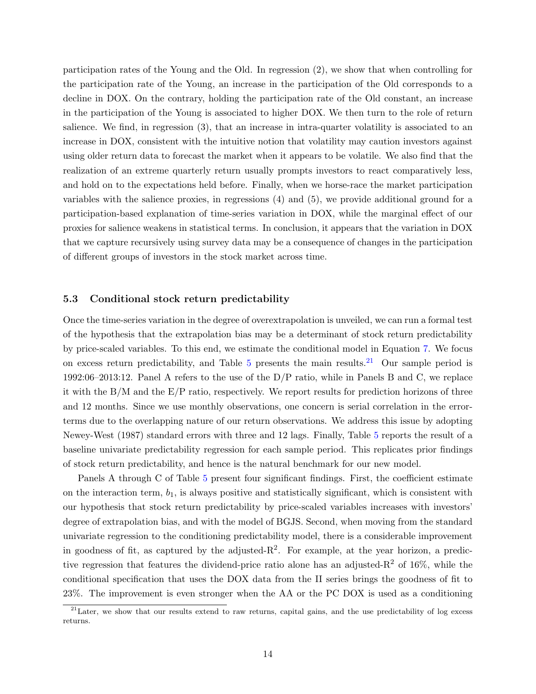participation rates of the Young and the Old. In regression (2), we show that when controlling for the participation rate of the Young, an increase in the participation of the Old corresponds to a decline in DOX. On the contrary, holding the participation rate of the Old constant, an increase in the participation of the Young is associated to higher DOX. We then turn to the role of return salience. We find, in regression (3), that an increase in intra-quarter volatility is associated to an increase in DOX, consistent with the intuitive notion that volatility may caution investors against using older return data to forecast the market when it appears to be volatile. We also find that the realization of an extreme quarterly return usually prompts investors to react comparatively less, and hold on to the expectations held before. Finally, when we horse-race the market participation variables with the salience proxies, in regressions (4) and (5), we provide additional ground for a participation-based explanation of time-series variation in DOX, while the marginal effect of our proxies for salience weakens in statistical terms. In conclusion, it appears that the variation in DOX that we capture recursively using survey data may be a consequence of changes in the participation of different groups of investors in the stock market across time.

### 5.3 Conditional stock return predictability

Once the time-series variation in the degree of overextrapolation is unveiled, we can run a formal test of the hypothesis that the extrapolation bias may be a determinant of stock return predictability by price-scaled variables. To this end, we estimate the conditional model in Equation [7.](#page-10-4) We focus on excess return predictability, and Table  $5$  presents the main results.<sup>[21](#page-14-0)</sup> Our sample period is 1992:06–2013:12. Panel A refers to the use of the D/P ratio, while in Panels B and C, we replace it with the  $B/M$  and the  $E/P$  ratio, respectively. We report results for prediction horizons of three and 12 months. Since we use monthly observations, one concern is serial correlation in the errorterms due to the overlapping nature of our return observations. We address this issue by adopting Newey-West (1987) standard errors with three and 12 lags. Finally, Table [5](#page-44-0) reports the result of a baseline univariate predictability regression for each sample period. This replicates prior findings of stock return predictability, and hence is the natural benchmark for our new model.

Panels A through C of Table [5](#page-44-0) present four significant findings. First, the coefficient estimate on the interaction term,  $b_1$ , is always positive and statistically significant, which is consistent with our hypothesis that stock return predictability by price-scaled variables increases with investors' degree of extrapolation bias, and with the model of BGJS. Second, when moving from the standard univariate regression to the conditioning predictability model, there is a considerable improvement in goodness of fit, as captured by the adjusted- $R^2$ . For example, at the year horizon, a predictive regression that features the dividend-price ratio alone has an adjusted- $R<sup>2</sup>$  of 16%, while the conditional specification that uses the DOX data from the II series brings the goodness of fit to 23%. The improvement is even stronger when the AA or the PC DOX is used as a conditioning

<span id="page-14-0"></span><sup>&</sup>lt;sup>21</sup>Later, we show that our results extend to raw returns, capital gains, and the use predictability of log excess returns.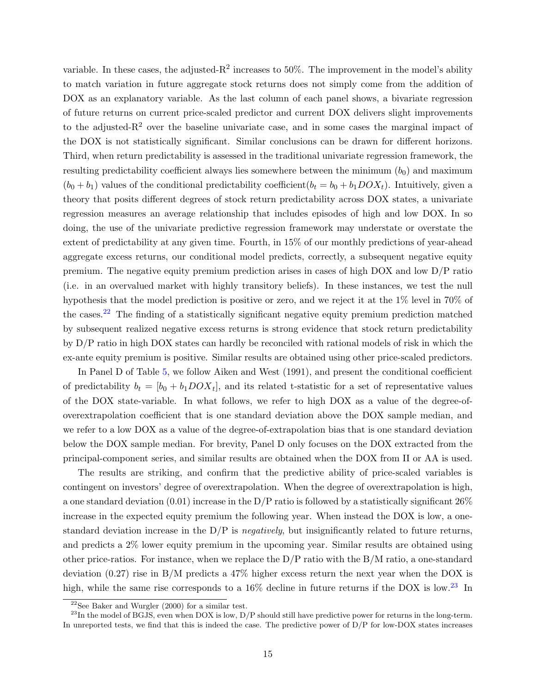variable. In these cases, the adjusted- $R^2$  increases to 50%. The improvement in the model's ability to match variation in future aggregate stock returns does not simply come from the addition of DOX as an explanatory variable. As the last column of each panel shows, a bivariate regression of future returns on current price-scaled predictor and current DOX delivers slight improvements to the adjusted- $R<sup>2</sup>$  over the baseline univariate case, and in some cases the marginal impact of the DOX is not statistically significant. Similar conclusions can be drawn for different horizons. Third, when return predictability is assessed in the traditional univariate regression framework, the resulting predictability coefficient always lies somewhere between the minimum  $(b_0)$  and maximum  $(b_0 + b_1)$  values of the conditional predictability coefficient $(b_t = b_0 + b_1 DOX_t)$ . Intuitively, given a theory that posits different degrees of stock return predictability across DOX states, a univariate regression measures an average relationship that includes episodes of high and low DOX. In so doing, the use of the univariate predictive regression framework may understate or overstate the extent of predictability at any given time. Fourth, in 15% of our monthly predictions of year-ahead aggregate excess returns, our conditional model predicts, correctly, a subsequent negative equity premium. The negative equity premium prediction arises in cases of high DOX and low D/P ratio (i.e. in an overvalued market with highly transitory beliefs). In these instances, we test the null hypothesis that the model prediction is positive or zero, and we reject it at the 1% level in 70% of the cases.[22](#page-15-0) The finding of a statistically significant negative equity premium prediction matched by subsequent realized negative excess returns is strong evidence that stock return predictability by D/P ratio in high DOX states can hardly be reconciled with rational models of risk in which the ex-ante equity premium is positive. Similar results are obtained using other price-scaled predictors.

In Panel D of Table [5,](#page-44-0) we follow Aiken and West (1991), and present the conditional coefficient of predictability  $b_t = [b_0 + b_1 DOX_t]$ , and its related t-statistic for a set of representative values of the DOX state-variable. In what follows, we refer to high DOX as a value of the degree-ofoverextrapolation coefficient that is one standard deviation above the DOX sample median, and we refer to a low DOX as a value of the degree-of-extrapolation bias that is one standard deviation below the DOX sample median. For brevity, Panel D only focuses on the DOX extracted from the principal-component series, and similar results are obtained when the DOX from II or AA is used.

The results are striking, and confirm that the predictive ability of price-scaled variables is contingent on investors' degree of overextrapolation. When the degree of overextrapolation is high, a one standard deviation  $(0.01)$  increase in the D/P ratio is followed by a statistically significant 26% increase in the expected equity premium the following year. When instead the DOX is low, a onestandard deviation increase in the  $D/P$  is *negatively*, but insignificantly related to future returns, and predicts a 2% lower equity premium in the upcoming year. Similar results are obtained using other price-ratios. For instance, when we replace the D/P ratio with the B/M ratio, a one-standard deviation (0.27) rise in B/M predicts a 47% higher excess return the next year when the DOX is high, while the same rise corresponds to a  $16\%$  decline in future returns if the DOX is low.<sup>[23](#page-15-1)</sup> In

<span id="page-15-1"></span><span id="page-15-0"></span><sup>&</sup>lt;sup>22</sup>See Baker and Wurgler  $(2000)$  for a similar test.

 $^{23}$ In the model of BGJS, even when DOX is low, D/P should still have predictive power for returns in the long-term. In unreported tests, we find that this is indeed the case. The predictive power of  $D/P$  for low-DOX states increases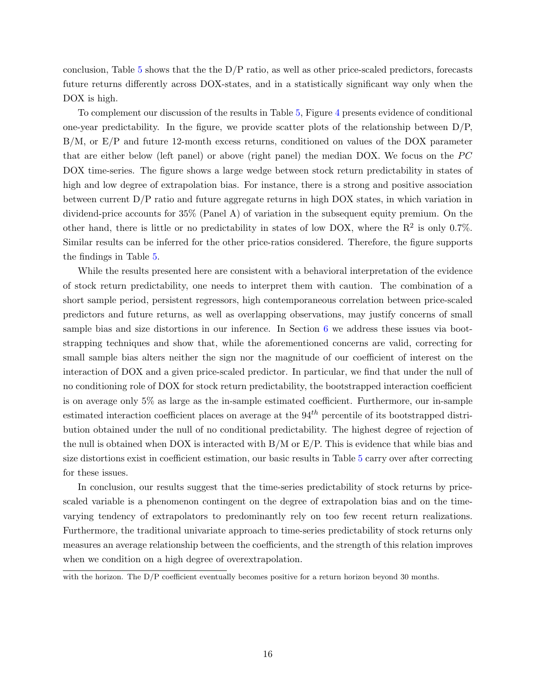conclusion, Table [5](#page-44-0) shows that the the  $D/P$  ratio, as well as other price-scaled predictors, forecasts future returns differently across DOX-states, and in a statistically significant way only when the DOX is high.

To complement our discussion of the results in Table [5,](#page-44-0) Figure [4](#page-36-0) presents evidence of conditional one-year predictability. In the figure, we provide scatter plots of the relationship between  $D/P$ , B/M, or E/P and future 12-month excess returns, conditioned on values of the DOX parameter that are either below (left panel) or above (right panel) the median DOX. We focus on the  $PC$ DOX time-series. The figure shows a large wedge between stock return predictability in states of high and low degree of extrapolation bias. For instance, there is a strong and positive association between current D/P ratio and future aggregate returns in high DOX states, in which variation in dividend-price accounts for 35% (Panel A) of variation in the subsequent equity premium. On the other hand, there is little or no predictability in states of low DOX, where the  $\mathbb{R}^2$  is only 0.7%. Similar results can be inferred for the other price-ratios considered. Therefore, the figure supports the findings in Table [5.](#page-44-0)

While the results presented here are consistent with a behavioral interpretation of the evidence of stock return predictability, one needs to interpret them with caution. The combination of a short sample period, persistent regressors, high contemporaneous correlation between price-scaled predictors and future returns, as well as overlapping observations, may justify concerns of small sample bias and size distortions in our inference. In Section [6](#page-22-0) we address these issues via bootstrapping techniques and show that, while the aforementioned concerns are valid, correcting for small sample bias alters neither the sign nor the magnitude of our coefficient of interest on the interaction of DOX and a given price-scaled predictor. In particular, we find that under the null of no conditioning role of DOX for stock return predictability, the bootstrapped interaction coefficient is on average only 5% as large as the in-sample estimated coefficient. Furthermore, our in-sample estimated interaction coefficient places on average at the  $94<sup>th</sup>$  percentile of its bootstrapped distribution obtained under the null of no conditional predictability. The highest degree of rejection of the null is obtained when DOX is interacted with B/M or E/P. This is evidence that while bias and size distortions exist in coefficient estimation, our basic results in Table [5](#page-44-0) carry over after correcting for these issues.

In conclusion, our results suggest that the time-series predictability of stock returns by pricescaled variable is a phenomenon contingent on the degree of extrapolation bias and on the timevarying tendency of extrapolators to predominantly rely on too few recent return realizations. Furthermore, the traditional univariate approach to time-series predictability of stock returns only measures an average relationship between the coefficients, and the strength of this relation improves when we condition on a high degree of overextrapolation.

with the horizon. The  $D/P$  coefficient eventually becomes positive for a return horizon beyond 30 months.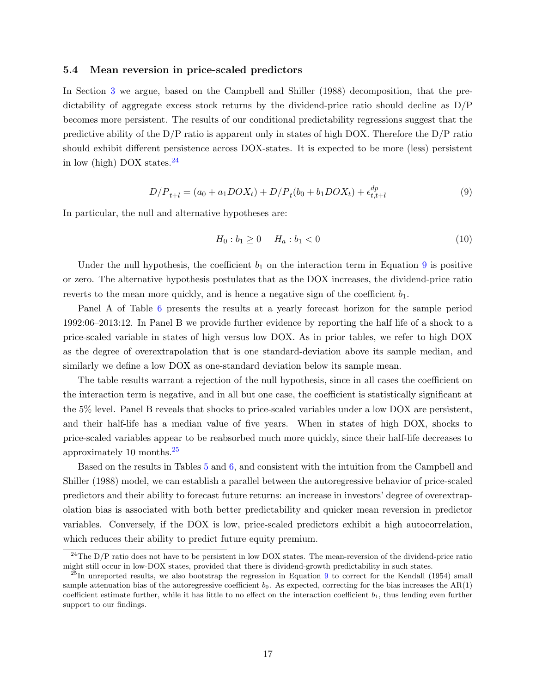### 5.4 Mean reversion in price-scaled predictors

In Section [3](#page-9-0) we argue, based on the Campbell and Shiller (1988) decomposition, that the predictability of aggregate excess stock returns by the dividend-price ratio should decline as  $D/P$ becomes more persistent. The results of our conditional predictability regressions suggest that the predictive ability of the  $D/P$  ratio is apparent only in states of high DOX. Therefore the  $D/P$  ratio should exhibit different persistence across DOX-states. It is expected to be more (less) persistent in low (high) DOX states. $24$ 

<span id="page-17-2"></span>
$$
D/P_{t+l} = (a_0 + a_1 DOX_t) + D/P_t(b_0 + b_1 DOX_t) + \epsilon_{t,t+l}^{dp}
$$
\n(9)

In particular, the null and alternative hypotheses are:

$$
H_0: b_1 \ge 0 \t H_a: b_1 < 0 \t (10)
$$

Under the null hypothesis, the coefficient  $b_1$  on the interaction term in Equation [9](#page-17-2) is positive or zero. The alternative hypothesis postulates that as the DOX increases, the dividend-price ratio reverts to the mean more quickly, and is hence a negative sign of the coefficient  $b_1$ .

Panel A of Table [6](#page-45-0) presents the results at a yearly forecast horizon for the sample period 1992:06–2013:12. In Panel B we provide further evidence by reporting the half life of a shock to a price-scaled variable in states of high versus low DOX. As in prior tables, we refer to high DOX as the degree of overextrapolation that is one standard-deviation above its sample median, and similarly we define a low DOX as one-standard deviation below its sample mean.

The table results warrant a rejection of the null hypothesis, since in all cases the coefficient on the interaction term is negative, and in all but one case, the coefficient is statistically significant at the 5% level. Panel B reveals that shocks to price-scaled variables under a low DOX are persistent, and their half-life has a median value of five years. When in states of high DOX, shocks to price-scaled variables appear to be reabsorbed much more quickly, since their half-life decreases to approximately 10 months.[25](#page-17-3)

Based on the results in Tables [5](#page-44-0) and [6,](#page-45-0) and consistent with the intuition from the Campbell and Shiller (1988) model, we can establish a parallel between the autoregressive behavior of price-scaled predictors and their ability to forecast future returns: an increase in investors' degree of overextrapolation bias is associated with both better predictability and quicker mean reversion in predictor variables. Conversely, if the DOX is low, price-scaled predictors exhibit a high autocorrelation, which reduces their ability to predict future equity premium.

<span id="page-17-1"></span><span id="page-17-0"></span><sup>&</sup>lt;sup>24</sup>The D/P ratio does not have to be persistent in low DOX states. The mean-reversion of the dividend-price ratio might still occur in low-DOX states, provided that there is dividend-growth predictability in such states.

<span id="page-17-3"></span> $^{25}$ In unreported results, we also bootstrap the regression in Equation [9](#page-17-2) to correct for the Kendall (1954) small sample attenuation bias of the autoregressive coefficient  $b_0$ . As expected, correcting for the bias increases the AR(1) coefficient estimate further, while it has little to no effect on the interaction coefficient  $b_1$ , thus lending even further support to our findings.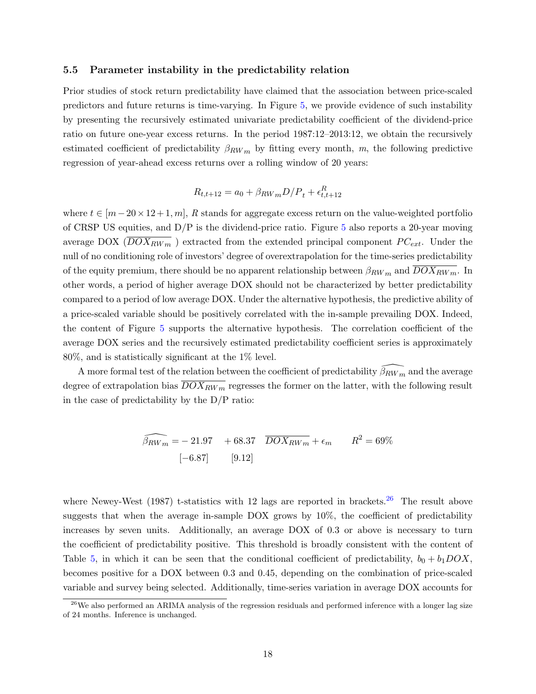### 5.5 Parameter instability in the predictability relation

Prior studies of stock return predictability have claimed that the association between price-scaled predictors and future returns is time-varying. In Figure [5,](#page-37-0) we provide evidence of such instability by presenting the recursively estimated univariate predictability coefficient of the dividend-price ratio on future one-year excess returns. In the period 1987:12–2013:12, we obtain the recursively estimated coefficient of predictability  $\beta_{RWm}$  by fitting every month, m, the following predictive regression of year-ahead excess returns over a rolling window of 20 years:

$$
R_{t,t+12} = a_0 + \beta_{RWm} D/P_t + \epsilon_{t,t+12}^R
$$

where  $t \in [m-20 \times 12+1, m]$ , R stands for aggregate excess return on the value-weighted portfolio of CRSP US equities, and  $D/P$  is the dividend-price ratio. Figure [5](#page-37-0) also reports a 20-year moving average DOX ( $DOX_{RWm}$ ) extracted from the extended principal component  $PC_{ext}$ . Under the null of no conditioning role of investors' degree of overextrapolation for the time-series predictability of the equity premium, there should be no apparent relationship between  $\beta_{RWm}$  and  $DOX_{RWm}$ . In other words, a period of higher average DOX should not be characterized by better predictability compared to a period of low average DOX. Under the alternative hypothesis, the predictive ability of a price-scaled variable should be positively correlated with the in-sample prevailing DOX. Indeed, the content of Figure [5](#page-37-0) supports the alternative hypothesis. The correlation coefficient of the average DOX series and the recursively estimated predictability coefficient series is approximately 80%, and is statistically significant at the 1% level.

A more formal test of the relation between the coefficient of predictability  $\bar{\beta}_{RW}$  and the average degree of extrapolation bias  $\overline{DOX_{RWm}}$  regresses the former on the latter, with the following result in the case of predictability by the D/P ratio:

$$
\widehat{\beta_{RW}}_{m} = -21.97 + 68.37 \overline{DOX_{RW}}_{m} + \epsilon_{m} \qquad R^2 = 69\%
$$
  
[-6.87] [9.12]

where Newey-West (1987) t-statistics with 12 lags are reported in brackets.<sup>[26](#page-18-0)</sup> The result above suggests that when the average in-sample DOX grows by 10%, the coefficient of predictability increases by seven units. Additionally, an average DOX of 0.3 or above is necessary to turn the coefficient of predictability positive. This threshold is broadly consistent with the content of Table [5,](#page-44-0) in which it can be seen that the conditional coefficient of predictability,  $b_0 + b_1 DOX$ , becomes positive for a DOX between 0.3 and 0.45, depending on the combination of price-scaled variable and survey being selected. Additionally, time-series variation in average DOX accounts for

<span id="page-18-0"></span><sup>&</sup>lt;sup>26</sup>We also performed an ARIMA analysis of the regression residuals and performed inference with a longer lag size of 24 months. Inference is unchanged.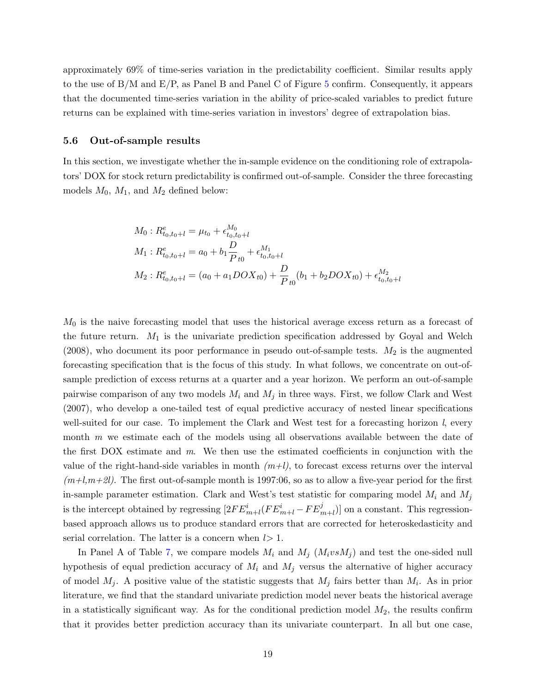approximately 69% of time-series variation in the predictability coefficient. Similar results apply to the use of B/M and E/P, as Panel B and Panel C of Figure [5](#page-37-0) confirm. Consequently, it appears that the documented time-series variation in the ability of price-scaled variables to predict future returns can be explained with time-series variation in investors' degree of extrapolation bias.

### <span id="page-19-0"></span>5.6 Out-of-sample results

In this section, we investigate whether the in-sample evidence on the conditioning role of extrapolators' DOX for stock return predictability is confirmed out-of-sample. Consider the three forecasting models  $M_0$ ,  $M_1$ , and  $M_2$  defined below:

$$
M_0: R_{t_0, t_0+l}^e = \mu_{t_0} + \epsilon_{t_0, t_0+l}^{M_0}
$$
  
\n
$$
M_1: R_{t_0, t_0+l}^e = a_0 + b_1 \frac{D}{P_{t_0}} + \epsilon_{t_0, t_0+l}^{M_1}
$$
  
\n
$$
M_2: R_{t_0, t_0+l}^e = (a_0 + a_1 DOX_{t_0}) + \frac{D}{P_{t_0}}(b_1 + b_2 DOX_{t_0}) + \epsilon_{t_0, t_0+l}^{M_2}
$$

 $M_0$  is the naive forecasting model that uses the historical average excess return as a forecast of the future return.  $M_1$  is the univariate prediction specification addressed by Goyal and Welch  $(2008)$ , who document its poor performance in pseudo out-of-sample tests.  $M_2$  is the augmented forecasting specification that is the focus of this study. In what follows, we concentrate on out-ofsample prediction of excess returns at a quarter and a year horizon. We perform an out-of-sample pairwise comparison of any two models  $M_i$  and  $M_j$  in three ways. First, we follow Clark and West (2007), who develop a one-tailed test of equal predictive accuracy of nested linear specifications well-suited for our case. To implement the Clark and West test for a forecasting horizon l, every month m we estimate each of the models using all observations available between the date of the first DOX estimate and m. We then use the estimated coefficients in conjunction with the value of the right-hand-side variables in month  $(m+l)$ , to forecast excess returns over the interval  $(m+l,m+2l)$ . The first out-of-sample month is 1997:06, so as to allow a five-year period for the first in-sample parameter estimation. Clark and West's test statistic for comparing model  $M_i$  and  $M_j$ is the intercept obtained by regressing  $[2FE_{m+l}^i(FE_{m+l}^i - FE_{m+l}^j)]$  on a constant. This regressionbased approach allows us to produce standard errors that are corrected for heteroskedasticity and serial correlation. The latter is a concern when  $l>1$ .

In Panel A of Table [7,](#page-47-0) we compare models  $M_i$  and  $M_j$  ( $M_i v s M_j$ ) and test the one-sided null hypothesis of equal prediction accuracy of  $M_i$  and  $M_j$  versus the alternative of higher accuracy of model  $M_j$ . A positive value of the statistic suggests that  $M_j$  fairs better than  $M_i$ . As in prior literature, we find that the standard univariate prediction model never beats the historical average in a statistically significant way. As for the conditional prediction model  $M_2$ , the results confirm that it provides better prediction accuracy than its univariate counterpart. In all but one case,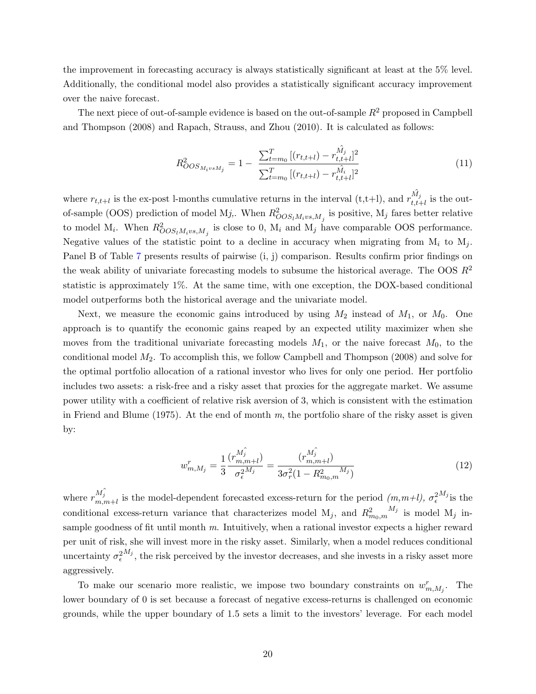the improvement in forecasting accuracy is always statistically significant at least at the 5% level. Additionally, the conditional model also provides a statistically significant accuracy improvement over the naive forecast.

The next piece of out-of-sample evidence is based on the out-of-sample  $R^2$  proposed in Campbell and Thompson (2008) and Rapach, Strauss, and Zhou (2010). It is calculated as follows:

$$
R_{OOS_{M_i v s M_j}}^2 = 1 - \frac{\sum_{t=m_0}^{T} [(r_{t,t+l}) - r_{t,t+l}^{\hat{M}_j}]^2}{\sum_{t=m_0}^{T} [(r_{t,t+l}) - r_{t,t+l}^{\hat{M}_i}]^2}
$$
(11)

where  $r_{t,t+l}$  is the ex-post l-months cumulative returns in the interval (t,t+l), and  $r_{t,t}^{\hat{M}_j}$  $\prod_{t,t+l}^{m_j}$  is the outof-sample (OOS) prediction of model Mj,. When  $R^2_{OOS_lM_ivs,M_j}$  is positive, M<sub>j</sub> fares better relative to model M<sub>i</sub>. When  $R_{OOS_lM_ivs,M_j}^2$  is close to 0, M<sub>i</sub> and M<sub>j</sub> have comparable OOS performance. Negative values of the statistic point to a decline in accuracy when migrating from  $M_i$  to  $M_j$ . Panel B of Table [7](#page-47-0) presents results of pairwise (i, j) comparison. Results confirm prior findings on the weak ability of univariate forecasting models to subsume the historical average. The OOS  $R^2$ statistic is approximately 1%. At the same time, with one exception, the DOX-based conditional model outperforms both the historical average and the univariate model.

Next, we measure the economic gains introduced by using  $M_2$  instead of  $M_1$ , or  $M_0$ . One approach is to quantify the economic gains reaped by an expected utility maximizer when she moves from the traditional univariate forecasting models  $M_1$ , or the naive forecast  $M_0$ , to the conditional model  $M_2$ . To accomplish this, we follow Campbell and Thompson (2008) and solve for the optimal portfolio allocation of a rational investor who lives for only one period. Her portfolio includes two assets: a risk-free and a risky asset that proxies for the aggregate market. We assume power utility with a coefficient of relative risk aversion of 3, which is consistent with the estimation in Friend and Blume (1975). At the end of month  $m$ , the portfolio share of the risky asset is given by:

$$
w_{m,M_j}^r = \frac{1}{3} \frac{(r_{m,m+l}^{\hat{M}_j})}{\sigma_\epsilon^{2M_j}} = \frac{(r_{m,m+l}^{\hat{M}_j})}{3\sigma_r^2 (1 - R_{m_0,m}^2)^{M_j}}
$$
(12)

where  $r_{m}^{\hat{M}_{j}}$  $_{m,m+l}^{M_j}$  is the model-dependent forecasted excess-return for the period  $(m,m+l)$ ,  $\sigma_{\epsilon}^{2M_j}$  is the conditional excess-return variance that characterizes model  $M_j$ , and  $R_{m_0,m}^2$  $^{M_j}$  is model  $M_j$  insample goodness of fit until month  $m$ . Intuitively, when a rational investor expects a higher reward per unit of risk, she will invest more in the risky asset. Similarly, when a model reduces conditional uncertainty  $\sigma_{\epsilon}^{2M_j}$ , the risk perceived by the investor decreases, and she invests in a risky asset more aggressively.

To make our scenario more realistic, we impose two boundary constraints on  $w_{m,M_j}^r$ . The lower boundary of 0 is set because a forecast of negative excess-returns is challenged on economic grounds, while the upper boundary of 1.5 sets a limit to the investors' leverage. For each model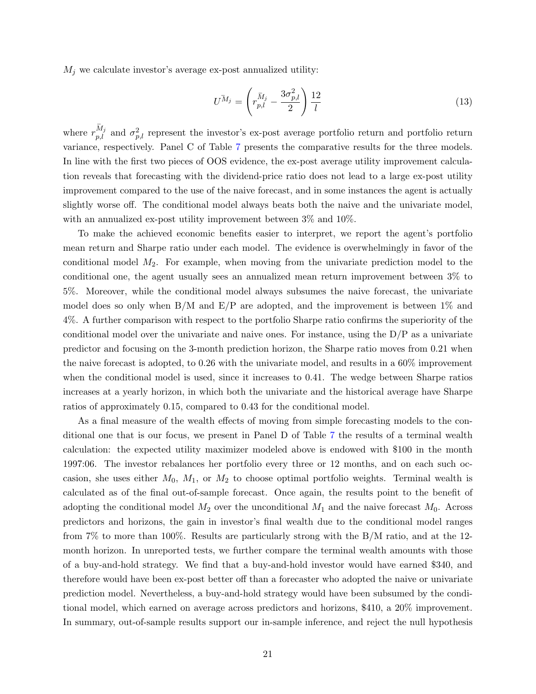$M_i$  we calculate investor's average ex-post annualized utility:

$$
U^{\overline{M}_j} = \left(r_{p,l}^{\overline{M}_j} - \frac{3\sigma_{p,l}^2}{2}\right) \frac{12}{l}
$$
\n
$$
\tag{13}
$$

where  $r_{p,l}^{\bar{M}_j}$  and  $\sigma_{p,l}^2$  represent the investor's ex-post average portfolio return and portfolio return variance, respectively. Panel C of Table [7](#page-47-0) presents the comparative results for the three models. In line with the first two pieces of OOS evidence, the ex-post average utility improvement calculation reveals that forecasting with the dividend-price ratio does not lead to a large ex-post utility improvement compared to the use of the naive forecast, and in some instances the agent is actually slightly worse off. The conditional model always beats both the naive and the univariate model, with an annualized ex-post utility improvement between 3% and 10%.

To make the achieved economic benefits easier to interpret, we report the agent's portfolio mean return and Sharpe ratio under each model. The evidence is overwhelmingly in favor of the conditional model  $M_2$ . For example, when moving from the univariate prediction model to the conditional one, the agent usually sees an annualized mean return improvement between 3% to 5%. Moreover, while the conditional model always subsumes the naive forecast, the univariate model does so only when  $B/M$  and  $E/P$  are adopted, and the improvement is between  $1\%$  and 4%. A further comparison with respect to the portfolio Sharpe ratio confirms the superiority of the conditional model over the univariate and naive ones. For instance, using the  $D/P$  as a univariate predictor and focusing on the 3-month prediction horizon, the Sharpe ratio moves from 0.21 when the naive forecast is adopted, to 0.26 with the univariate model, and results in a 60% improvement when the conditional model is used, since it increases to 0.41. The wedge between Sharpe ratios increases at a yearly horizon, in which both the univariate and the historical average have Sharpe ratios of approximately 0.15, compared to 0.43 for the conditional model.

As a final measure of the wealth effects of moving from simple forecasting models to the conditional one that is our focus, we present in Panel D of Table [7](#page-47-0) the results of a terminal wealth calculation: the expected utility maximizer modeled above is endowed with \$100 in the month 1997:06. The investor rebalances her portfolio every three or 12 months, and on each such occasion, she uses either  $M_0$ ,  $M_1$ , or  $M_2$  to choose optimal portfolio weights. Terminal wealth is calculated as of the final out-of-sample forecast. Once again, the results point to the benefit of adopting the conditional model  $M_2$  over the unconditional  $M_1$  and the naive forecast  $M_0$ . Across predictors and horizons, the gain in investor's final wealth due to the conditional model ranges from 7% to more than 100%. Results are particularly strong with the B/M ratio, and at the 12 month horizon. In unreported tests, we further compare the terminal wealth amounts with those of a buy-and-hold strategy. We find that a buy-and-hold investor would have earned \$340, and therefore would have been ex-post better off than a forecaster who adopted the naive or univariate prediction model. Nevertheless, a buy-and-hold strategy would have been subsumed by the conditional model, which earned on average across predictors and horizons, \$410, a 20% improvement. In summary, out-of-sample results support our in-sample inference, and reject the null hypothesis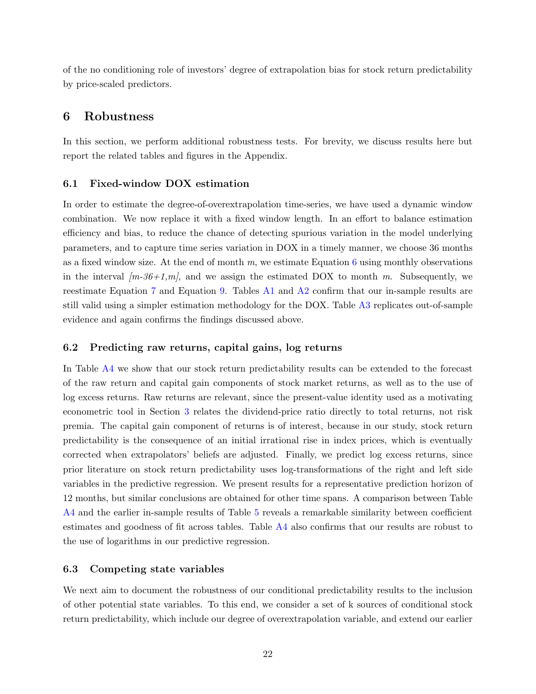of the no conditioning role of investors' degree of extrapolation bias for stock return predictability by price-scaled predictors.

### <span id="page-22-0"></span>6 Robustness

In this section, we perform additional robustness tests. For brevity, we discuss results here but report the related tables and figures in the Appendix.

### 6.1 Fixed-window DOX estimation

In order to estimate the degree-of-overextrapolation time-series, we have used a dynamic window combination. We now replace it with a fixed window length. In an effort to balance estimation efficiency and bias, to reduce the chance of detecting spurious variation in the model underlying parameters, and to capture time series variation in DOX in a timely manner, we choose 36 months as a fixed window size. At the end of month  $m$ , we estimate Equation [6](#page-9-1) using monthly observations in the interval  $[m-36+1,m]$ , and we assign the estimated DOX to month m. Subsequently, we reestimate Equation [7](#page-10-4) and Equation [9.](#page-17-2) Tables [A1](#page-49-0) and [A2](#page-50-0) confirm that our in-sample results are still valid using a simpler estimation methodology for the DOX. Table [A3](#page-52-0) replicates out-of-sample evidence and again confirms the findings discussed above.

### 6.2 Predicting raw returns, capital gains, log returns

In Table [A4](#page-53-0) we show that our stock return predictability results can be extended to the forecast of the raw return and capital gain components of stock market returns, as well as to the use of log excess returns. Raw returns are relevant, since the present-value identity used as a motivating econometric tool in Section [3](#page-9-0) relates the dividend-price ratio directly to total returns, not risk premia. The capital gain component of returns is of interest, because in our study, stock return predictability is the consequence of an initial irrational rise in index prices, which is eventually corrected when extrapolators' beliefs are adjusted. Finally, we predict log excess returns, since prior literature on stock return predictability uses log-transformations of the right and left side variables in the predictive regression. We present results for a representative prediction horizon of 12 months, but similar conclusions are obtained for other time spans. A comparison between Table [A4](#page-53-0) and the earlier in-sample results of Table [5](#page-44-0) reveals a remarkable similarity between coefficient estimates and goodness of fit across tables. Table [A4](#page-53-0) also confirms that our results are robust to the use of logarithms in our predictive regression.

### 6.3 Competing state variables

We next aim to document the robustness of our conditional predictability results to the inclusion of other potential state variables. To this end, we consider a set of k sources of conditional stock return predictability, which include our degree of overextrapolation variable, and extend our earlier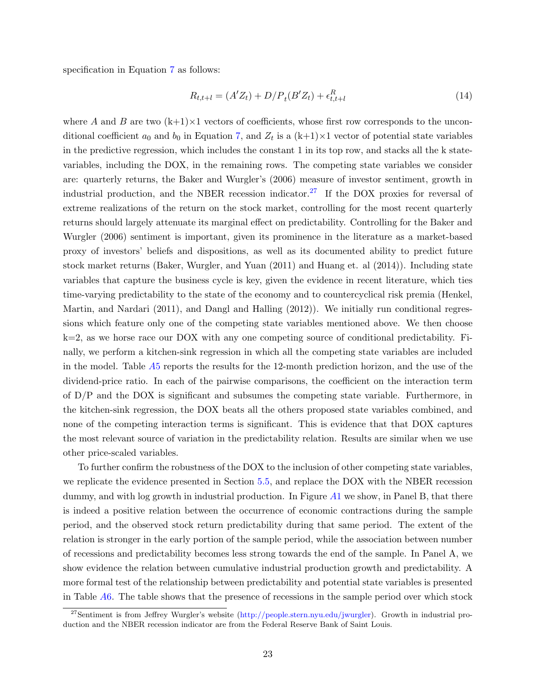specification in Equation [7](#page-10-4) as follows:

$$
R_{t,t+l} = (A'Z_t) + D/P_t(B'Z_t) + \epsilon_{t,t+l}^R
$$
\n(14)

where A and B are two  $(k+1)\times 1$  vectors of coefficients, whose first row corresponds to the unconditional coefficient  $a_0$  and  $b_0$  in Equation [7,](#page-10-4) and  $Z_t$  is a  $(k+1)\times 1$  vector of potential state variables in the predictive regression, which includes the constant 1 in its top row, and stacks all the k statevariables, including the DOX, in the remaining rows. The competing state variables we consider are: quarterly returns, the Baker and Wurgler's (2006) measure of investor sentiment, growth in industrial production, and the NBER recession indicator.<sup>[27](#page-23-0)</sup> If the DOX proxies for reversal of extreme realizations of the return on the stock market, controlling for the most recent quarterly returns should largely attenuate its marginal effect on predictability. Controlling for the Baker and Wurgler (2006) sentiment is important, given its prominence in the literature as a market-based proxy of investors' beliefs and dispositions, as well as its documented ability to predict future stock market returns (Baker, Wurgler, and Yuan (2011) and Huang et. al (2014)). Including state variables that capture the business cycle is key, given the evidence in recent literature, which ties time-varying predictability to the state of the economy and to countercyclical risk premia (Henkel, Martin, and Nardari (2011), and Dangl and Halling (2012)). We initially run conditional regressions which feature only one of the competing state variables mentioned above. We then choose  $k=2$ , as we horse race our DOX with any one competing source of conditional predictability. Finally, we perform a kitchen-sink regression in which all the competing state variables are included in the model. Table [A](#page-54-0)5 reports the results for the 12-month prediction horizon, and the use of the dividend-price ratio. In each of the pairwise comparisons, the coefficient on the interaction term of D/P and the DOX is significant and subsumes the competing state variable. Furthermore, in the kitchen-sink regression, the DOX beats all the others proposed state variables combined, and none of the competing interaction terms is significant. This is evidence that that DOX captures the most relevant source of variation in the predictability relation. Results are similar when we use other price-scaled variables.

To further confirm the robustness of the DOX to the inclusion of other competing state variables, we replicate the evidence presented in Section 5.[5,](#page-17-0) and replace the DOX with the NBER recession dummy, and with log growth in industrial production. In Figure  $A1$  $A1$  we show, in Panel B, that there is indeed a positive relation between the occurrence of economic contractions during the sample period, and the observed stock return predictability during that same period. The extent of the relation is stronger in the early portion of the sample period, while the association between number of recessions and predictability becomes less strong towards the end of the sample. In Panel A, we show evidence the relation between cumulative industrial production growth and predictability. A more formal test of the relationship between predictability and potential state variables is presented in Table [A](#page-56-0)6. The table shows that the presence of recessions in the sample period over which stock

<span id="page-23-0"></span><sup>&</sup>lt;sup>27</sup>Sentiment is from Jeffrey Wurgler's website [\(http://people.stern.nyu.edu/jwurgler\)](#page-0-0). Growth in industrial production and the NBER recession indicator are from the Federal Reserve Bank of Saint Louis.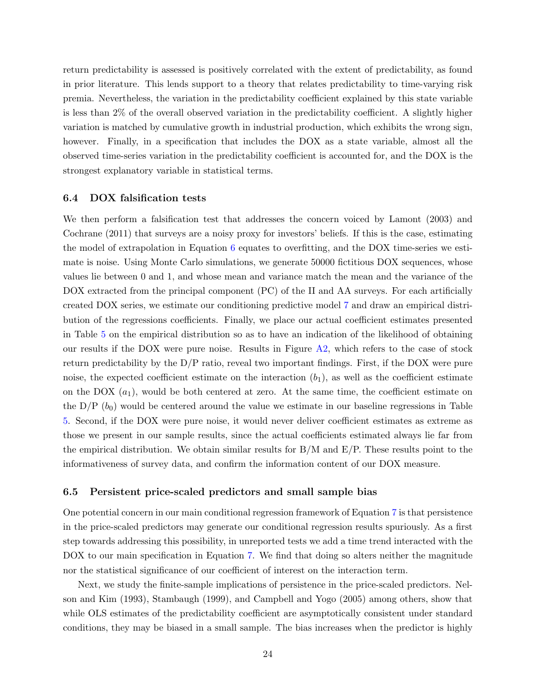return predictability is assessed is positively correlated with the extent of predictability, as found in prior literature. This lends support to a theory that relates predictability to time-varying risk premia. Nevertheless, the variation in the predictability coefficient explained by this state variable is less than 2% of the overall observed variation in the predictability coefficient. A slightly higher variation is matched by cumulative growth in industrial production, which exhibits the wrong sign, however. Finally, in a specification that includes the DOX as a state variable, almost all the observed time-series variation in the predictability coefficient is accounted for, and the DOX is the strongest explanatory variable in statistical terms.

### 6.4 DOX falsification tests

We then perform a falsification test that addresses the concern voiced by Lamont (2003) and Cochrane (2011) that surveys are a noisy proxy for investors' beliefs. If this is the case, estimating the model of extrapolation in Equation  $6$  equates to overfitting, and the DOX time-series we estimate is noise. Using Monte Carlo simulations, we generate 50000 fictitious DOX sequences, whose values lie between 0 and 1, and whose mean and variance match the mean and the variance of the DOX extracted from the principal component (PC) of the II and AA surveys. For each artificially created DOX series, we estimate our conditioning predictive model [7](#page-10-4) and draw an empirical distribution of the regressions coefficients. Finally, we place our actual coefficient estimates presented in Table [5](#page-44-0) on the empirical distribution so as to have an indication of the likelihood of obtaining our results if the DOX were pure noise. Results in Figure [A2,](#page-57-0) which refers to the case of stock return predictability by the D/P ratio, reveal two important findings. First, if the DOX were pure noise, the expected coefficient estimate on the interaction  $(b_1)$ , as well as the coefficient estimate on the DOX  $(a_1)$ , would be both centered at zero. At the same time, the coefficient estimate on the  $D/P$  ( $b_0$ ) would be centered around the value we estimate in our baseline regressions in Table [5.](#page-44-0) Second, if the DOX were pure noise, it would never deliver coefficient estimates as extreme as those we present in our sample results, since the actual coefficients estimated always lie far from the empirical distribution. We obtain similar results for  $B/M$  and  $E/P$ . These results point to the informativeness of survey data, and confirm the information content of our DOX measure.

### 6.5 Persistent price-scaled predictors and small sample bias

One potential concern in our main conditional regression framework of Equation [7](#page-10-4) is that persistence in the price-scaled predictors may generate our conditional regression results spuriously. As a first step towards addressing this possibility, in unreported tests we add a time trend interacted with the DOX to our main specification in Equation [7.](#page-10-4) We find that doing so alters neither the magnitude nor the statistical significance of our coefficient of interest on the interaction term.

Next, we study the finite-sample implications of persistence in the price-scaled predictors. Nelson and Kim (1993), Stambaugh (1999), and Campbell and Yogo (2005) among others, show that while OLS estimates of the predictability coefficient are asymptotically consistent under standard conditions, they may be biased in a small sample. The bias increases when the predictor is highly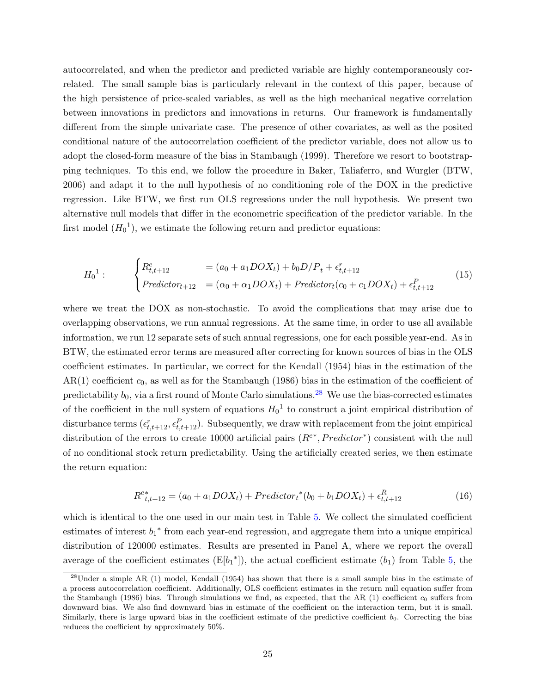autocorrelated, and when the predictor and predicted variable are highly contemporaneously correlated. The small sample bias is particularly relevant in the context of this paper, because of the high persistence of price-scaled variables, as well as the high mechanical negative correlation between innovations in predictors and innovations in returns. Our framework is fundamentally different from the simple univariate case. The presence of other covariates, as well as the posited conditional nature of the autocorrelation coefficient of the predictor variable, does not allow us to adopt the closed-form measure of the bias in Stambaugh (1999). Therefore we resort to bootstrapping techniques. To this end, we follow the procedure in Baker, Taliaferro, and Wurgler (BTW, 2006) and adapt it to the null hypothesis of no conditioning role of the DOX in the predictive regression. Like BTW, we first run OLS regressions under the null hypothesis. We present two alternative null models that differ in the econometric specification of the predictor variable. In the first model  $(H_0^{-1})$ , we estimate the following return and predictor equations:

<span id="page-25-1"></span>
$$
H_0^1: \qquad \begin{cases} R_{t,t+12}^e &= (a_0 + a_1 DOX_t) + b_0D/P_t + \epsilon_{t,t+12}^r \\ \text{Predictor}_{t+12} &= (\alpha_0 + \alpha_1 DOX_t) + \text{Predictor}_t(c_0 + c_1 DOX_t) + \epsilon_{t,t+12}^P \end{cases} \tag{15}
$$

where we treat the DOX as non-stochastic. To avoid the complications that may arise due to overlapping observations, we run annual regressions. At the same time, in order to use all available information, we run 12 separate sets of such annual regressions, one for each possible year-end. As in BTW, the estimated error terms are measured after correcting for known sources of bias in the OLS coefficient estimates. In particular, we correct for the Kendall (1954) bias in the estimation of the  $AR(1)$  coefficient  $c_0$ , as well as for the Stambaugh (1986) bias in the estimation of the coefficient of predictability  $b_0$ , via a first round of Monte Carlo simulations.<sup>[28](#page-25-0)</sup> We use the bias-corrected estimates of the coefficient in the null system of equations  $H_0^1$  to construct a joint empirical distribution of disturbance terms  $(\epsilon_{t,t+12}^p, \epsilon_{t,t+12}^p)$ . Subsequently, we draw with replacement from the joint empirical distribution of the errors to create 10000 artificial pairs  $(R^{e*}, Predictor^*)$  consistent with the null of no conditional stock return predictability. Using the artificially created series, we then estimate the return equation:

$$
R_{t,t+12}^{e*} = (a_0 + a_1 DOX_t) + Predictor_t^*(b_0 + b_1 DOX_t) + \epsilon_{t,t+12}^R
$$
\n(16)

which is identical to the one used in our main test in Table [5.](#page-44-0) We collect the simulated coefficient estimates of interest  $b_1^*$  from each year-end regression, and aggregate them into a unique empirical distribution of 120000 estimates. Results are presented in Panel A, where we report the overall average of the coefficient estimates  $(E[b_1^*])$ , the actual coefficient estimate  $(b_1)$  from Table [5,](#page-44-0) the

<span id="page-25-0"></span> $^{28}$ Under a simple AR (1) model, Kendall (1954) has shown that there is a small sample bias in the estimate of a process autocorrelation coefficient. Additionally, OLS coefficient estimates in the return null equation suffer from the Stambaugh (1986) bias. Through simulations we find, as expected, that the AR (1) coefficient  $c_0$  suffers from downward bias. We also find downward bias in estimate of the coefficient on the interaction term, but it is small. Similarly, there is large upward bias in the coefficient estimate of the predictive coefficient  $b_0$ . Correcting the bias reduces the coefficient by approximately 50%.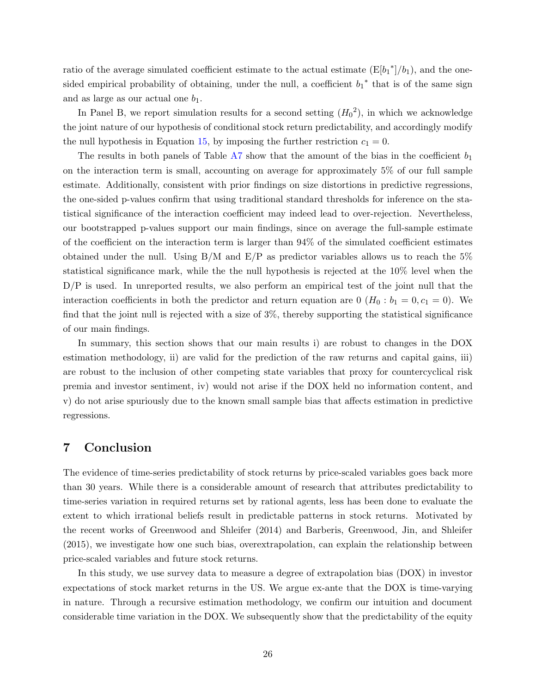ratio of the average simulated coefficient estimate to the actual estimate  $(E[b_1^*]/b_1)$ , and the onesided empirical probability of obtaining, under the null, a coefficient  $b_1^*$  that is of the same sign and as large as our actual one  $b_1$ .

In Panel B, we report simulation results for a second setting  $(H_0^2)$ , in which we acknowledge the joint nature of our hypothesis of conditional stock return predictability, and accordingly modify the null hypothesis in Equation [15,](#page-25-1) by imposing the further restriction  $c_1 = 0$ .

The results in both panels of Table [A7](#page-58-0) show that the amount of the bias in the coefficient  $b_1$ on the interaction term is small, accounting on average for approximately 5% of our full sample estimate. Additionally, consistent with prior findings on size distortions in predictive regressions, the one-sided p-values confirm that using traditional standard thresholds for inference on the statistical significance of the interaction coefficient may indeed lead to over-rejection. Nevertheless, our bootstrapped p-values support our main findings, since on average the full-sample estimate of the coefficient on the interaction term is larger than 94% of the simulated coefficient estimates obtained under the null. Using  $B/M$  and  $E/P$  as predictor variables allows us to reach the 5% statistical significance mark, while the the null hypothesis is rejected at the 10% level when the D/P is used. In unreported results, we also perform an empirical test of the joint null that the interaction coefficients in both the predictor and return equation are  $0$  ( $H_0: b_1 = 0, c_1 = 0$ ). We find that the joint null is rejected with a size of 3%, thereby supporting the statistical significance of our main findings.

In summary, this section shows that our main results i) are robust to changes in the DOX estimation methodology, ii) are valid for the prediction of the raw returns and capital gains, iii) are robust to the inclusion of other competing state variables that proxy for countercyclical risk premia and investor sentiment, iv) would not arise if the DOX held no information content, and v) do not arise spuriously due to the known small sample bias that affects estimation in predictive regressions.

### <span id="page-26-0"></span>7 Conclusion

The evidence of time-series predictability of stock returns by price-scaled variables goes back more than 30 years. While there is a considerable amount of research that attributes predictability to time-series variation in required returns set by rational agents, less has been done to evaluate the extent to which irrational beliefs result in predictable patterns in stock returns. Motivated by the recent works of Greenwood and Shleifer (2014) and Barberis, Greenwood, Jin, and Shleifer (2015), we investigate how one such bias, overextrapolation, can explain the relationship between price-scaled variables and future stock returns.

In this study, we use survey data to measure a degree of extrapolation bias (DOX) in investor expectations of stock market returns in the US. We argue ex-ante that the DOX is time-varying in nature. Through a recursive estimation methodology, we confirm our intuition and document considerable time variation in the DOX. We subsequently show that the predictability of the equity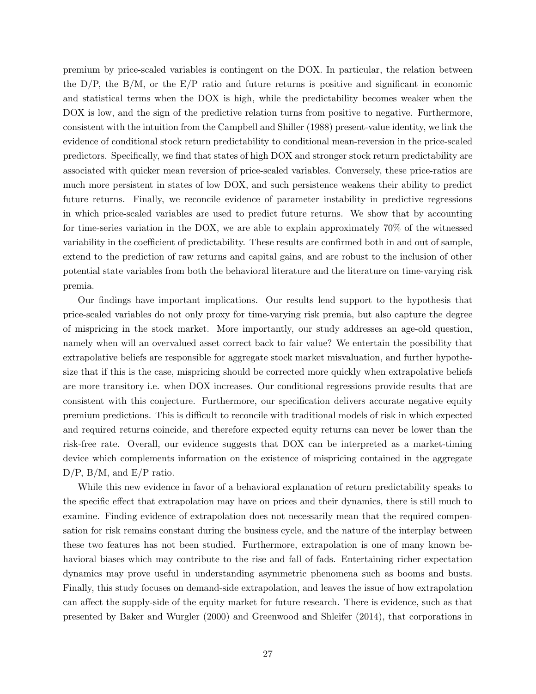premium by price-scaled variables is contingent on the DOX. In particular, the relation between the  $D/P$ , the  $B/M$ , or the  $E/P$  ratio and future returns is positive and significant in economic and statistical terms when the DOX is high, while the predictability becomes weaker when the DOX is low, and the sign of the predictive relation turns from positive to negative. Furthermore, consistent with the intuition from the Campbell and Shiller (1988) present-value identity, we link the evidence of conditional stock return predictability to conditional mean-reversion in the price-scaled predictors. Specifically, we find that states of high DOX and stronger stock return predictability are associated with quicker mean reversion of price-scaled variables. Conversely, these price-ratios are much more persistent in states of low DOX, and such persistence weakens their ability to predict future returns. Finally, we reconcile evidence of parameter instability in predictive regressions in which price-scaled variables are used to predict future returns. We show that by accounting for time-series variation in the DOX, we are able to explain approximately 70% of the witnessed variability in the coefficient of predictability. These results are confirmed both in and out of sample, extend to the prediction of raw returns and capital gains, and are robust to the inclusion of other potential state variables from both the behavioral literature and the literature on time-varying risk premia.

Our findings have important implications. Our results lend support to the hypothesis that price-scaled variables do not only proxy for time-varying risk premia, but also capture the degree of mispricing in the stock market. More importantly, our study addresses an age-old question, namely when will an overvalued asset correct back to fair value? We entertain the possibility that extrapolative beliefs are responsible for aggregate stock market misvaluation, and further hypothesize that if this is the case, mispricing should be corrected more quickly when extrapolative beliefs are more transitory i.e. when DOX increases. Our conditional regressions provide results that are consistent with this conjecture. Furthermore, our specification delivers accurate negative equity premium predictions. This is difficult to reconcile with traditional models of risk in which expected and required returns coincide, and therefore expected equity returns can never be lower than the risk-free rate. Overall, our evidence suggests that DOX can be interpreted as a market-timing device which complements information on the existence of mispricing contained in the aggregate D/P, B/M, and E/P ratio.

While this new evidence in favor of a behavioral explanation of return predictability speaks to the specific effect that extrapolation may have on prices and their dynamics, there is still much to examine. Finding evidence of extrapolation does not necessarily mean that the required compensation for risk remains constant during the business cycle, and the nature of the interplay between these two features has not been studied. Furthermore, extrapolation is one of many known behavioral biases which may contribute to the rise and fall of fads. Entertaining richer expectation dynamics may prove useful in understanding asymmetric phenomena such as booms and busts. Finally, this study focuses on demand-side extrapolation, and leaves the issue of how extrapolation can affect the supply-side of the equity market for future research. There is evidence, such as that presented by Baker and Wurgler (2000) and Greenwood and Shleifer (2014), that corporations in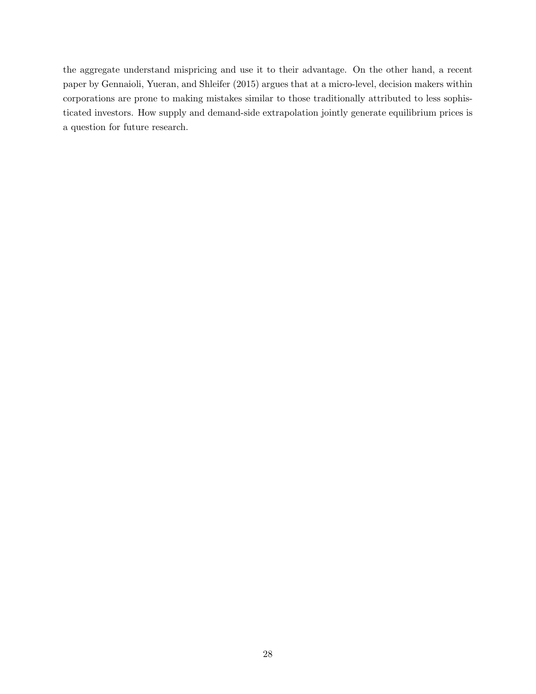the aggregate understand mispricing and use it to their advantage. On the other hand, a recent paper by Gennaioli, Yueran, and Shleifer (2015) argues that at a micro-level, decision makers within corporations are prone to making mistakes similar to those traditionally attributed to less sophisticated investors. How supply and demand-side extrapolation jointly generate equilibrium prices is a question for future research.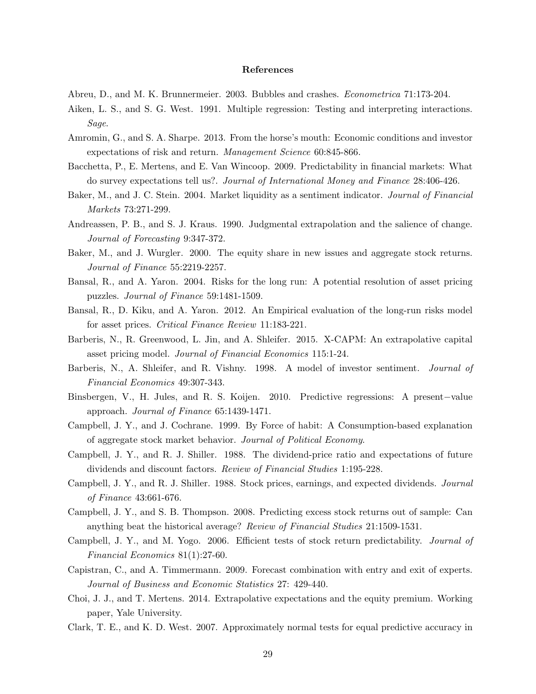### References

Abreu, D., and M. K. Brunnermeier. 2003. Bubbles and crashes. Econometrica 71:173-204.

- Aiken, L. S., and S. G. West. 1991. Multiple regression: Testing and interpreting interactions. Sage.
- Amromin, G., and S. A. Sharpe. 2013. From the horse's mouth: Economic conditions and investor expectations of risk and return. Management Science 60:845-866.
- Bacchetta, P., E. Mertens, and E. Van Wincoop. 2009. Predictability in financial markets: What do survey expectations tell us?. Journal of International Money and Finance 28:406-426.
- Baker, M., and J. C. Stein. 2004. Market liquidity as a sentiment indicator. *Journal of Financial* Markets 73:271-299.
- Andreassen, P. B., and S. J. Kraus. 1990. Judgmental extrapolation and the salience of change. Journal of Forecasting 9:347-372.
- Baker, M., and J. Wurgler. 2000. The equity share in new issues and aggregate stock returns. Journal of Finance 55:2219-2257.
- Bansal, R., and A. Yaron. 2004. Risks for the long run: A potential resolution of asset pricing puzzles. Journal of Finance 59:1481-1509.
- Bansal, R., D. Kiku, and A. Yaron. 2012. An Empirical evaluation of the long-run risks model for asset prices. Critical Finance Review 11:183-221.
- Barberis, N., R. Greenwood, L. Jin, and A. Shleifer. 2015. X-CAPM: An extrapolative capital asset pricing model. Journal of Financial Economics 115:1-24.
- Barberis, N., A. Shleifer, and R. Vishny. 1998. A model of investor sentiment. Journal of Financial Economics 49:307-343.
- Binsbergen, V., H. Jules, and R. S. Koijen. 2010. Predictive regressions: A present−value approach. Journal of Finance 65:1439-1471.
- Campbell, J. Y., and J. Cochrane. 1999. By Force of habit: A Consumption-based explanation of aggregate stock market behavior. Journal of Political Economy.
- Campbell, J. Y., and R. J. Shiller. 1988. The dividend-price ratio and expectations of future dividends and discount factors. Review of Financial Studies 1:195-228.
- Campbell, J. Y., and R. J. Shiller. 1988. Stock prices, earnings, and expected dividends. Journal of Finance 43:661-676.
- Campbell, J. Y., and S. B. Thompson. 2008. Predicting excess stock returns out of sample: Can anything beat the historical average? Review of Financial Studies 21:1509-1531.
- Campbell, J. Y., and M. Yogo. 2006. Efficient tests of stock return predictability. *Journal of* Financial Economics 81(1):27-60.
- Capistran, C., and A. Timmermann. 2009. Forecast combination with entry and exit of experts. Journal of Business and Economic Statistics 27: 429-440.
- Choi, J. J., and T. Mertens. 2014. Extrapolative expectations and the equity premium. Working paper, Yale University.
- Clark, T. E., and K. D. West. 2007. Approximately normal tests for equal predictive accuracy in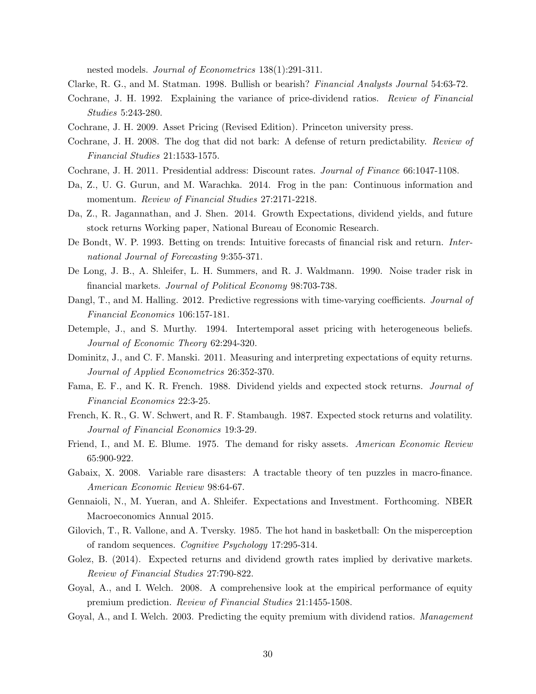nested models. Journal of Econometrics 138(1):291-311.

Clarke, R. G., and M. Statman. 1998. Bullish or bearish? Financial Analysts Journal 54:63-72.

- Cochrane, J. H. 1992. Explaining the variance of price-dividend ratios. Review of Financial Studies 5:243-280.
- Cochrane, J. H. 2009. Asset Pricing (Revised Edition). Princeton university press.
- Cochrane, J. H. 2008. The dog that did not bark: A defense of return predictability. Review of Financial Studies 21:1533-1575.
- Cochrane, J. H. 2011. Presidential address: Discount rates. Journal of Finance 66:1047-1108.
- Da, Z., U. G. Gurun, and M. Warachka. 2014. Frog in the pan: Continuous information and momentum. *Review of Financial Studies* 27:2171-2218.
- Da, Z., R. Jagannathan, and J. Shen. 2014. Growth Expectations, dividend yields, and future stock returns Working paper, National Bureau of Economic Research.
- De Bondt, W. P. 1993. Betting on trends: Intuitive forecasts of financial risk and return. International Journal of Forecasting 9:355-371.
- De Long, J. B., A. Shleifer, L. H. Summers, and R. J. Waldmann. 1990. Noise trader risk in financial markets. Journal of Political Economy 98:703-738.
- Dangl, T., and M. Halling. 2012. Predictive regressions with time-varying coefficients. *Journal of* Financial Economics 106:157-181.
- Detemple, J., and S. Murthy. 1994. Intertemporal asset pricing with heterogeneous beliefs. Journal of Economic Theory 62:294-320.
- Dominitz, J., and C. F. Manski. 2011. Measuring and interpreting expectations of equity returns. Journal of Applied Econometrics 26:352-370.
- Fama, E. F., and K. R. French. 1988. Dividend yields and expected stock returns. *Journal of* Financial Economics 22:3-25.
- French, K. R., G. W. Schwert, and R. F. Stambaugh. 1987. Expected stock returns and volatility. Journal of Financial Economics 19:3-29.
- Friend, I., and M. E. Blume. 1975. The demand for risky assets. American Economic Review 65:900-922.
- Gabaix, X. 2008. Variable rare disasters: A tractable theory of ten puzzles in macro-finance. American Economic Review 98:64-67.
- Gennaioli, N., M. Yueran, and A. Shleifer. Expectations and Investment. Forthcoming. NBER Macroeconomics Annual 2015.
- Gilovich, T., R. Vallone, and A. Tversky. 1985. The hot hand in basketball: On the misperception of random sequences. Cognitive Psychology 17:295-314.
- Golez, B. (2014). Expected returns and dividend growth rates implied by derivative markets. Review of Financial Studies 27:790-822.
- Goyal, A., and I. Welch. 2008. A comprehensive look at the empirical performance of equity premium prediction. Review of Financial Studies 21:1455-1508.
- Goyal, A., and I. Welch. 2003. Predicting the equity premium with dividend ratios. Management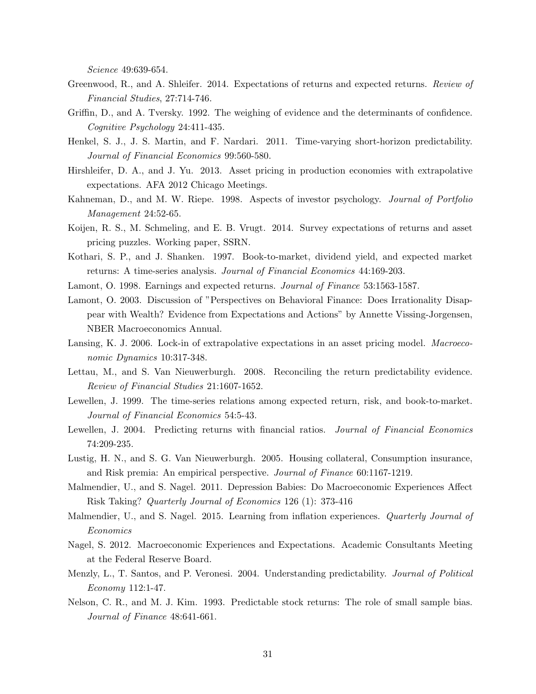Science 49:639-654.

- Greenwood, R., and A. Shleifer. 2014. Expectations of returns and expected returns. Review of Financial Studies, 27:714-746.
- Griffin, D., and A. Tversky. 1992. The weighing of evidence and the determinants of confidence. Cognitive Psychology 24:411-435.
- Henkel, S. J., J. S. Martin, and F. Nardari. 2011. Time-varying short-horizon predictability. Journal of Financial Economics 99:560-580.
- Hirshleifer, D. A., and J. Yu. 2013. Asset pricing in production economies with extrapolative expectations. AFA 2012 Chicago Meetings.
- Kahneman, D., and M. W. Riepe. 1998. Aspects of investor psychology. *Journal of Portfolio* Management 24:52-65.
- Koijen, R. S., M. Schmeling, and E. B. Vrugt. 2014. Survey expectations of returns and asset pricing puzzles. Working paper, SSRN.
- Kothari, S. P., and J. Shanken. 1997. Book-to-market, dividend yield, and expected market returns: A time-series analysis. Journal of Financial Economics 44:169-203.
- Lamont, O. 1998. Earnings and expected returns. Journal of Finance 53:1563-1587.
- Lamont, O. 2003. Discussion of "Perspectives on Behavioral Finance: Does Irrationality Disappear with Wealth? Evidence from Expectations and Actions" by Annette Vissing-Jorgensen, NBER Macroeconomics Annual.
- Lansing, K. J. 2006. Lock-in of extrapolative expectations in an asset pricing model. Macroeconomic Dynamics 10:317-348.
- Lettau, M., and S. Van Nieuwerburgh. 2008. Reconciling the return predictability evidence. Review of Financial Studies 21:1607-1652.
- Lewellen, J. 1999. The time-series relations among expected return, risk, and book-to-market. Journal of Financial Economics 54:5-43.
- Lewellen, J. 2004. Predicting returns with financial ratios. Journal of Financial Economics 74:209-235.
- Lustig, H. N., and S. G. Van Nieuwerburgh. 2005. Housing collateral, Consumption insurance, and Risk premia: An empirical perspective. Journal of Finance 60:1167-1219.
- Malmendier, U., and S. Nagel. 2011. Depression Babies: Do Macroeconomic Experiences Affect Risk Taking? Quarterly Journal of Economics 126 (1): 373-416
- Malmendier, U., and S. Nagel. 2015. Learning from inflation experiences. *Quarterly Journal of* Economics
- Nagel, S. 2012. Macroeconomic Experiences and Expectations. Academic Consultants Meeting at the Federal Reserve Board.
- Menzly, L., T. Santos, and P. Veronesi. 2004. Understanding predictability. Journal of Political Economy 112:1-47.
- Nelson, C. R., and M. J. Kim. 1993. Predictable stock returns: The role of small sample bias. Journal of Finance 48:641-661.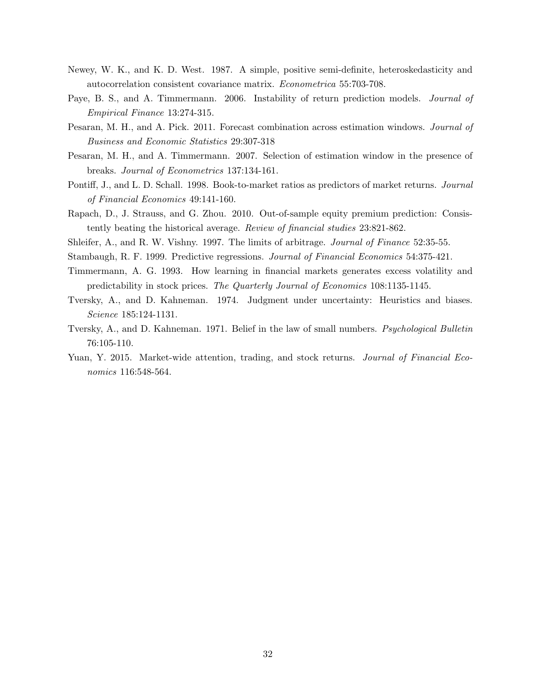- Newey, W. K., and K. D. West. 1987. A simple, positive semi-definite, heteroskedasticity and autocorrelation consistent covariance matrix. Econometrica 55:703-708.
- Paye, B. S., and A. Timmermann. 2006. Instability of return prediction models. *Journal of* Empirical Finance 13:274-315.
- Pesaran, M. H., and A. Pick. 2011. Forecast combination across estimation windows. *Journal of* Business and Economic Statistics 29:307-318
- Pesaran, M. H., and A. Timmermann. 2007. Selection of estimation window in the presence of breaks. Journal of Econometrics 137:134-161.
- Pontiff, J., and L. D. Schall. 1998. Book-to-market ratios as predictors of market returns. Journal of Financial Economics 49:141-160.
- Rapach, D., J. Strauss, and G. Zhou. 2010. Out-of-sample equity premium prediction: Consistently beating the historical average. Review of financial studies 23:821-862.
- Shleifer, A., and R. W. Vishny. 1997. The limits of arbitrage. *Journal of Finance* 52:35-55.
- Stambaugh, R. F. 1999. Predictive regressions. *Journal of Financial Economics* 54:375-421.
- Timmermann, A. G. 1993. How learning in financial markets generates excess volatility and predictability in stock prices. The Quarterly Journal of Economics 108:1135-1145.
- Tversky, A., and D. Kahneman. 1974. Judgment under uncertainty: Heuristics and biases. Science 185:124-1131.
- Tversky, A., and D. Kahneman. 1971. Belief in the law of small numbers. *Psychological Bulletin* 76:105-110.
- Yuan, Y. 2015. Market-wide attention, trading, and stock returns. Journal of Financial Economics 116:548-564.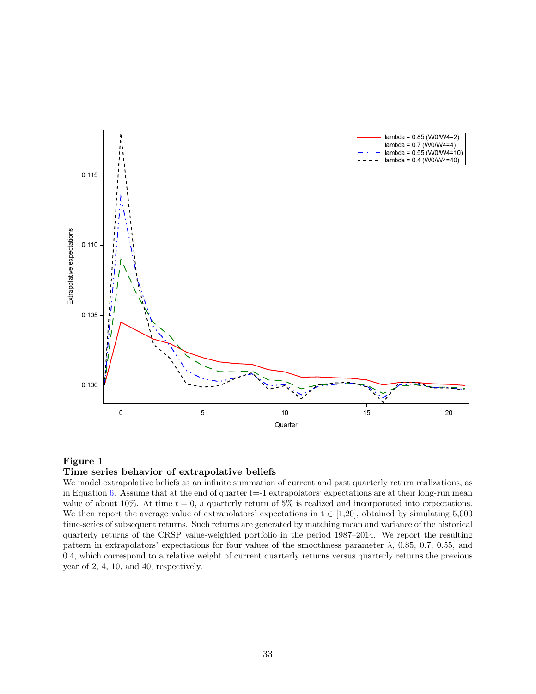<span id="page-33-0"></span>

### Figure 1 Time series behavior of extrapolative beliefs

We model extrapolative beliefs as an infinite summation of current and past quarterly return realizations, as in Equation [6.](#page-9-1) Assume that at the end of quarter t=-1 extrapolators' expectations are at their long-run mean value of about 10%. At time  $t = 0$ , a quarterly return of 5% is realized and incorporated into expectations. We then report the average value of extrapolators' expectations in  $t \in [1,20]$ , obtained by simulating 5,000 time-series of subsequent returns. Such returns are generated by matching mean and variance of the historical quarterly returns of the CRSP value-weighted portfolio in the period 1987–2014. We report the resulting pattern in extrapolators' expectations for four values of the smoothness parameter  $\lambda$ , 0.85, 0.7, 0.55, and 0.4, which correspond to a relative weight of current quarterly returns versus quarterly returns the previous year of 2, 4, 10, and 40, respectively.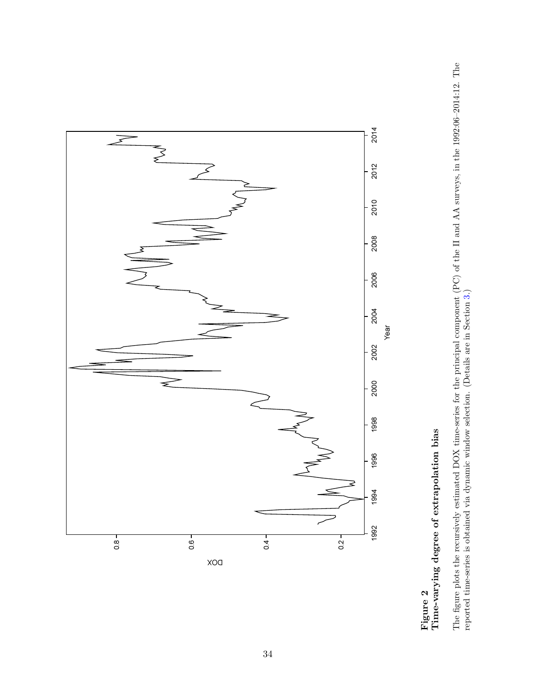<span id="page-34-0"></span>

Figure 2  $$\rm Time-varying$  degree of extrapolation bias Time-varying degree of extrapolation bias

The figure plots the recursively estimated DOX time-series for the principal component (PC) of the II and AA surveys, in the 1992:06-2014:12. The The figure plots the recursively estimated DOX time-series for the principal component (PC) of the II and AA surveys, in the 1992:06–2014:12. The reported time-series is obtained via dynamic window selection. (Details are in Section 3.) reported time-series is obtained via dynamic window selection. (Details are in Section [3.](#page-9-0))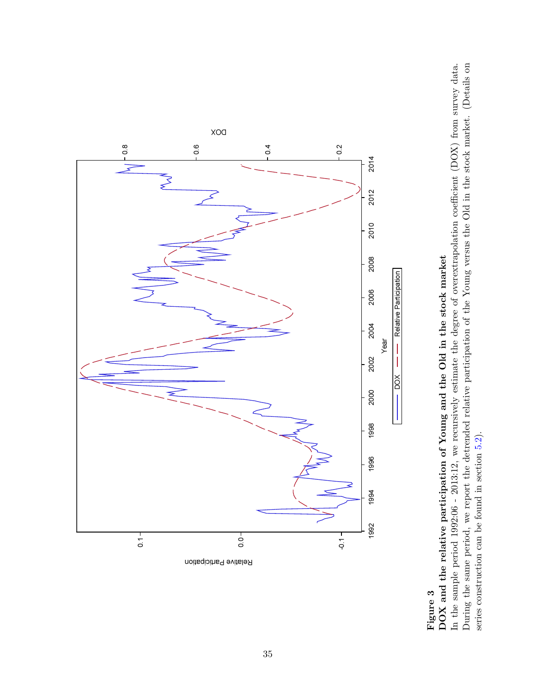<span id="page-35-0"></span>DOX  $-0.6$  $-0.8$ 0.2 0.4 2014 1992 1994 1996 1998 2000 2002 2004 2006 2008 2010 2012 2014 3 2012 2010 2008 Relative Participation Relative Participation 2006 2004 Year 2002 DOX 2000 1998 1996 1994 1992  $0.1 \frac{1}{\circ}$  $-0.1 -$ Relative Participation

# Figure 3<br>DOX and the relative participation of Young and the Old in the stock market DOX and the relative participation of Young and the Old in the stock market

In the sample period 1992:06 - 2013:12, we recursively estimate the degree of overextrapolation coefficient (DOX) from survey data. During the same period, we report the detrended relative participation of the Young versus the Old in the stock market. (Details on During the same period, we report the detrended relative participation of the Young versus the Old in the stock market. (Details on In the sample period 1992:06 - 2013:12, we recursively estimate the degree of overextrapolation coefficient (DOX) from survey data. series construction can be found in section  $5.2$ ). series construction can be found in section [5.2\)](#page-13-0).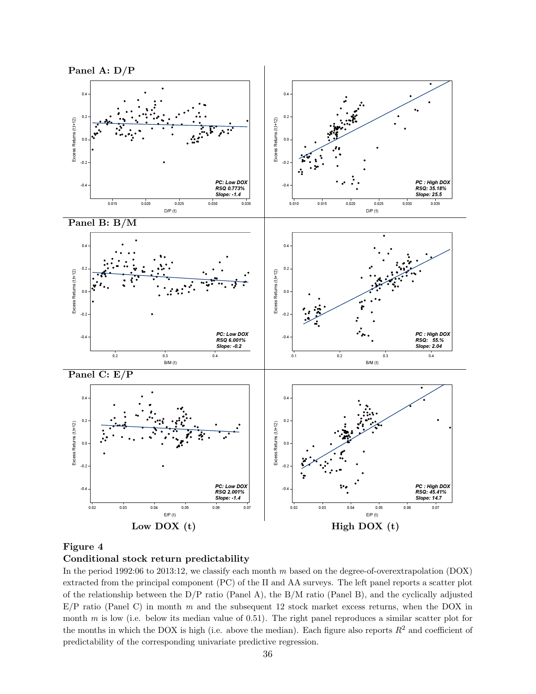<span id="page-36-0"></span>



### Conditional stock return predictability

In the period 1992:06 to 2013:12, we classify each month  $m$  based on the degree-of-overextrapolation (DOX) extracted from the principal component (PC) of the II and AA surveys. The left panel reports a scatter plot of the relationship between the D/P ratio (Panel A), the B/M ratio (Panel B), and the cyclically adjusted  $E/P$  ratio (Panel C) in month m and the subsequent 12 stock market excess returns, when the DOX in month  $m$  is low (i.e. below its median value of 0.51). The right panel reproduces a similar scatter plot for the months in which the DOX is high (i.e. above the median). Each figure also reports  $R^2$  and coefficient of predictability of the corresponding univariate predictive regression.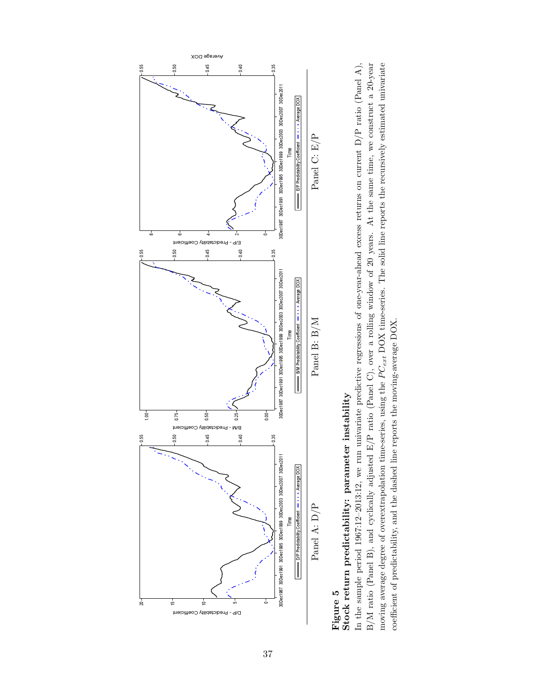<span id="page-37-0"></span>

## Figure 5<br>Stock return predictability: parameter instability Stock return predictability: parameter instability

In the sample period 1967:12-2013:12, we run univariate predictive regressions of one-year-ahead excess returns on current  $D/P$  ratio (Panel A), B/M ratio (Panel B), and cyclically adjusted E/P ratio (Panel C), over a rolling window of 20 years. At the same time, we construct a 20-year moving average degree of overextrapolation time-series, using the  $PC_{ext}$  DOX time-series. The solid line reports the recursively estimated univariate B/M ratio (Panel B), and cyclically adjusted E/P ratio (Panel C), over a rolling window of 20 years. At the same time, we construct a 20-year moving average degree of overextrapolation time-series, using the  $PC_{ext}$  DOX time-series. The solid line reports the recursively estimated univariate In the sample period 1967:12–2013:12, we run univariate predictive regressions of one-year-ahead excess returns on current  $D/P$  ratio (Panel A), coefficient of predictability, and the dashed line reports the moving-average DOX. coefficient of predictability, and the dashed line reports the moving-average DOX.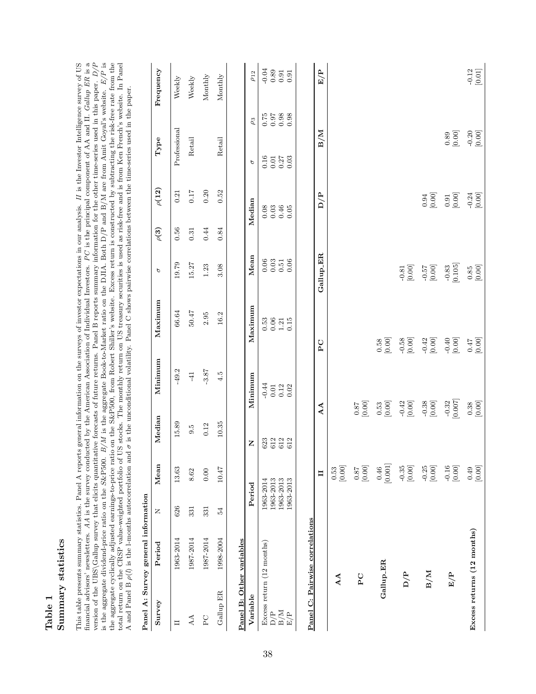| ř<br>ರ<br>5  |
|--------------|
| ŗ<br>r.<br>г |

<span id="page-38-0"></span>version of the UBS\Gallup survey that elicits quantitative forecasts of future returns. Panel B reports summary information for the other time-series used in this paper.  $D/P$  is the aggregate dividend-price ratio on the This table presents summary statistics. Panel A reports general information on the surveys of investor expectations in our analysis. II is the Investor Intelligence survey of US financial advisors' newsletters. AA is the survey conducted by the American Association of Individual Investors. PC is the principal component of AA and II. Gallup ER is a financial advisors' newsletters. AA is the survey conducted by the American Association of Individual Investors. PC is the principal component of AA and II. Gallup ER is a metal investors of A. A. and II. Gallup ER is a m the aggregate cyclically adjusted earnings-to-price ratio on the S&P500, from Robert Shiller's website. Excess return is constructed by subtracting the risk-free rate from the total return on the CRSP value-weighted portfolio of US stocks. The monthly return on US treasury securities is used as risk-free and is from Ken French's website. In Panel A and Panel B  $\rho(l)$  is the l-months autocorrela version of the UBS\Gallup survey that elicits quantitative forecasts of future returns. Panel B reports summary information for the other time-series used in this paper.  $D/P$ This table presents summary statistics. Panel A reports general information on the surveys of investor expectations in our analysis. II is the Investor Intelligence survey of US is the aggregate dividend-price ratio on the S&P500. B/M is the aggregate Book-to-Market ratio on the DJIA. Both D/P and B/M are from Amit Goyal's website. E/P is<br>the aggregate cucilically adjusted comings-to-mic on the S& the aggregate cyclically adjusted earnings-to-price ratio on the S&P500, from Robert Shiller's website. Excess return is constructed by subtracting the risk-free rate from the total return on the CRSP value-weighted portfolio of US stocks. The monthly return on US treasury securities is used as risk-free and is from Ken French's website. In Panel A and Panel B  $\rho(l)$  is the l-months autocorrelation and  $\sigma$  is the unconditional volatility. Panel C shows pairwise correlations between the time-series used in the paper.

| eeneral information |
|---------------------|
|                     |
| Ę<br>ı              |
| í                   |
| ĺ                   |

| Panel A: Survey general information |           |           |                                              |                  |                                              |                                                     |                                                        |           |                       |                                              |          |                                      |
|-------------------------------------|-----------|-----------|----------------------------------------------|------------------|----------------------------------------------|-----------------------------------------------------|--------------------------------------------------------|-----------|-----------------------|----------------------------------------------|----------|--------------------------------------|
| Survey                              | Period    | z         | Mean                                         | Median           | Minimum                                      | Maximum                                             | p                                                      | $\rho(3)$ | $\rho(12)$            | Type                                         |          | Frequency                            |
| н                                   | 1963-2014 | 626       | 13.63                                        | 15.89            | $-49.2$                                      | 66.64                                               | 19.79                                                  | 0.56      | 0.21                  | Professional                                 |          | Weekly                               |
| AA                                  | 1987-2014 | 331       | 8.62                                         | $9.\overline{5}$ | $-41$                                        | 50.47                                               | 15.27                                                  | 0.31      | $0.17\,$              | Retail                                       |          | $\ensuremath{\text{Weakly}}\xspace$  |
| $_{\rm PC}$                         | 1987-2014 | 331       | 0.00                                         | 0.12             | $-3.87$                                      | $2.95\,$                                            | $1.23\,$                                               | 0.44      | $0.20\,$              |                                              |          | Monthly                              |
| Gallup ER                           | 1998-2004 | 24        | 10.47                                        | 10.35            | 4.5                                          | 16.2                                                | 3.08                                                   | 0.84      | 0.52                  | Retail                                       |          | Monthly                              |
| Panel B: Other variables            |           |           |                                              |                  |                                              |                                                     |                                                        |           |                       |                                              |          |                                      |
| Variable                            |           | Period    |                                              | Z                | Minimum                                      | Maximum                                             | Mean                                                   |           | Median                | P                                            | $\rho_3$ | $\rho_{12}$                          |
| Excess return (12 months)           |           | 1963-2014 |                                              | 623              |                                              |                                                     |                                                        |           |                       |                                              | 0.75     |                                      |
| D/P                                 |           | 1963-2013 |                                              | 612              |                                              |                                                     |                                                        |           |                       |                                              | $0.97$   |                                      |
| B/M                                 |           | 1963-2013 |                                              |                  |                                              | $\begin{array}{c} 0.53 \\ 0.06 \\ 1.21 \end{array}$ |                                                        |           | 88848                 | $0.16$<br>$0.01$<br>$0.27$                   | $\,0.98$ | $0.89$<br>$0.89$<br>$0.50$<br>$0.50$ |
| $\mathrm{E}/\mathrm{P}$             |           | 1963-2013 |                                              | 612<br>612       | $0.14$<br>$0.12$<br>$0.12$<br>$0.02$         | 0.15                                                | 88358                                                  |           |                       | 0.03                                         | 0.98     |                                      |
| Panel C: Pairwise correlations      |           |           | $\mathbf{I}$                                 |                  | $\mathbf{A}\mathbf{A}$                       | $\overline{P}$                                      | Gallup_ER                                              |           | D/P                   | M/B                                          |          | E/P                                  |
|                                     |           |           |                                              |                  |                                              |                                                     |                                                        |           |                       |                                              |          |                                      |
| $\mathbf{A} \mathbf{A}$             |           |           | $\begin{bmatrix} 0.53 \\ 0.00 \end{bmatrix}$ |                  |                                              |                                                     |                                                        |           |                       |                                              |          |                                      |
| P <sub>C</sub>                      |           |           | $\begin{bmatrix} 00.0 \\ 5.0 \end{bmatrix}$  |                  | $\begin{bmatrix} 0.00 \\ 3.0 \end{bmatrix}$  |                                                     |                                                        |           |                       |                                              |          |                                      |
| Gallup_ER                           |           |           | $[0.001]$                                    |                  | $\begin{bmatrix} 0.53 \\ 0.00 \end{bmatrix}$ | $0.58$<br>[0.00]                                    |                                                        |           |                       |                                              |          |                                      |
| D/P                                 |           |           | $-0.35$ [0.00]                               |                  | $-0.42$<br>[0.00]                            | $-0.58$<br>[0.00]                                   | $-0.81$<br>[0.00]                                      |           |                       |                                              |          |                                      |
| $\mathbf{B}/\mathbf{M}$             |           |           | $-0.25$ [0.00]                               |                  | $-0.38$ [0.00]                               | $-0.42$ [0.00]                                      | $\begin{bmatrix} 0 & 0 & 0 \\ 0 & 0 & 0 \end{bmatrix}$ |           | [0.00]                |                                              |          |                                      |
| E/P                                 |           |           | $-0.16$<br>[0.00]                            |                  | [0.007]<br>$-0.32$                           | $-0.40$<br>[0.00]                                   | $-0.83$ [0.105]                                        |           | $[0.01] \label{eq:3}$ | $\begin{bmatrix} 0.89 \\ 0.00 \end{bmatrix}$ |          |                                      |
| Excess returns (12 months)          |           |           | [0.00]                                       |                  | $\begin{bmatrix} 0.38 \\ 0.00 \end{bmatrix}$ | [0.00]                                              | $[0.00]$                                               |           | $-0.24$<br>[0.00]     | $-0.20$<br>[0.00]                            |          | $-0.12$<br>[0.01]                    |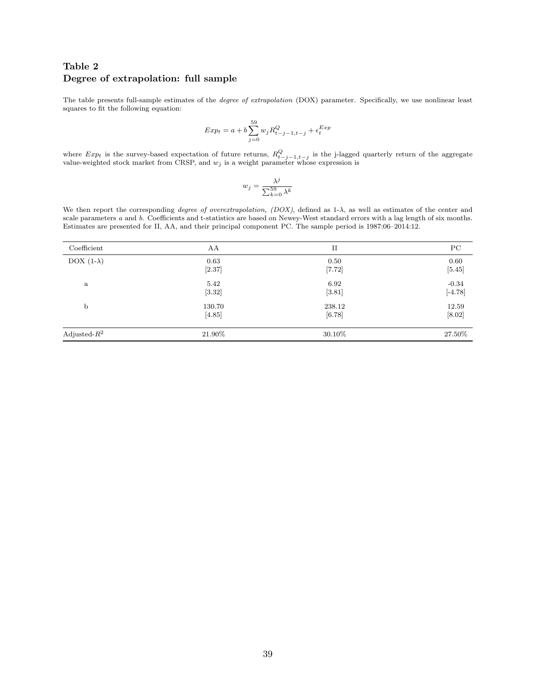### <span id="page-39-0"></span>Table 2 Degree of extrapolation: full sample

The table presents full-sample estimates of the *degree of extrapolation* (DOX) parameter. Specifically, we use nonlinear least squares to fit the following equation:

$$
Exp_t = a + b \sum_{j=0}^{59} w_j R^Q_{t-j-1,t-j} + \epsilon_t^{Exp}
$$

where  $Exp_t$  is the survey-based expectation of future returns,  $R_{t-j-1,t-j}^Q$  is the j-lagged quarterly return of the aggregate value-weighted stock market from CRSP, and  $w_j$  is a weight parameter whose expression is

$$
w_j = \frac{\lambda^j}{\sum_{k=0}^{59} \lambda^k}
$$

We then report the corresponding degree of overextrapolation,  $(DOX)$ , defined as 1- $\lambda$ , as well as estimates of the center and scale parameters a and b. Coefficients and t-statistics are based on Newey-West standard errors with a lag length of six months. Estimates are presented for II, AA, and their principal component PC. The sample period is 1987:06–2014:12.

| Coefficient       | AA       | П        | $_{\rm PC}$ |
|-------------------|----------|----------|-------------|
| DOX $(1-\lambda)$ | 0.63     | 0.50     | 0.60        |
|                   | [2.37]   | $[7.72]$ | $[5.45]$    |
| $\rm{a}$          | 5.42     | 6.92     | $-0.34$     |
|                   | $[3.32]$ | [3.81]   | $[-4.78]$   |
| b                 | 130.70   | 238.12   | 12.59       |
|                   | [4.85]   | [6.78]   | $[8.02]$    |
| Adjusted- $R^2$   | 21.90%   | 30.10%   | 27.50%      |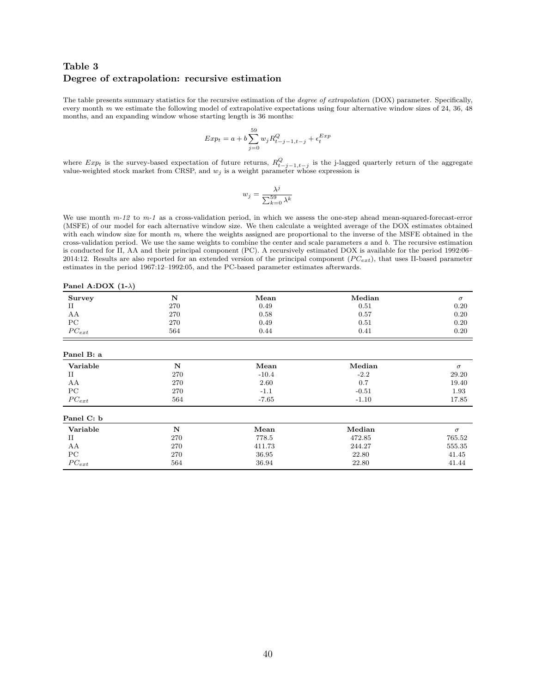### <span id="page-40-0"></span>Table 3 Degree of extrapolation: recursive estimation

The table presents summary statistics for the recursive estimation of the *degree of extrapolation* (DOX) parameter. Specifically, every month  $m$  we estimate the following model of extrapolative expectations using four alternative window sizes of 24, 36, 48 months, and an expanding window whose starting length is 36 months:

$$
Exp_t = a + b \sum_{j=0}^{59} w_j R_{t-j-1,t-j}^Q + \epsilon_t^{Exp}
$$

where  $Exp_t$  is the survey-based expectation of future returns,  $R_{t-j-1,t-j}^Q$  is the j-lagged quarterly return of the aggregate value-weighted stock market from CRSP, and  $w_j$  is a weight parameter whose expression is

$$
w_j = \frac{\lambda^j}{\sum_{k=0}^{59} \lambda^k}
$$

We use month  $m-12$  to  $m-1$  as a cross-validation period, in which we assess the one-step ahead mean-squared-forecast-error (MSFE) of our model for each alternative window size. We then calculate a weighted average of the DOX estimates obtained with each window size for month  $m$ , where the weights assigned are proportional to the inverse of the MSFE obtained in the cross-validation period. We use the same weights to combine the center and scale parameters a and b. The recursive estimation is conducted for II, AA and their principal component (PC). A recursively estimated DOX is available for the period 1992:06– 2014:12. Results are also reported for an extended version of the principal component  $(PC_{ext})$ , that uses II-based parameter estimates in the period 1967:12–1992:05, and the PC-based parameter estimates afterwards.

| Survey      | N           | Mean    | Median  | $\sigma$ |
|-------------|-------------|---------|---------|----------|
| П           | 270         | 0.49    | 0.51    | 0.20     |
| AA          | 270         | 0.58    | 0.57    | 0.20     |
| $_{\rm PC}$ | 270         | 0.49    | 0.51    | 0.20     |
| $PC_{ext}$  | 564         | 0.44    | 0.41    | 0.20     |
| Panel B: a  |             |         |         |          |
| Variable    | N           | Mean    | Median  | $\sigma$ |
| $_{\rm II}$ | 270         | $-10.4$ | $-2.2$  | 29.20    |
| AA          | 270         | 2.60    | 0.7     | 19.40    |
| $_{\rm PC}$ | 270         | $-1.1$  | $-0.51$ | 1.93     |
| $PC_{ext}$  | 564         | $-7.65$ | $-1.10$ | 17.85    |
| Panel C: b  |             |         |         |          |
| Variable    | $\mathbf N$ | Mean    | Median  | $\sigma$ |
| $_{\rm II}$ | 270         | 778.5   | 472.85  | 765.52   |
| AA          | 270         | 411.73  | 244.27  | 555.35   |
| $_{\rm PC}$ | 270         | 36.95   | 22.80   | 41.45    |
| $PC_{ext}$  | 564         | 36.94   | 22.80   | 41.44    |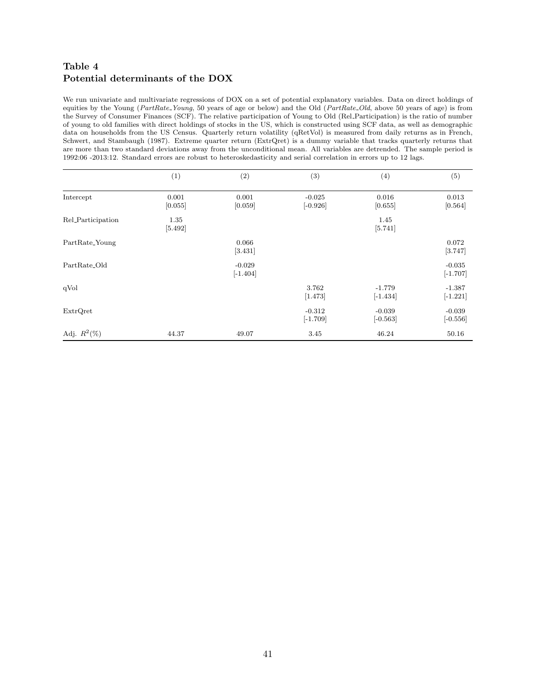### <span id="page-41-0"></span>Table 4 Potential determinants of the DOX

We run univariate and multivariate regressions of DOX on a set of potential explanatory variables. Data on direct holdings of equities by the Young (*PartRate\_Young*, 50 years of age or below) and the Old (*PartRate\_Old*, above 50 years of age) is from the Survey of Consumer Finances (SCF). The relative participation of Young to Old (Rel Participation) is the ratio of number of young to old families with direct holdings of stocks in the US, which is constructed using SCF data, as well as demographic data on households from the US Census. Quarterly return volatility (qRetVol) is measured from daily returns as in French, Schwert, and Stambaugh (1987). Extreme quarter return (ExtrQret) is a dummy variable that tracks quarterly returns that are more than two standard deviations away from the unconditional mean. All variables are detrended. The sample period is 1992:06 -2013:12. Standard errors are robust to heteroskedasticity and serial correlation in errors up to 12 lags.

|                   | (1)              | (2)                    | (3)                    | (4)                    | (5)                    |
|-------------------|------------------|------------------------|------------------------|------------------------|------------------------|
| Intercept         | 0.001<br>[0.055] | 0.001<br>[0.059]       | $-0.025$<br>$[-0.926]$ | 0.016<br>[0.655]       | 0.013<br>[0.564]       |
| Rel_Participation | 1.35<br>[5.492]  |                        |                        | 1.45<br>[5.741]        |                        |
| PartRate_Young    |                  | 0.066<br>[3.431]       |                        |                        | 0.072<br>[3.747]       |
| PartRate_Old      |                  | $-0.029$<br>$[-1.404]$ |                        |                        | $-0.035$<br>$[-1.707]$ |
| qVol              |                  |                        | 3.762<br>[1.473]       | $-1.779$<br>$[-1.434]$ | $-1.387$<br>$[-1.221]$ |
| ExtrQret          |                  |                        | $-0.312$<br>$[-1.709]$ | $-0.039$<br>$[-0.563]$ | $-0.039$<br>$[-0.556]$ |
| Adj. $R^2(\%)$    | 44.37            | 49.07                  | 3.45                   | 46.24                  | 50.16                  |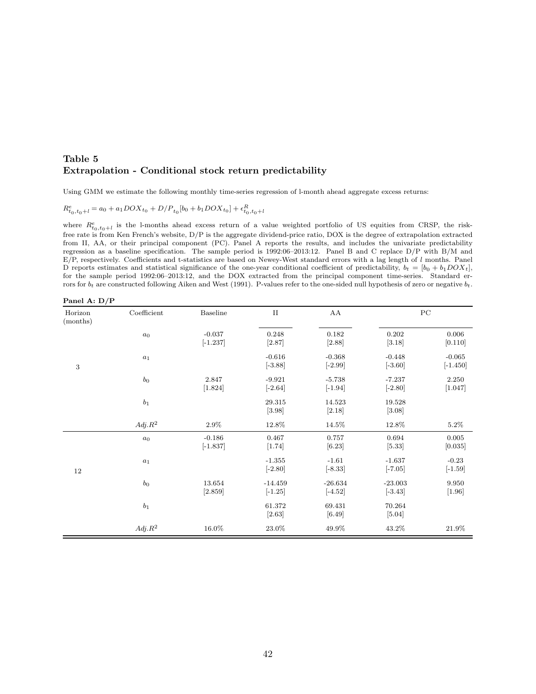### Table 5 Extrapolation - Conditional stock return predictability

Using GMM we estimate the following monthly time-series regression of l-month ahead aggregate excess returns:

$$
R_{t_0,t_0+l}^e = a_0 + a_1 DOX_{t_0} + D/P_{t_0}[b_0 + b_1 DOX_{t_0}] + \epsilon_{t_0,t_0+l}^R
$$

where  $R_{t_0,t_0+l}^e$  is the l-months ahead excess return of a value weighted portfolio of US equities from CRSP, the riskfree rate is from Ken French's website, D/P is the aggregate dividend-price ratio, DOX is the degree of extrapolation extracted from II, AA, or their principal component (PC). Panel A reports the results, and includes the univariate predictability regression as a baseline specification. The sample period is 1992:06–2013:12. Panel B and C replace D/P with B/M and  $E/P$ , respectively. Coefficients and t-statistics are based on Newey-West standard errors with a lag length of l months. Panel D reports estimates and statistical significance of the one-year conditional coefficient of predictability,  $b_t = [b_0 + b_1 DOX_t]$ , for the sample period 1992:06–2013:12, and the DOX extracted from the principal component time-series. Standard errors for  $b_t$  are constructed following Aiken and West (1991). P-values refer to the one-sided null hypothesis of zero or negative  $b_t$ .

| Panel A: $D/P$      |                    |                        |                        |                        |                        |                        |
|---------------------|--------------------|------------------------|------------------------|------------------------|------------------------|------------------------|
| Horizon<br>(months) | Coefficient        | Baseline               | $_{\rm II}$            | AA                     |                        | ${\rm PC}$             |
|                     | $a_0$              | $-0.037$<br>$[-1.237]$ | $\,0.248\,$<br>[2.87]  | $\rm 0.182$<br>[2.88]  | 0.202<br>[3.18]        | $0.006\,$<br>[0.110]   |
| $\sqrt{3}$          | $\boldsymbol{a}_1$ |                        | $-0.616$<br>$[-3.88]$  | $-0.368$<br>$[-2.99]$  | $-0.448$<br>$[-3.60]$  | $-0.065$<br>$[-1.450]$ |
|                     | b <sub>0</sub>     | 2.847<br>[1.824]       | $-9.921$<br>$[-2.64]$  | $-5.738$<br>$[-1.94]$  | $-7.237$<br>$[-2.80]$  | 2.250<br>[1.047]       |
|                     | b <sub>1</sub>     |                        | 29.315<br>[3.98]       | 14.523<br>[2.18]       | 19.528<br>[3.08]       |                        |
|                     | $Adj.R^2$          | 2.9%                   | 12.8%                  | 14.5%                  | 12.8%                  | $5.2\%$                |
|                     | $a_0$              | $-0.186$<br>$[-1.837]$ | 0.467<br>[1.74]        | 0.757<br>$[6.23]$      | $\,0.694\,$<br>[5.33]  | 0.005<br>[0.035]       |
| $12\,$              | $\boldsymbol{a}_1$ |                        | $-1.355$<br>$[-2.80]$  | $-1.61$<br>$[-8.33]$   | $-1.637$<br>$[-7.05]$  | $-0.23$<br>$[-1.59]$   |
|                     | $b_0$              | 13.654<br>[2.859]      | $-14.459$<br>$[-1.25]$ | $-26.634$<br>$[-4.52]$ | $-23.003$<br>$[-3.43]$ | 9.950<br>$[1.96]$      |
|                     | b <sub>1</sub>     |                        | 61.372<br>[2.63]       | 69.431<br>$[6.49]$     | 70.264<br>$[5.04]$     |                        |
|                     | $Adj.R^2$          | 16.0%                  | 23.0%                  | 49.9%                  | 43.2%                  | 21.9%                  |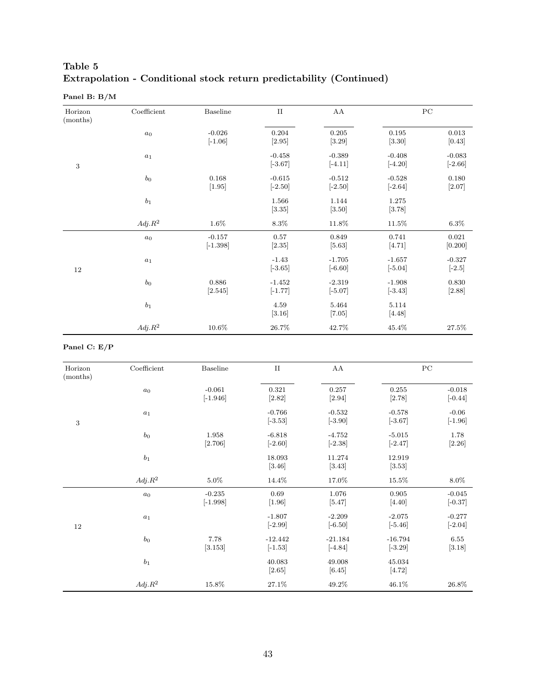### Table 5 Extrapolation - Conditional stock return predictability (Continued)

### Panel B: B/M

| Horizon<br>(months) | Coefficient        | Baseline               | $\rm II$               | AA                     | PC                     |                       |
|---------------------|--------------------|------------------------|------------------------|------------------------|------------------------|-----------------------|
|                     | $\boldsymbol{a}_0$ | $-0.026$<br>$[-1.06]$  | 0.204<br>[2.95]        | 0.205<br>[3.29]        | 0.195<br>[3.30]        | $\,0.013\,$<br>[0.43] |
| $\,3$               | $\boldsymbol{a}_1$ |                        | $-0.458$<br>$[-3.67]$  | $-0.389$<br>$[-4.11]$  | $-0.408$<br>$[-4.20]$  | $-0.083$<br>$[-2.66]$ |
|                     | $\mathfrak{b}_0$   | 0.168<br>[1.95]        | $-0.615$<br>$[-2.50]$  | $-0.512$<br>$[-2.50]$  | $-0.528$<br>$[-2.64]$  | 0.180<br>[2.07]       |
|                     | $\mathfrak{b}_1$   |                        | 1.566<br>[3.35]        | 1.144<br>$[3.50]$      | 1.275<br>[3.78]        |                       |
|                     | $Adj.R^2$          | $1.6\%$                | $8.3\%$                | $11.8\%$               | 11.5%                  | $6.3\%$               |
|                     | $\boldsymbol{a}_0$ | $-0.157$<br>$[-1.398]$ | $0.57\,$<br>[2.35]     | 0.849<br>[5.63]        | 0.741<br>[4.71]        | 0.021<br>[0.200]      |
| $12\,$              | $\boldsymbol{a}_1$ |                        | $-1.43$<br>$[-3.65]$   | $-1.705$<br>$[-6.60]$  | $-1.657$<br>$[-5.04]$  | $-0.327$<br>$[-2.5]$  |
|                     | $\mathfrak{b}_0$   | 0.886<br>[2.545]       | $-1.452$<br>$[-1.77]$  | $-2.319$<br>$[-5.07]$  | $-1.908$<br>$[-3.43]$  | 0.830<br>[2.88]       |
|                     | $\mathfrak{b}_1$   |                        | 4.59<br>[3.16]         | 5.464<br>[7.05]        | 5.114<br>[4.48]        |                       |
|                     | $Adj.R^2$          | $10.6\%$               | $26.7\%$               | $42.7\%$               | $45.4\%$               | $27.5\%$              |
| Panel C: E/P        |                    |                        |                        |                        |                        |                       |
| Horizon<br>(months) | Coefficient        | Baseline               | $\rm II$               | ${\rm AA}$             | ${\rm P}{\bf C}$       |                       |
|                     | $\boldsymbol{a}_0$ | $-0.061$<br>$[-1.946]$ | 0.321<br>[2.82]        | 0.257<br>[2.94]        | 0.255<br>[2.78]        | $-0.018$<br>$[-0.44]$ |
| $\,3$               | $\boldsymbol{a}_1$ |                        | $-0.766$<br>$[-3.53]$  | $-0.532$<br>$[-3.90]$  | $-0.578$<br>$[-3.67]$  | $-0.06$<br>$[-1.96]$  |
|                     | b <sub>0</sub>     | 1.958<br>[2.706]       | $-6.818$<br>$[-2.60]$  | $-4.752$<br>$[-2.38]$  | $-5.015$<br>$[-2.47]$  | 1.78<br>[2.26]        |
|                     | $b_1$              |                        | 18.093<br>[3.46]       | 11.274<br>[3.43]       | 12.919<br>[3.53]       |                       |
|                     | $Adj.R^2$          | 5.0%                   | 14.4%                  | 17.0%                  | 15.5%                  | 8.0%                  |
|                     | $\boldsymbol{a}_0$ | $-0.235$<br>$[-1.998]$ | $\,0.69\,$<br>[1.96]   | 1.076<br>[5.47]        | 0.905<br>[4.40]        | $-0.045$<br>$[-0.37]$ |
| $12\,$              | $\boldsymbol{a}_1$ |                        | $-1.807$<br>$[-2.99]$  | $-2.209$<br>$[-6.50]$  | $-2.075$<br>$[-5.46]$  | $-0.277$<br>$[-2.04]$ |
|                     | $b_0$              | 7.78<br>[3.153]        | $-12.442$<br>$[-1.53]$ | $-21.184$<br>$[-4.84]$ | $-16.794$<br>$[-3.29]$ | 6.55<br>[3.18]        |
|                     | $b_1$              |                        | 40.083<br>[2.65]       | 49.008<br>[6.45]       | 45.034<br>[4.72]       |                       |
|                     | $Adj.R^2$          | $15.8\%$               | $27.1\%$               | $49.2\%$               | $46.1\%$               | $26.8\%$              |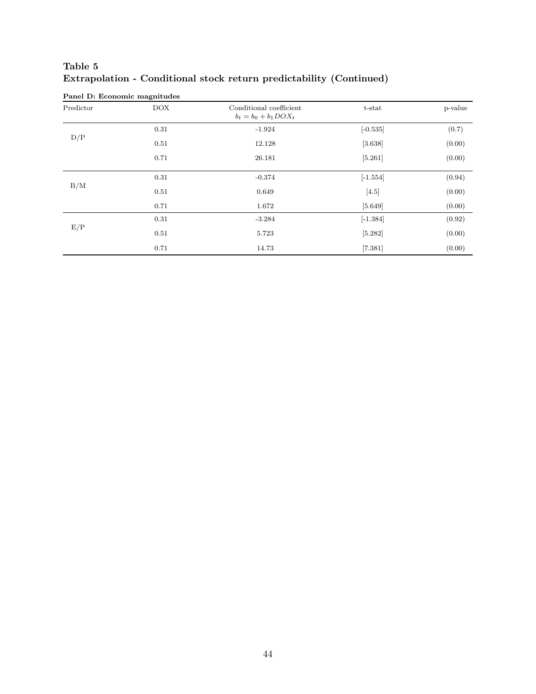### <span id="page-44-0"></span>Table 5 Extrapolation - Conditional stock return predictability (Continued)

| Predictor | <b>DOX</b> | Conditional coefficient<br>$b_t = b_0 + b_1 DOX_t$ | $t$ -stat  | p-value |
|-----------|------------|----------------------------------------------------|------------|---------|
|           | 0.31       | $-1.924$                                           | $[-0.535]$ | (0.7)   |
| D/P       | 0.51       | 12.128                                             | [3.638]    | (0.00)  |
|           | 0.71       | 26.181                                             | [5.261]    | (0.00)  |
|           | 0.31       | $-0.374$                                           | $[-1.554]$ | (0.94)  |
| B/M       | 0.51       | 0.649                                              | $[4.5]$    | (0.00)  |
|           | 0.71       | 1.672                                              | [5.649]    | (0.00)  |
|           | 0.31       | $-3.284$                                           | $[-1.384]$ | (0.92)  |
| E/P       | 0.51       | 5.723                                              | [5.282]    | (0.00)  |
|           | 0.71       | 14.73                                              | [7.381]    | (0.00)  |

Panel D: Economic magnitudes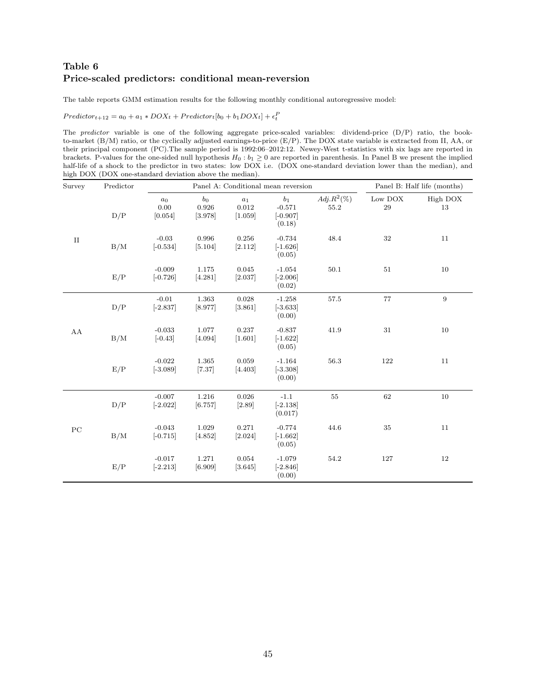### <span id="page-45-0"></span>Table 6 Price-scaled predictors: conditional mean-reversion

The table reports GMM estimation results for the following monthly conditional autoregressive model:

 $Predictor_{t+12} = a_0 + a_1 * DOX_t + Predictor_t[b_0 + b_1DOX_t] + \epsilon_t^F$ 

The predictor variable is one of the following aggregate price-scaled variables: dividend-price (D/P) ratio, the bookto-market (B/M) ratio, or the cyclically adjusted earnings-to-price (E/P). The DOX state variable is extracted from II, AA, or their principal component (PC).The sample period is 1992:06–2012:12. Newey-West t-statistics with six lags are reported in brackets. P-values for the one-sided null hypothesis  $H_0 : b_1 \geq 0$  are reported in parenthesis. In Panel B we present the implied half-life of a shock to the predictor in two states: low DOX i.e. (DOX one-standard deviation lower than the median), and high DOX (DOX one-standard deviation above the median).

| Survey   | Predictor |                          |                           |                                        | Panel A: Conditional mean reversion       |                       |               | Panel B: Half life (months) |
|----------|-----------|--------------------------|---------------------------|----------------------------------------|-------------------------------------------|-----------------------|---------------|-----------------------------|
|          | D/P       | $a_0$<br>0.00<br>[0.054] | $b_0$<br>0.926<br>[3.978] | $\boldsymbol{a}_1$<br>0.012<br>[1.059] | $b_1$<br>$-0.571$<br>$[-0.907]$<br>(0.18) | $Adj.R^2(\%)$<br>55.2 | Low DOX<br>29 | High DOX<br>13              |
| $\rm II$ | B/M       | $-0.03$<br>$[-0.534]$    | 0.996<br>[5.104]          | 0.256<br>[2.112]                       | $-0.734$<br>$[-1.626]$<br>(0.05)          | 48.4                  | $32\,$        | 11                          |
|          | E/P       | $-0.009$<br>$[-0.726]$   | 1.175<br>[4.281]          | 0.045<br>[2.037]                       | $-1.054$<br>$[-2.006]$<br>(0.02)          | 50.1                  | $51\,$        | 10                          |
|          | D/P       | $-0.01$<br>$[-2.837]$    | 1.363<br>[8.977]          | 0.028<br>[3.861]                       | $-1.258$<br>$[-3.633]$<br>(0.00)          | 57.5                  | 77            | 9                           |
| AA       | B/M       | $-0.033$<br>$[-0.43]$    | 1.077<br>[4.094]          | $0.237\,$<br>[1.601]                   | $-0.837$<br>$[-1.622]$<br>(0.05)          | 41.9                  | $31\,$        | 10                          |
|          | E/P       | $-0.022$<br>$[-3.089]$   | 1.365<br>$[7.37]$         | 0.059<br>[4.403]                       | $-1.164$<br>$[-3.308]$<br>(0.00)          | 56.3                  | 122           | 11                          |
|          | D/P       | $-0.007$<br>$[-2.022]$   | 1.216<br>[6.757]          | 0.026<br>[2.89]                        | $-1.1$<br>$[-2.138]$<br>(0.017)           | 55                    | $62\,$        | 10                          |
| PC       | B/M       | $-0.043$<br>$[-0.715]$   | 1.029<br>[4.852]          | 0.271<br>[2.024]                       | $-0.774$<br>$[-1.662]$<br>(0.05)          | 44.6                  | 35            | 11                          |
|          | E/P       | $-0.017$<br>$[-2.213]$   | 1.271<br>[6.909]          | 0.054<br>[3.645]                       | $-1.079$<br>$[-2.846]$<br>(0.00)          | 54.2                  | 127           | 12                          |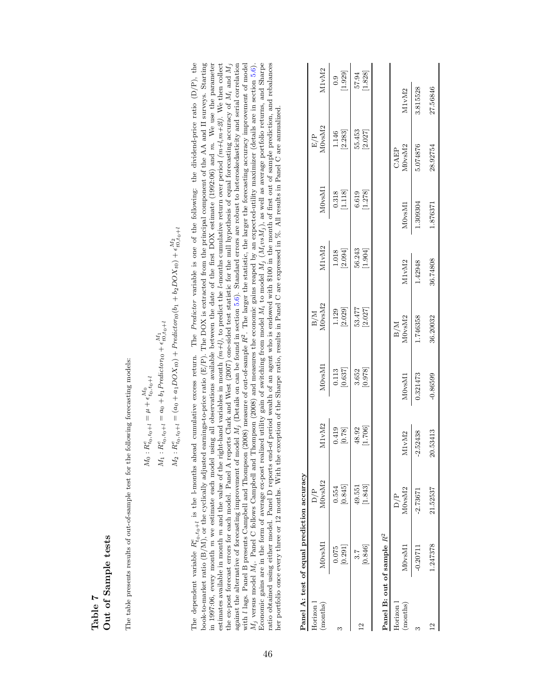### Table 7<br>Out of Sample tests Out of Sample tests

The table presents results of out-of-sample test for the following forecasting models: The table presents results of out-of-sample test for the following forecasting models:

$$
M_0: R_{t_0, t_0+1}^c = \mu + \epsilon_{t_0, t_0+1}^{M_0}
$$
  
\n
$$
M_1: R_{t_0, t_0+1}^c = a_0 + b_1 Predactor_{t0} + \epsilon_{t_0, t_0+1}^{M_1}
$$
  
\n
$$
M_2: R_{t_0, t_0+1}^c = (a_0 + a_1 DOX_{t0}) + Predactor_{t0}(b_1 + b_2 DOX_{t0}) + \epsilon_{t_0, t_0+1}^{M_2}
$$

The Predictor variable is one of the following: the dividend-price ratio (D/P), the The dependent variable  $R_{g_0, t_0+1}^c$  is the 1-months ahead cumulative excess return. The *Predictor* variable is one of the following: the dividend-price ratio (D/P), the book-to-market ratio (B/M), or the cyclically a with *l* lags. Panel B presents Campbell and Thompson (2008) measure of out-of-sample R<sup>2</sup>. The larger the statistic, the larger the forecasting accuracy improvement of model Economic gains are in the form of average ex-post realized utility gain of switching from model  $M_i$  to model  $M_j$  ( $M_i v s M_j$ ), as well as average portfolio returns, and Sharpe in 1997:06, every month  $m$  we estimate each model using all observations available between the date of the first DOX estimate (1992:06) and  $m$ . We use the parameter estimates available in month m and the value of the right-hand variables in month  $(m+l)$ , to predict the *l*-months cumulative return over period  $(m+l,m+2l)$ . We then collect against the alternative of forecasting improvement of model  $M_j$  (Details on can be found in section 5.6). Standard errors are robust to heteroskedasticity and serial correlation  $M_j$  versus model  $M_i$ . Panel C follows Campbell and Thompson (2008) and measures the economic gains reaped by an expected-utility maximizer (details are in section 5.6). ratio obtained using either model. Panel D reports end-of period wealth of an agent who is endowed with \$100 in the month of first out of sample prediction, and rebalances The dependent variable  $R_{t_0,t_0+1}^e$  is the l-months ahead cumulative excess return. The Predictor variable is one of the following: the dividend-price ratio (D/P), the book-to-market ratio (B/M), or the cyclically adjusted earnings-to-price ratio (E/P). The DOX is extracted from the principal component of the AA and II surveys. Starting in 1997:06, every month m we estimate each model using all observations available between the date of the first DOX estimate (1992:06) and m. We use the parameter<br>extinction considers and the maginal first data between th estimates available in month m and the value of the right-hand variables in month  $(m+l)$ , to predict the l-months cumulative return over period  $(m+l,m+l)$ . We then collect the collect the later of the collect the collect of t the ex-post forecast errors for each model. Panel A reports Clark and West (2007) one-sided test statistic for the null hypothesis of equal forecasting accuracy of  $M_i$  and  $M_j$ against the alternative of forecasting improvement of model M<sub>j</sub> (Details on can be found in section [5.6\)](#page-19-0). Standard errors are robust to heteroskedasticity and serial correlation with l lags. Panel B presents Campbell and Thompson (2008) measure of out-of-sample R2. The larger the statistic, the larger the forecasting accuracy improvement of model  $M_j$  versus model  $M_i$ . Panel C follows Campbell and Thompson (2008) and measures the economic gains reaped by an expected-utility maximizer (details are in section [5.6\)](#page-19-0). Economic gains are in the form of average ex-post realized utility gain of switching from model  $M_i$  to model  $M_i$  vas well as average portfolio returns, and Sharpe ratio obtained using either model. Panel D reports end-of period wealth of an agent who is endowed with \$100 in the month of first out of sample prediction, and rebalances the ex-post forecast errors for each model. Panel A reports Clark and West (2007) one-sided test statistic for the null hypothesis of equal forecasting accuracy of  $M_i$  and  $M_j$ ner portfolio once every three or 12 months. With the exception of the Sharpe ratio, results in Panel C are expressed in  $\%$ . All results in Panel C are annualized. her portfolio once every three or 12 months. With the exception of the Sharpe ratio, results in Panel C are expressed in %. All results in Panel C are annualized.

|                    | Panel A: test of equal prediction accuracy |                           |                                               |                                                |                                          |                   |                                                |                                                            |                                                |
|--------------------|--------------------------------------------|---------------------------|-----------------------------------------------|------------------------------------------------|------------------------------------------|-------------------|------------------------------------------------|------------------------------------------------------------|------------------------------------------------|
| months)<br>Horizon | M0 <sub>vsM1</sub>                         | M <sub>OvsM2</sub><br>D/P | M1vM2                                         | M0 <sub>vsM1</sub>                             | $_{\rm M0v sM2}^{\rm BM}$                | M1vM2             | M <sub>ovsM</sub>                              | $\frac{E/P}{M0 \mathrm{vs} M2}$                            | M1vM2                                          |
|                    | 0.075<br>[0.291]                           | [0.845]<br>0.554          | $\begin{bmatrix} 6.419 \\ 0.78 \end{bmatrix}$ | $\begin{bmatrix} 0.113 \\ 0.637 \end{bmatrix}$ | [2.029]                                  | [2.018]           | $\begin{bmatrix} 0.318 \\ 1.118 \end{bmatrix}$ | $\begin{array}{c} 1.146 \\ \left[2.283\right] \end{array}$ | [1.929]                                        |
| $\mathbf{r}$       | [0.846]<br>3.7                             | [1.843]<br>49.551         | 48.92<br>[1.706]                              | $\begin{bmatrix} 3.652 \\ 0.978 \end{bmatrix}$ | 53.477<br>[2.027]                        | 56.243<br>[1.904] | $\begin{bmatrix} 6.619 \\ 1.278 \end{bmatrix}$ | 55.453<br>[2.027]                                          | $\begin{bmatrix} 57.94 \\ 1.828 \end{bmatrix}$ |
|                    | Panel B: out of sample $R^2$               |                           |                                               |                                                |                                          |                   |                                                |                                                            |                                                |
| months)<br>Horizon | M0 <sub>vsM1</sub>                         | MO <sub>vsM2</sub><br>D/P | M1vM2                                         | M <sub>ovsM1</sub>                             | $_{\mathrm{M0}$ vs<br>M2 $_{\mathrm{M0}$ | M1vM2             | ${\rm M0vsM1}$                                 | CAEP<br>M0vsM2                                             | M1vM2                                          |
|                    | $-0.20711$                                 | $-2.73671$                | $-2.52438$                                    | 0.321473                                       | 1.746358                                 | 1.42948           | 1.309304                                       | 5.074876                                                   | 3.815528                                       |
| $\mathbf{r}$       | 1.247378                                   | 21.52537                  | 20.53413                                      | $-0.86599$                                     | 36.20032                                 | 36.74808          | 1.876371                                       | 28.92754                                                   | 27.56846                                       |

| スーロウロ<br>Ś                 |
|----------------------------|
| Ş<br>į<br>١<br>١           |
| ١<br>・・・・・・<br>j<br>ł      |
| ċ<br>٫<br>J<br>ζ<br>ı<br>ś |
|                            |
| ane<br>j                   |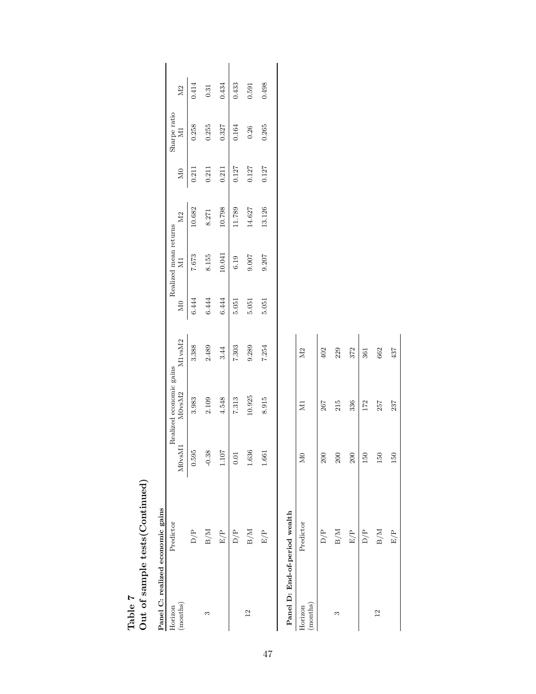|        | i |
|--------|---|
| ١      | 4 |
| Φ      | Ó |
| ⊣<br>≏ | t |
| ದ      | ŗ |
| -      |   |

### Table 7<br>Out of sample tests<br>(Continued) Out of sample tests(Continued)

<span id="page-47-0"></span>

|                     | Panel C: realized economic gains |                    |                         |              |             |                       |        |              |                    |                |
|---------------------|----------------------------------|--------------------|-------------------------|--------------|-------------|-----------------------|--------|--------------|--------------------|----------------|
| Horizon             | Predictor                        |                    | Realized economic gains |              |             | Realized mean returns |        |              | Sharpe ratio       |                |
| (months)            |                                  | M0 <sub>vsM1</sub> | MO <sub>vsM2</sub>      | $\rm M1vsM2$ | $_{\rm M0}$ | $\overline{\rm M}$    | M2     | $\mathbb{N}$ | $\overline{\rm M}$ | M <sub>2</sub> |
|                     | D/P                              | 0.595              | 3.983                   | 3.388        | 6.444       | 7.673                 | 10.682 | 0.211        | 0.258              | 0.414          |
| S                   | B/M                              | $-0.38$            | 2.109                   | 2.489        | 6.444       | 8.155                 | 8.271  | 0.211        | 0.255              | $\rm 0.31$     |
|                     | E/P                              | 1.107              | 4.548                   | 3.44         | 6.444       | 10.041                | 10.798 | 0.211        | 0.327              | 0.434          |
|                     | $\frac{P}{D}$                    | 0.01               | 7.313                   | 7.303        | 5.051       | 6.19                  | 11.789 | 0.127        | 0.164              | 0.433          |
| $\frac{2}{1}$       | B/M                              | 1.636              | 10.925                  | 9.289        | 5.051       | 9.007                 | 14.627 | 0.127        | 0.26               | 0.591          |
|                     | $\frac{P}{E}$                    | 1.661              | 8.915                   | 7.254        | 5.051       | 9.207                 | 13.126 | 0.127        | 0.265              | 0.498          |
|                     | Panel D: End-of-period wealth    |                    |                         |              |             |                       |        |              |                    |                |
| (months)<br>Horizon | Predictor                        | $_{\rm M0}$        | $\Xi$                   | ΣŊ           |             |                       |        |              |                    |                |

| Panel D: End-of-period wealth |                             |                |                         |                   |
|-------------------------------|-----------------------------|----------------|-------------------------|-------------------|
| (months)<br>Horizon           | Predictor                   | M <sub>0</sub> | $\overline{\mathbb{N}}$ | M <sub>2</sub>    |
|                               |                             | $200\,$        | 267                     |                   |
| S                             | $\rm{D/P} \atop \rm{B/M}$   | 200            | 215                     | $\frac{402}{229}$ |
|                               |                             | $200\,$        | 336                     | 372               |
|                               | $\frac{E}{D}$ $\frac{P}{P}$ | 150            | 172                     | 361               |
| $\frac{2}{2}$                 | $\rm{B/M}$                  | 150            | $257$                   | 662               |
|                               | $\mathrm{E}/\mathrm{P}$     | 150            | 237                     | 437               |
|                               |                             |                |                         |                   |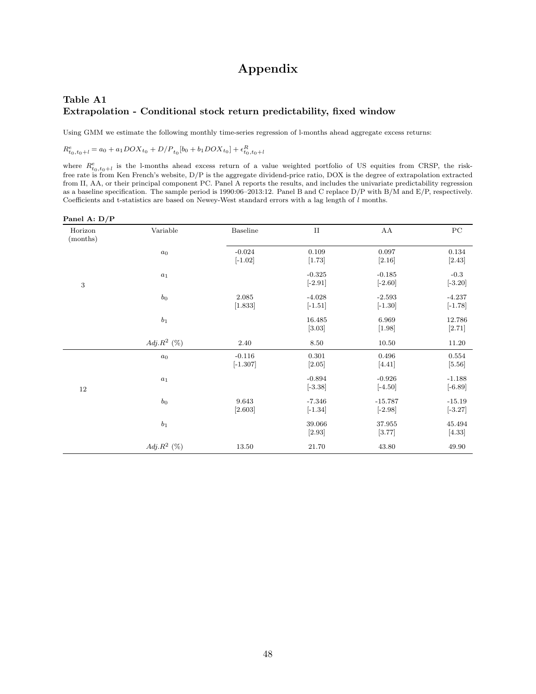### Appendix

### Table A1 Extrapolation - Conditional stock return predictability, fixed window

Using GMM we estimate the following monthly time-series regression of l-months ahead aggregate excess returns:

$$
R_{t_0,t_0+l}^e = a_0 + a_1 DOX_{t_0} + D/P_{t_0}[b_0 + b_1 DOX_{t_0}] + \epsilon_{t_0,t_0+l}^R
$$

where  $R_{t_0,t_0+l}^e$  is the l-months ahead excess return of a value weighted portfolio of US equities from CRSP, the riskfree rate is from Ken French's website, D/P is the aggregate dividend-price ratio, DOX is the degree of extrapolation extracted from II, AA, or their principal component PC. Panel A reports the results, and includes the univariate predictability regression as a baseline specification. The sample period is 1990:06–2013:12. Panel B and C replace D/P with B/M and E/P, respectively. Coefficients and t-statistics are based on Newey-West standard errors with a lag length of  $l$  months.

### Panel A: D/P

| Horizon<br>(months) | Variable           | <b>Baseline</b>        | $\rm II$              | AA                     | ${\rm P}{\bf C}$      |
|---------------------|--------------------|------------------------|-----------------------|------------------------|-----------------------|
|                     | $a_0$              | $-0.024$<br>$[-1.02]$  | 0.109<br>[1.73]       | 0.097<br>[2.16]        | 0.134<br>[2.43]       |
| $\sqrt{3}$          | $\boldsymbol{a}_1$ |                        | $-0.325$<br>$[-2.91]$ | $-0.185$<br>$[-2.60]$  | $-0.3$<br>$[-3.20]$   |
|                     | $\mathfrak{b}_0$   | 2.085<br>[1.833]       | $-4.028$<br>$[-1.51]$ | $-2.593$<br>$[-1.30]$  | $-4.237$<br>$[-1.78]$ |
|                     | $b_1$              |                        | 16.485<br>[3.03]      | 6.969<br>[1.98]        | 12.786<br>[2.71]      |
|                     | Adj. $R^2$ (%)     | 2.40                   | 8.50                  | $10.50\,$              | 11.20                 |
|                     | $a_0$              | $-0.116$<br>$[-1.307]$ | 0.301<br>[2.05]       | 0.496<br>[4.41]        | 0.554<br>[5.56]       |
| $12\,$              | $\boldsymbol{a}_1$ |                        | $-0.894$<br>$[-3.38]$ | $-0.926$<br>$[-4.50]$  | $-1.188$<br>$[-6.89]$ |
|                     | b <sub>0</sub>     | 9.643<br>[2.603]       | $-7.346$<br>$[-1.34]$ | $-15.787$<br>$[-2.98]$ | $-15.19$<br>$[-3.27]$ |
|                     | $b_1$              |                        | 39.066<br>[2.93]      | 37.955<br>[3.77]       | 45.494<br>[4.33]      |
|                     | $Adj.R^2$ (%)      | 13.50                  | 21.70                 | 43.80                  | 49.90                 |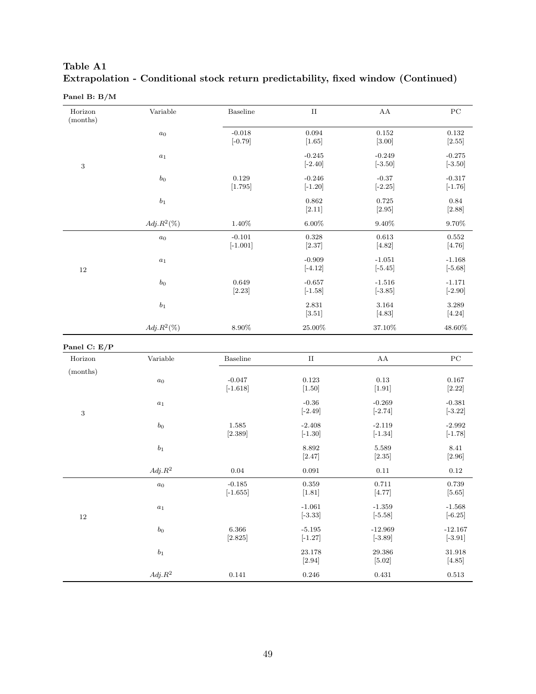### <span id="page-49-0"></span>Table A1 Extrapolation - Conditional stock return predictability, fixed window (Continued)

### Panel B: B/M

| Horizon<br>(months) | Variable           | Baseline               | $\rm II$              | ${\rm AA}$             | ${\rm P}{\bf C}$       |
|---------------------|--------------------|------------------------|-----------------------|------------------------|------------------------|
|                     | $\boldsymbol{a}_0$ | $-0.018$<br>$[-0.79]$  | 0.094<br>$[1.65]$     | 0.152<br>[3.00]        | 0.132<br>[2.55]        |
| $\,3$               | $\boldsymbol{a}_1$ |                        | $-0.245$<br>$[-2.40]$ | $-0.249$<br>$[-3.50]$  | $-0.275$<br>$[-3.50]$  |
|                     | b <sub>0</sub>     | 0.129<br>[1.795]       | $-0.246$<br>$[-1.20]$ | $-0.37$<br>$[-2.25]$   | $-0.317$<br>$[-1.76]$  |
|                     | $\mathfrak{b}_1$   |                        | 0.862<br>$[2.11]$     | 0.725<br>[2.95]        | 0.84<br>[2.88]         |
|                     | $Adj.R^2(\%)$      | $1.40\%$               | $6.00\%$              | $9.40\%$               | $9.70\%$               |
|                     | $\boldsymbol{a}_0$ | $-0.101$<br>$[-1.001]$ | 0.328<br>[2.37]       | 0.613<br>[4.82]        | 0.552<br>[4.76]        |
| $12\,$              | $a_1$              |                        | $-0.909$<br>$[-4.12]$ | $-1.051$<br>$[-5.45]$  | $-1.168$<br>$[-5.68]$  |
|                     | b <sub>0</sub>     | 0.649<br>[2.23]        | $-0.657$<br>$[-1.58]$ | $-1.516$<br>$[-3.85]$  | $-1.171$<br>$[-2.90]$  |
|                     | $\mathfrak{b}_1$   |                        | 2.831<br>$[3.51]$     | 3.164<br>[4.83]        | 3.289<br>[4.24]        |
|                     | $Adj.R^2(\%)$      | $8.90\%$               | $25.00\%$             | $37.10\%$              | $48.60\%$              |
| Panel C: E/P        |                    |                        |                       |                        |                        |
| Horizon             | $\rm Variable$     | Baseline               | $\rm II$              | ${\rm AA}$             | ${\rm PC}$             |
| (months)            | $a_0$              | $-0.047$<br>$[-1.618]$ | 0.123<br>[1.50]       | 0.13<br>$[1.91]$       | 0.167<br>[2.22]        |
| $\,3$               | $\boldsymbol{a}_1$ |                        | $-0.36$<br>$[-2.49]$  | $-0.269$<br>$[-2.74]$  | $-0.381$<br>$[-3.22]$  |
|                     | $b_0$              | $1.585\,$<br>[2.389]   | $-2.408$<br>$[-1.30]$ | $-2.119$<br>$[-1.34]$  | $-2.992$<br>$[-1.78]$  |
|                     | $\mathfrak{b}_1$   |                        | 8.892<br>[2.47]       | 5.589<br>[2.35]        | 8.41<br>[2.96]         |
|                     | $Adj.R^2$          | $0.04\,$               | 0.091                 | 0.11                   | $0.12\,$               |
|                     | $a_0$              | $-0.185$<br>$[-1.655]$ | 0.359<br>[1.81]       | 0.711<br>[4.77]        | 0.739<br>[5.65]        |
| $12\,$              | $\boldsymbol{a}_1$ |                        | $-1.061$<br>$[-3.33]$ | $-1.359$<br>$[-5.58]$  | $-1.568$<br>$[-6.25]$  |
|                     | $b_0$              | $6.366\,$<br>[2.825]   | $-5.195$<br>$[-1.27]$ | $-12.969$<br>$[-3.89]$ | $-12.167$<br>$[-3.91]$ |
|                     | $b_1$              |                        | 23.178<br>[2.94]      | 29.386<br>$[5.02]$     | $31.918\,$<br>[4.85]   |
|                     | $Adj.R^2$          | $0.141\,$              | $\,0.246\,$           | 0.431                  | $\,0.513\,$            |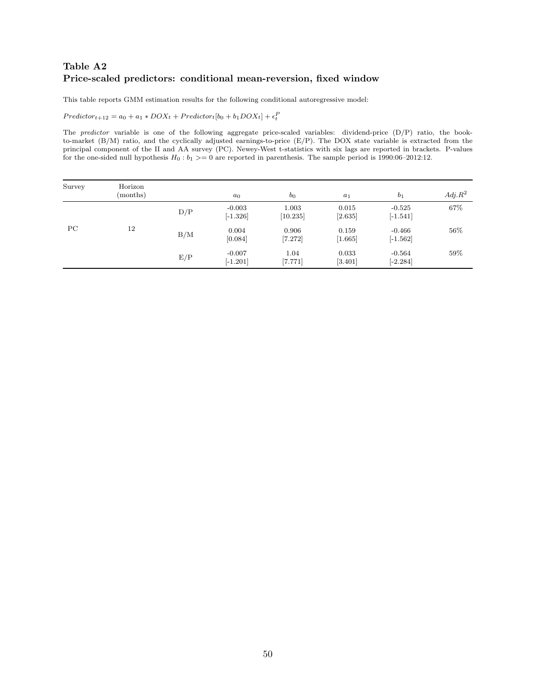### <span id="page-50-0"></span>Table A2 Price-scaled predictors: conditional mean-reversion, fixed window

This table reports GMM estimation results for the following conditional autoregressive model:

 $Predictor_{t+12} = a_0 + a_1 * DOX_t + Predictor_t[b_0 + b_1DOX_t] + \epsilon_t^F$ 

The predictor variable is one of the following aggregate price-scaled variables: dividend-price (D/P) ratio, the bookto-market (B/M) ratio, and the cyclically adjusted earnings-to-price (E/P). The DOX state variable is extracted from the principal component of the II and AA survey (PC). Newey-West t-statistics with six lags are reported in brackets. P-values for the one-sided null hypothesis  $H_0: b_1 > 0$  are reported in parenthesis. The sample period is 1990:06–2012:12.

| Survey      | Horizon<br>(months) |     | $a_0$                  | $b_0$              | $a_1$              | b <sub>1</sub>         | $Adj.R^2$ |
|-------------|---------------------|-----|------------------------|--------------------|--------------------|------------------------|-----------|
|             |                     | D/P | $-0.003$<br>$[-1.326]$ | 1.003<br>[10.235]  | 0.015<br>[2.635]   | $-0.525$<br>$[-1.541]$ | $67\%$    |
| $_{\rm PC}$ | 12                  | B/M | 0.004<br>[0.084]       | 0.906<br>$[7.272]$ | 0.159<br>$[1.665]$ | $-0.466$<br>$[-1.562]$ | 56%       |
|             |                     | E/P | $-0.007$<br>$[-1.201]$ | 1.04<br>[7.771]    | 0.033<br>[3.401]   | $-0.564$<br>$[-2.284]$ | 59%       |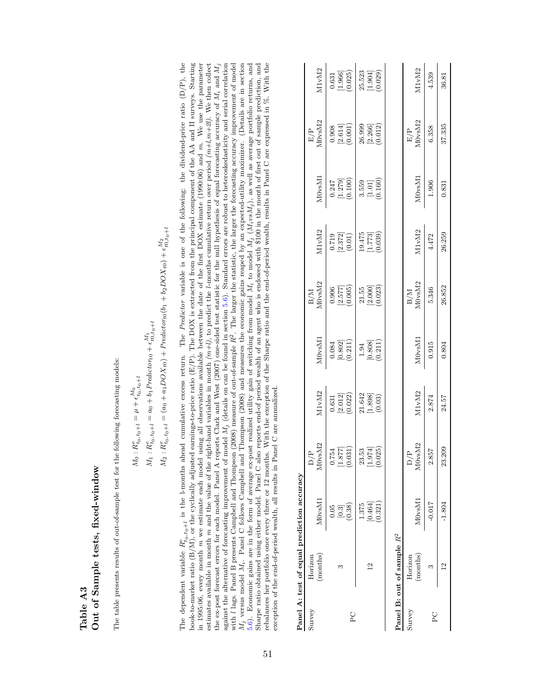The table presents results of out-of-sample test for the following forecasting models: The table presents results of out-of-sample test for the following forecasting models:

$$
M_0: R_{t_0, t_0+1}^c = \mu + \epsilon_{t_0, t_0+1}^{M_0}
$$
  
\n
$$
M_1: R_{t_0, t_0+1}^c = a_0 + b_1 \text{Predictors} + \epsilon_{t_0, t_0+1}^{M_1}
$$
  
\n
$$
M_2: R_{t_0, t_0+1}^c = (a_0 + a_1 DOX_{t_0}) + \text{Predictors}(b_1 + b_2 DOX_{t_0}) + \epsilon_{t_0, t_0+1}^{M_2}
$$

The Predictor variable is one of the following: the dividend-price ratio (D/P), the book-to-market ratio  $(B/M)$ , or the cyclically adjusted earnings-to-price ratio  $(E/P)$ . The DOX is extracted from the principal component of the AA and II surveys. Starting with *l* lags. Panel B presents Campbell and Thompson (2008) measure of out-of-sample R<sup>2</sup>. The larger the statistic, the larger the forecasting accuracy improvement of model Sharpe ratio obtained using either model. Panel C also reports end-of period wealth of an agent who is endowed with \$100 in the month of first out of sample prediction, and rebalances her portfolio once every three or 12 We use the parameter estimates available in month m and the value of the right-hand variables in month  $(m+l)$ , to predict the *k*-months cumulative return over period  $(m+l,m+2l)$ . We then collect the ex-post forecast errors for each model. Panel A reports Clark and West (2007) one-sided test statistic for the null hypothesis of equal forecasting accuracy of  $M_i$  and  $M_j$ against the alternative of forecasting improvement of model  $M_j$  (details on can be found in section 5.6). Standard errors are robust to heteroskedasticity and serial correlation  $M_i$  versus model  $M_i$ . Panel C follows Campbell and Thompson (2008) and measures the economic gains reaped by an expected-utility maximizer. (Details are in section  $5.6$ ). Economic gains are in the form of average ex-post realized utility gain of switching from model  $M_i$  to model  $M_j$   $(M_i v s M_j)$ , as well as average portfolio returns, and  $5.6$ ). The dependent variable  $R_{0, t_0, t_1}^e$  is the l-months ahead cumulative excess return. The Predictor variable is one of the following: the dividend-price ratio (D/P), the book-to-market ratio (B/M), or the cyclically adjusted earnings-to-price ratio (E/P). The DOX is extracted from the principal component of the AA and II surveys. Starting in 1995:06, every month m we estimate each model using all observations available between the date of the first DOX estimate (1990:06) and m. We use the parameter<br>extimates consided in months meaning the midst parameter ( estimates available in month m and the value of the right-hand variables in month  $(m+l)$ , to predict the l-months cumulative return over period  $(m+l,m+l)$ . We then collect  $\mu$ , where  $\mu$  is a set of the collect the set of t against the alternative of forecasting improvement of model Mj (details on can be found in section [5.6\)](#page-19-0). Standard errors are robust to heteroskedasticity and serial correlation with *l* lags. Panel B presents Campbell and Thompson (2008) measure of out-of-sample R<sup>2</sup>. The larger the statistic, the larger the forecasting accuracy improvement of model  $M_j$  versus model  $M_i$ . Panel C follows Campbell and Thompson (2008) and measures the economic gains reaped by an expected-utility maximizer. (Details are in section [5.6\)](#page-19-0). Economic gains are in the form of average ex-post realized utility gain of switching from model  $M_i$  to model  $M_j$  ( $M_i v s M_j$ ), as well as average portfolio returns, and Sharpe ratio obtained using either model. Panel C also reports end-of period wealth of an agent who is endowed with \$100 in the month of first out of sample prediction, and rebalances her portfolio once every three or 12 months. With the exception of the Sharpe ratio and the end-of-period wealth, results in Panel C are expressed in %. With the the ex-post forecast errors for each model. Panel A reports Clark and West (2007) one-sided test statistic for the null hypothesis of equal forecasting accuracy of  $M_i$  and  $M_j$ in 1995:06, every month  $m$  we estimate each model using all observations available between the date of the first DOX estimate (1990:06) and  $m$ . The dependent variable  $R_{t_0,t_0+l}^e$  is the l-months ahead cumulative excess return. exception of the end-of-period wealth, all results in Panel C are annualized. exception of the end-of-period wealth, all results in Panel C are annualized.

|        | Panel A: test of equal prediction accuracy |                             |                                                            |                                                            |                                                                                   |                                                                                                    |                                                                                                         |                                                                                                      |                                                                                  |                                                            |
|--------|--------------------------------------------|-----------------------------|------------------------------------------------------------|------------------------------------------------------------|-----------------------------------------------------------------------------------|----------------------------------------------------------------------------------------------------|---------------------------------------------------------------------------------------------------------|------------------------------------------------------------------------------------------------------|----------------------------------------------------------------------------------|------------------------------------------------------------|
| Survey | (months)<br>Horizon                        | M0 <sub>vsM1</sub>          | M0vsM2<br>$\mathbf{r}$                                     | M1vM2                                                      | M <sub>OvsM</sub>                                                                 | $_{\rm M0vsM2}^{\rm BM}$                                                                           | M1vM2                                                                                                   | ${\rm MOv} {\rm sM}$                                                                                 | $\frac{\mathrm{E/P}}{\mathrm{M0vsM2}}$                                           | VII vM <sub>2</sub>                                        |
| PC.    |                                            | (0.38)<br>0.05<br>$[0.3]$   | $\begin{array}{c} 0.754 \\ [1.877] \\ 0.031 \end{array}$   | $\begin{array}{c} 0.631 \\ [2.012] \\ (0.022) \end{array}$ | $\begin{bmatrix} 0.084 \\ [0.802] \\ [0.211) \end{bmatrix}$                       | $\begin{array}{c c} 0.906 \\ [2.577] \\ (0.005) \\ \hline 21.55 \\ [2.000] \\ (0.023) \end{array}$ | $\begin{array}{c} 0.719 \\ [2.372] \\ (0.01) \\ \hline 19.475 \\ [1.773] \\ \hline 19.773] \end{array}$ | $\begin{array}{c c} 0.247 \\ [1.279] \\ [0.1.00) \\ \hline 3.559 \\ [1.01] \\ [1.01] \\ \end{array}$ | $\begin{array}{c} 0.908 \\ \left[2.614\right] \\ \left[0.001\right) \end{array}$ | $\begin{array}{c} 0.631 \\ [1.966] \\ [0.025] \end{array}$ |
|        | $^{2}$                                     | 1.375<br>[0.464]<br>(0.321) | $\begin{array}{c} 23.53 \\ [1.974] \\ [0.025] \end{array}$ | $\begin{array}{c} 21.642 \\ [1.898] \\ (0.03) \end{array}$ | $\begin{bmatrix} 1.94 \\ 0.808 \end{bmatrix} \begin{bmatrix} 0.211 \end{bmatrix}$ |                                                                                                    |                                                                                                         |                                                                                                      | $\begin{array}{c} 26.999 \\ [2.266] \\ (0.012) \end{array}$                      | $25.523$<br>[1.904]<br>(0.029)                             |
|        | Panel B: out of sample $\mathbb{R}^2$      |                             |                                                            |                                                            |                                                                                   |                                                                                                    |                                                                                                         |                                                                                                      |                                                                                  |                                                            |
| Survey | (months)<br>Horizon                        | M0 <sub>vsM1</sub>          | M0vsM2<br>$\mathbf{a}$                                     | M1vM2                                                      | M0vsM1                                                                            | $_{\rm M0vsM2}^{\rm BM}$                                                                           | M1vM2                                                                                                   |                                                                                                      | $E/P$<br>MOvsM2                                                                  | M1vM2                                                      |
| PC     |                                            | $-0.017$                    | 2.857                                                      | 2.874                                                      | 0.915                                                                             | 5.346                                                                                              | 4.472                                                                                                   | $\frac{\text{M0}\text{v}\text{s}\text{M1}}{1.906}$                                                   | 6.358                                                                            | 4.539                                                      |
|        | $\mathbf{r}$                               | $-1.804$                    | 23.209                                                     | 24.57                                                      | 0.804                                                                             | 26.852                                                                                             | 26.259                                                                                                  | 0.831                                                                                                | 37.335                                                                           | 36.81                                                      |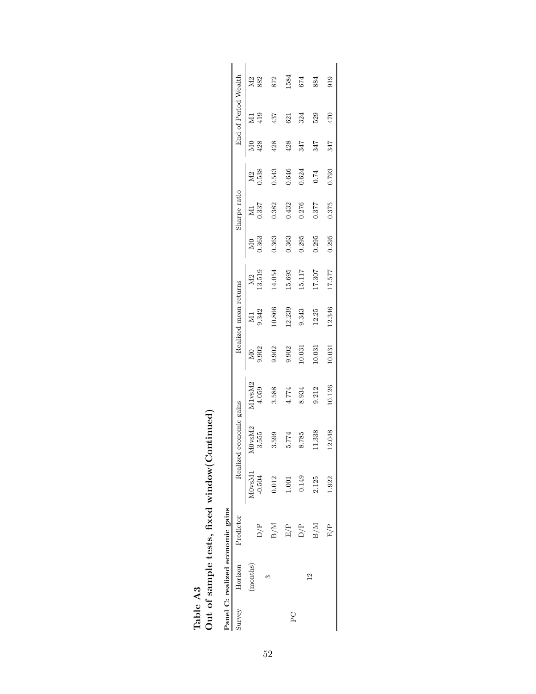<span id="page-52-0"></span>

|                                  |                       | M <sub>2</sub>                | 872          | 1584   | 674      | 884          | 919           |
|----------------------------------|-----------------------|-------------------------------|--------------|--------|----------|--------------|---------------|
|                                  | End of Period Wealth  | 419                           | 437          | 621    | 324      | 529          | 470           |
|                                  |                       | 428<br>$\mathbb{N}$           | 428          | 428    | 347      | 347          | 347           |
|                                  |                       | 0.538<br>M <sub>2</sub>       | 0.543        | 0.646  | 0.624    | 0.74         | 0.793         |
|                                  | Sharpe ratio          | 0.337                         | 0.382        | 0.432  | 0.276    | 0.377        | 0.375         |
|                                  |                       | 0.363<br>$_{\rm N0}$          | 0.363        | 0.363  | 0.295    | 0.295        | 0.295         |
|                                  |                       | 13.519<br>M <sub>2</sub>      | 14.054       | 15.695 | 15.117   | 17.307       | 17.577        |
|                                  | Realized mean returns | 9.342<br>$\Xi$                | 10.866       | 12.239 | 9.343    | 12.25        | 12.346        |
|                                  |                       | 9.902<br>$_{\rm N0}$          | 9.902        | 9.902  | 10.031   | 10.031       | 10.031        |
|                                  |                       | A1vsM2<br>4.059               | 3.588        | 4.774  | 8.934    | 9.212        | 10.126        |
|                                  | economic gains        | M <sub>OvsM2</sub><br>3.555   | 3.599        | 5.774  | 8.785    | 1.338        | 12.048        |
|                                  | Realize               | M <sub>OvsM</sub><br>$-0.504$ | 0.012        | 1.001  | $-0.149$ | 2.125        | 1.922         |
|                                  | Predictor             | $\frac{d}{d}$                 | $_{\rm B/M}$ | E/P    | $\geq$   | $_{\rm B/M}$ | $\frac{P}{E}$ |
| Panel C: realized economic gains | Horizon               | (months)                      |              |        |          | $^{12}$      |               |
|                                  | Survey                |                               |              | PC     |          |              |               |

|          | $r$ impo<br>window( |
|----------|---------------------|
|          | $,$ fixed           |
|          |                     |
|          | ; of sample tests.  |
| Iable A3 |                     |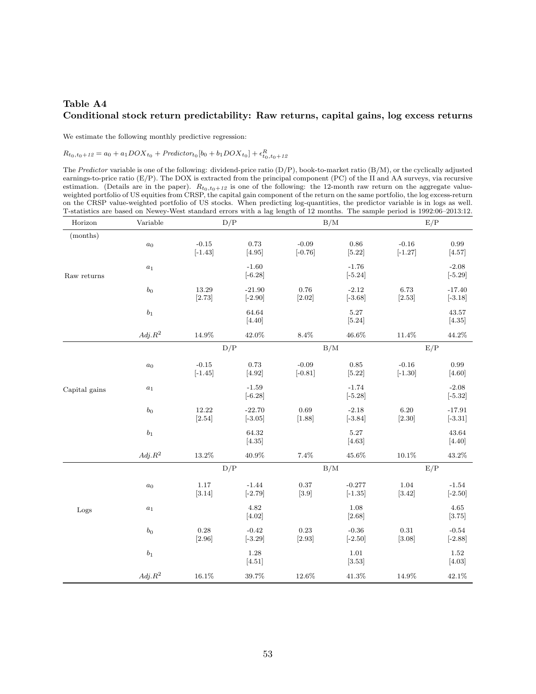### <span id="page-53-0"></span>Table A4 Conditional stock return predictability: Raw returns, capital gains, log excess returns

We estimate the following monthly predictive regression:

$$
R_{t_0,t_0+12} = a_0 + a_1 DOX_{t_0} + Predictor_{t_0}[b_0 + b_1 DOX_{t_0}] + \epsilon_{t_0,t_0+12}^R
$$

The Predictor variable is one of the following: dividend-price ratio (D/P), book-to-market ratio (B/M), or the cyclically adjusted earnings-to-price ratio (E/P). The DOX is extracted from the principal component (PC) of the II and AA surveys, via recursive estimation. (Details are in the paper).  $R_{t_0,t_0+12}$  is one of the following: the 12-month raw return on the aggregate value-<br>weighted portfolio of US equities from CRSP, the capital gain component of the return on the on the CRSP value-weighted portfolio of US stocks. When predicting log-quantities, the predictor variable is in logs as well. T-statistics are based on Newey-West standard errors with a lag length of 12 months. The sample period is 1992:06–2013:12.

| Horizon       | Variable           | D/P                  |                       |                      | B/M                   | E/P                  |                       |
|---------------|--------------------|----------------------|-----------------------|----------------------|-----------------------|----------------------|-----------------------|
| (months)      | $a_0$              | $-0.15$              | $0.73\,$              | $-0.09$              | $\,0.86\,$            | $-0.16$              | 0.99                  |
|               |                    | $[-1.43]$            | [4.95]                | $[-0.76]$            | [5.22]                | $[-1.27]$            | [4.57]                |
| Raw returns   | $\boldsymbol{a}_1$ |                      | $-1.60$<br>$[-6.28]$  |                      | $-1.76$<br>$[-5.24]$  |                      | $-2.08$<br>$[-5.29]$  |
|               | $\mathfrak{b}_0$   | 13.29<br>[2.73]      | $-21.90$<br>$[-2.90]$ | 0.76<br>$[2.02]$     | $-2.12$<br>$[-3.68]$  | 6.73<br>[2.53]       | $-17.40$<br>$[-3.18]$ |
|               | $\mathfrak{b}_1$   |                      | 64.64<br>$[4.40]$     |                      | $5.27\,$<br>$[5.24]$  |                      | 43.57<br>[4.35]       |
|               | $Adj.R^2$          | 14.9%                | 42.0%                 | $8.4\%$              | $46.6\%$              | $11.4\%$             | $44.2\%$              |
|               |                    | D/P                  |                       |                      | B/M                   | E/P                  |                       |
|               | $a_0$              | $-0.15$<br>$[-1.45]$ | 0.73<br>[4.92]        | $-0.09$<br>$[-0.81]$ | 0.85<br>[5.22]        | $-0.16$<br>$[-1.30]$ | 0.99<br>[4.60]        |
| Capital gains | $\boldsymbol{a}_1$ |                      | $-1.59$<br>$[-6.28]$  |                      | $-1.74$<br>$[-5.28]$  |                      | $-2.08$<br>$[-5.32]$  |
|               | b <sub>0</sub>     | 12.22<br>[2.54]      | $-22.70$<br>$[-3.05]$ | 0.69<br>[1.88]       | $-2.18$<br>$[-3.84]$  | 6.20<br>[2.30]       | $-17.91$<br>$[-3.31]$ |
|               | $\mathfrak{b}_1$   |                      | 64.32<br>[4.35]       |                      | 5.27<br>[4.63]        |                      | 43.64<br>[4.40]       |
|               | $Adj.R^2$          | 13.2%                | $40.9\%$              | 7.4%                 | $45.6\%$              | $10.1\%$             | $43.2\%$              |
|               |                    | D/P                  |                       |                      | B/M                   | E/P                  |                       |
|               | $a_0$              | 1.17<br>[3.14]       | $-1.44$<br>$[-2.79]$  | $0.37\,$<br>$[3.9]$  | $-0.277$<br>$[-1.35]$ | 1.04<br>[3.42]       | $-1.54$<br>$[-2.50]$  |
| Logs          | $\boldsymbol{a}_1$ |                      | 4.82<br>$[4.02]$      |                      | 1.08<br>[2.68]        |                      | 4.65<br>[3.75]        |
|               | $\mathfrak{b}_0$   | 0.28<br>[2.96]       | $-0.42$<br>$[-3.29]$  | 0.23<br>$[2.93]$     | $-0.36$<br>$[-2.50]$  | 0.31<br>[3.08]       | $-0.54$<br>$[-2.88]$  |
|               | $\mathfrak{b}_1$   |                      | 1.28<br>$[4.51]$      |                      | 1.01<br>[3.53]        |                      | 1.52<br>$[4.03]$      |
|               | $Adj.R^2$          | $16.1\%$             | $39.7\%$              | $12.6\%$             | $41.3\%$              | $14.9\%$             | $42.1\%$              |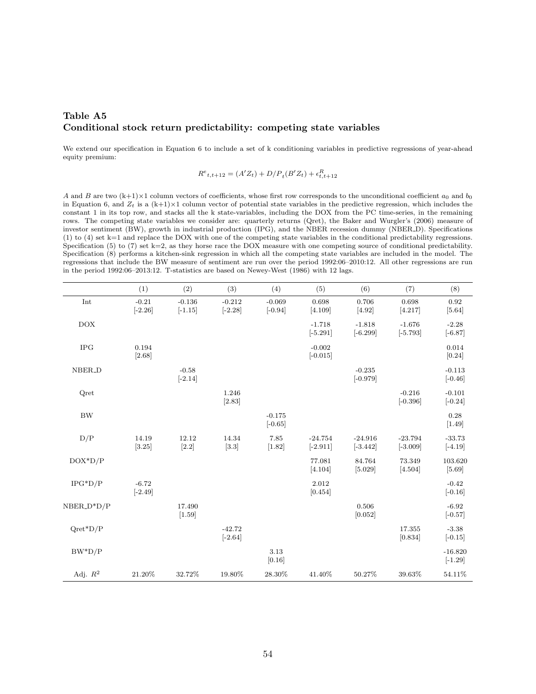### <span id="page-54-0"></span>Table A5 Conditional stock return predictability: competing state variables

We extend our specification in Equation 6 to include a set of k conditioning variables in predictive regressions of year-ahead equity premium:

 $R^{e}{}_{t,t+12} = (A'Z_{t}) + D/P_{t}(B'Z_{t}) + \epsilon_{t,t+12}^{R}$ 

A and B are two  $(k+1)\times 1$  column vectors of coefficients, whose first row corresponds to the unconditional coefficient  $a_0$  and  $b_0$ in Equation 6, and  $Z_t$  is a  $(k+1)\times 1$  column vector of potential state variables in the predictive regression, which includes the constant 1 in its top row, and stacks all the k state-variables, including the DOX from the PC time-series, in the remaining rows. The competing state variables we consider are: quarterly returns (Qret), the Baker and Wurgler's (2006) measure of investor sentiment (BW), growth in industrial production (IPG), and the NBER recession dummy (NBER D). Specifications (1) to (4) set k=1 and replace the DOX with one of the competing state variables in the conditional predictability regressions. Specification (5) to (7) set  $k=2$ , as they horse race the DOX measure with one competing source of conditional predictability. Specification (8) performs a kitchen-sink regression in which all the competing state variables are included in the model. The regressions that include the BW measure of sentiment are run over the period 1992:06–2010:12. All other regressions are run in the period 1992:06–2013:12. T-statistics are based on Newey-West (1986) with 12 lags.

|                    | (1)                  | (2)                   | (3)                   | (4)                   | (5)                     | (6)                     | (7)                     | (8)                    |
|--------------------|----------------------|-----------------------|-----------------------|-----------------------|-------------------------|-------------------------|-------------------------|------------------------|
| Int                | $-0.21$<br>$[-2.26]$ | $-0.136$<br>$[-1.15]$ | $-0.212$<br>$[-2.28]$ | $-0.069$<br>$[-0.94]$ | 0.698<br>[4.109]        | 0.706<br>[4.92]         | 0.698<br>[4.217]        | 0.92<br>[5.64]         |
| <b>DOX</b>         |                      |                       |                       |                       | $-1.718$<br>$[-5.291]$  | $-1.818$<br>$[-6.299]$  | $-1.676$<br>$[-5.793]$  | $-2.28$<br>$[-6.87]$   |
| <b>IPG</b>         | 0.194<br>[2.68]      |                       |                       |                       | $-0.002$<br>$[-0.015]$  |                         |                         | 0.014<br>[0.24]        |
| NBER <sub>-D</sub> |                      | $-0.58$<br>$[-2.14]$  |                       |                       |                         | $-0.235$<br>$[-0.979]$  |                         | $-0.113$<br>$[-0.46]$  |
| Qret               |                      |                       | 1.246<br>[2.83]       |                       |                         |                         | $-0.216$<br>$[-0.396]$  | $-0.101$<br>$[-0.24]$  |
| <b>BW</b>          |                      |                       |                       | $-0.175$<br>$[-0.65]$ |                         |                         |                         | 0.28<br>[1.49]         |
| D/P                | 14.19<br>[3.25]      | 12.12<br>$[2.2]$      | 14.34<br>$[3.3]$      | 7.85<br>[1.82]        | $-24.754$<br>$[-2.911]$ | $-24.916$<br>$[-3.442]$ | $-23.794$<br>$[-3.009]$ | $-33.73$<br>$[-4.19]$  |
| $DOX*D/P$          |                      |                       |                       |                       | 77.081<br>[4.104]       | 84.764<br>[5.029]       | 73.349<br>[4.504]       | 103.620<br>$[5.69]$    |
| $IPG*D/P$          | $-6.72$<br>$[-2.49]$ |                       |                       |                       | 2.012<br>[0.454]        |                         |                         | $-0.42$<br>$[-0.16]$   |
| $NBER_D*D$         |                      | 17.490<br>[1.59]      |                       |                       |                         | 0.506<br>[0.052]        |                         | $-6.92$<br>$[-0.57]$   |
| $Qret*D/P$         |                      |                       | $-42.72$<br>$[-2.64]$ |                       |                         |                         | 17.355<br>[0.834]       | $-3.38$<br>$[-0.15]$   |
| $BW^*D/P$          |                      |                       |                       | 3.13<br>[0.16]        |                         |                         |                         | $-16.820$<br>$[-1.29]$ |
| Adj. $R^2$         | 21.20%               | 32.72%                | 19.80%                | 28.30%                | 41.40%                  | 50.27%                  | 39.63%                  | 54.11%                 |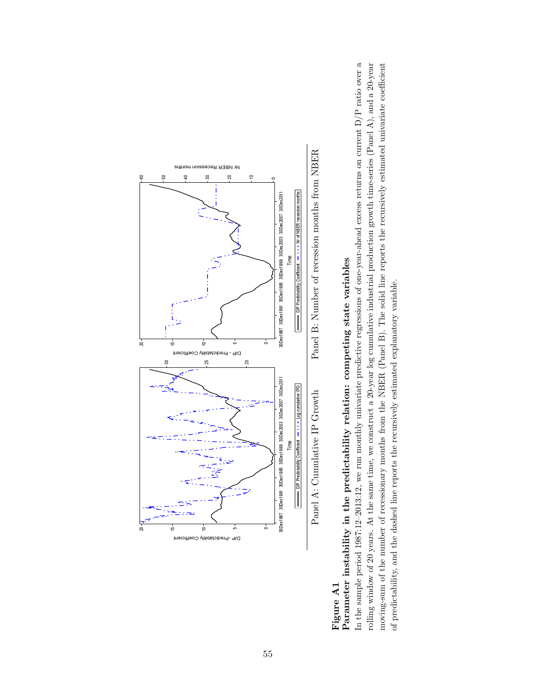<span id="page-55-0"></span>

Panel B: Number of recession months from NBER Panel A: Cumulative IP Growth Panel B: Number of recession months from NBER Panel A: Cumulative IP Growth

# Figure  $A1$ <br>Parameter instability in the predictability relation: competing state variables Parameter instability in the predictability relation: competing state variables

In the sample period 1987:12-2013:12, we run monthly univariate predictive regressions of one-year-ahead excess returns on current  $D/P$  ratio over a In the sample period 1987:12–2013:12, we run monthly univariate predictive regressions of one-year-ahead excess returns on current D/P ratio over a rolling window of 20 years. At the same time, we construct a 20-year log cumulative industrial production growth time-series (Panel A), and a 20-year moving-sum of the number of recessionary months from the NBER (Panel B). The solid line reports the recursively estimated univariate coefficient rolling window of 20 years. At the same time, we construct a 20-year log cumulative industrial production growth time-series (Panel A), and a 20-year moving-sum of the number of recessionary months from the NBER (Panel B). The solid line reports the recursively estimated univariate coefficient of predictability, and the dashed line reports the recursively estimated explanatory variable. of predictability, and the dashed line reports the recursively estimated explanatory variable.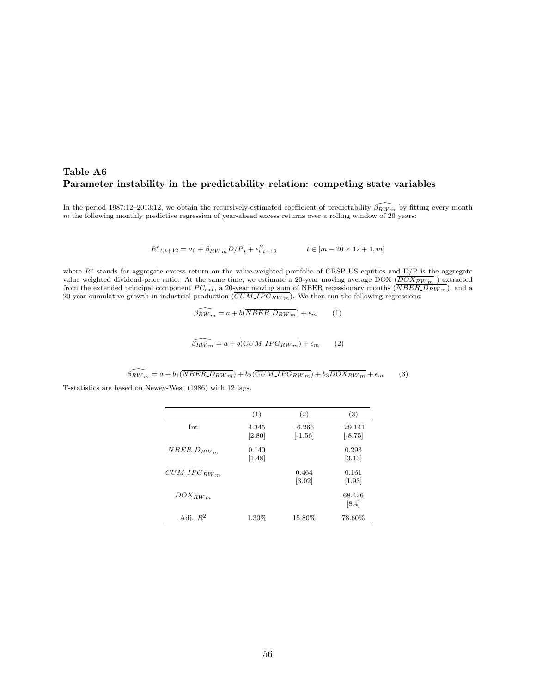### <span id="page-56-0"></span>Table A6 Parameter instability in the predictability relation: competing state variables

In the period 1987:12–2013:12, we obtain the recursively-estimated coefficient of predictability  $\widehat{\beta_{RWm}}$  by fitting every month m the following monthly predictive regression of year-ahead excess returns over a rolling

$$
R^{e}{}_{t,t+12} = a_0 + \beta_{RW\,m} D/P_t + \epsilon_{t,t+12}^R \qquad t \in [m-20\times 12+1,m]
$$

where  $R^e$  stands for aggregate excess return on the value-weighted portfolio of CRSP US equities and  $D/P$  is the aggregate value weighted dividend-price ratio. At the same time, we estimate a 20-year moving average DOX  $(DOX_{RWm})$  extracted from the extended principal component  $PC_{ext}$ , a 20-year moving sum of NBER recessionary months  $(NEER_D_{RWm})$ , and a 20-year cumulative growth in industrial production  $(CUM\_IPG_{RW\ m})$ . We then run the following regressions:

$$
\widehat{\beta_{RW}}_m = a + b(\overline{NBER\_D_{RW}}_m) + \epsilon_m \qquad (1)
$$

$$
\widehat{\beta_{RW\ m}} = a + b(\overline{CUM\_IPG_{RW\ m}}) + \epsilon_m \qquad (2)
$$

$$
\widehat{\beta_{RW}}_m = a + b_1(\overline{NBER\_D_{RW}}_m) + b_2(\overline{CUM\_IPG_{RW}}_m) + b_3 \overline{DOX_{RW}}_m + \epsilon_m \tag{3}
$$

T-statistics are based on Newey-West (1986) with 12 lags.

L.

|                    | (1)             | (2)                          | (3)                    |
|--------------------|-----------------|------------------------------|------------------------|
| Int                | 4.345<br>[2.80] | $-6.266$<br>$[-1.56]$        | $-29.141$<br>$[-8.75]$ |
| $NBER\_D_{RW\ m}$  | 0.140<br>[1.48] |                              | 0.293<br>$[3.13]$      |
| $CUM\_IPG_{RW\ m}$ |                 | 0.464<br>$\left[3.02\right]$ | 0.161<br>$[1.93]$      |
| $DOX_{RWm}$        |                 |                              | 68.426<br>[8.4]        |
| Adj. $R^2$         | $1.30\%$        | $15.80\%$                    | 78.60%                 |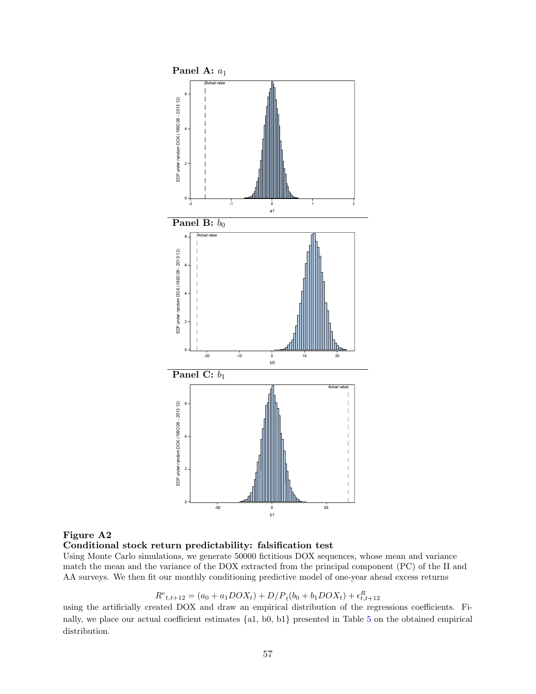<span id="page-57-0"></span>

### Figure A2

Conditional stock return predictability: falsification test

Using Monte Carlo simulations, we generate 50000 fictitious DOX sequences, whose mean and variance match the mean and the variance of the DOX extracted from the principal component (PC) of the II and AA surveys. We then fit our monthly conditioning predictive model of one-year ahead excess returns

$$
R^{e}_{t,t+12} = (a_0 + a_1 DOX_t) + D/P_t(b_0 + b_1 DOX_t) + \epsilon_{t,t+12}^R
$$

using the artificially created DOX and draw an empirical distribution of the regressions coefficients. Finally, we place our actual coefficient estimates {a1, b0, b1} presented in Table [5](#page-44-0) on the obtained empirical distribution.